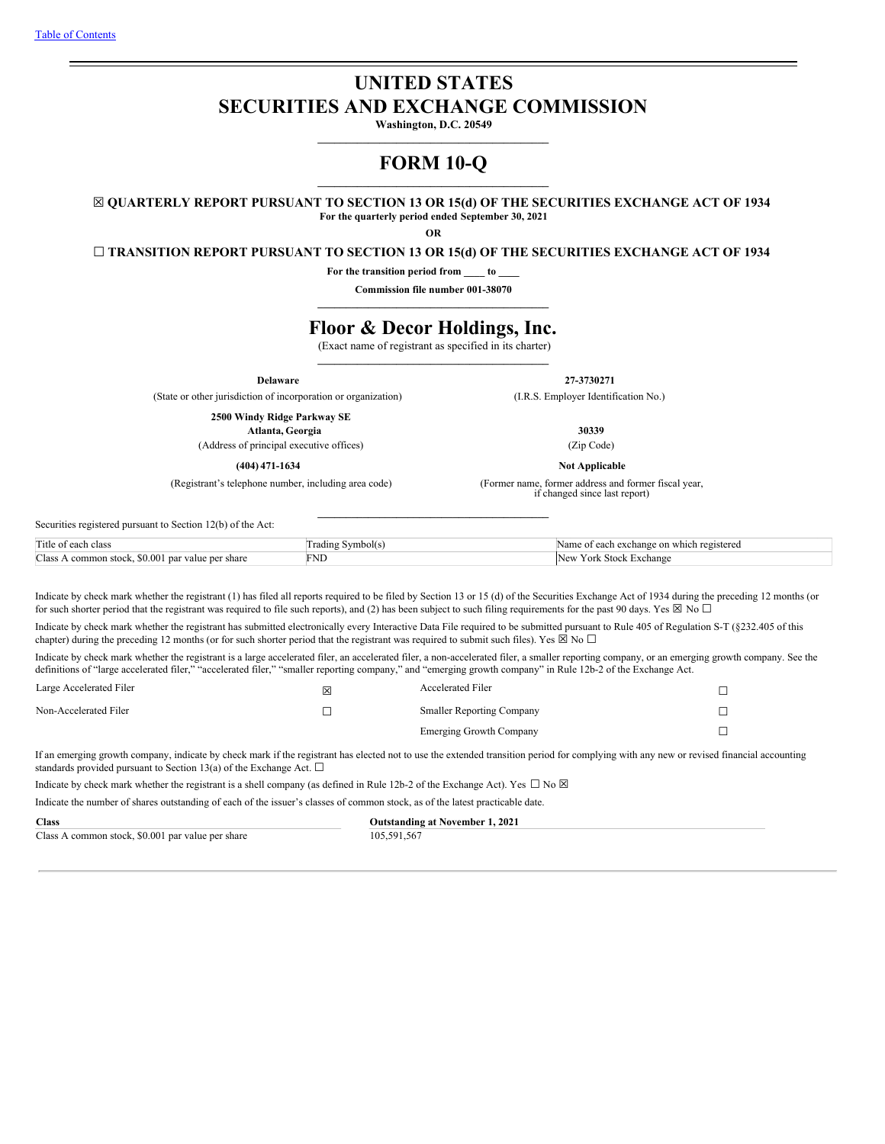# **UNITED STATES SECURITIES AND EXCHANGE COMMISSION**

**Washington, D.C. 20549**  $\mathcal{L} = \{ \mathcal{L} \}$ 

# **FORM 10-Q**  $\mathcal{L} = \{ \mathcal{L} \}$

☒ **QUARTERLY REPORT PURSUANT TO SECTION 13 OR 15(d) OF THE SECURITIES EXCHANGE ACT OF 1934 For the quarterly period ended September 30, 2021**

**OR**

☐ **TRANSITION REPORT PURSUANT TO SECTION 13 OR 15(d) OF THE SECURITIES EXCHANGE ACT OF 1934**

**For the transition period from \_\_\_\_ to \_\_\_\_**

**Commission file number 001-38070**  $\mathcal{L} = \{ \mathcal{L} \}$ 

# **Floor & Decor Holdings, Inc.**

(Exact name of registrant as specified in its charter)  $\mathcal{L} = \{ \mathcal{L} \}$ 

(State or other jurisdiction of incorporation or organization) (I.R.S. Employer Identification No.)

**2500 Windy Ridge Parkway SE**

**Atlanta, Georgia 30339** (Address of principal executive offices) (Zip Code)

**(404)471-1634 Not Applicable**

**Delaware 27-3730271**

(Registrant's telephone number, including area code) (Former name, former address and former fiscal year, if changed since last report)

Securities registered pursuant to Section 12(b) of the Act:

| Title.<br>each class :                                                     | /mbol(s<br>. adıne | registered<br>ame<br>"⁄hich<br><b>VV</b> |
|----------------------------------------------------------------------------|--------------------|------------------------------------------|
| Class<br>. \$0.001<br>stock.<br>ner share<br>∵val<br>ommon<br>$\sim$<br>nа | IL TATA            | New<br>Stock Exchange<br>′ ork           |

 $\mathcal{L} = \{ \mathcal{L} \}$ 

Indicate by check mark whether the registrant (1) has filed all reports required to be filed by Section 13 or 15 (d) of the Securities Exchange Act of 1934 during the preceding 12 months (or for such shorter period that the registrant was required to file such reports), and (2) has been subject to such filing requirements for the past 90 days. Yes  $\boxtimes$  No  $\Box$ 

Indicate by check mark whether the registrant has submitted electronically every Interactive Data File required to be submitted pursuant to Rule 405 of Regulation S-T (§232.405 of this chapter) during the preceding 12 months (or for such shorter period that the registrant was required to submit such files). Yes  $\boxtimes$  No  $\Box$ 

Indicate by check mark whether the registrant is a large accelerated filer, an accelerated filer, a non-accelerated filer, a smaller reporting company, or an emerging growth company. See the definitions of "large accelerated filer," "accelerated filer," "smaller reporting company," and "emerging growth company" in Rule 12b-2 of the Exchange Act.

| Large Accelerated Filer | <b>Accelerated Filer</b>         |  |
|-------------------------|----------------------------------|--|
| Non-Accelerated Filer   | <b>Smaller Reporting Company</b> |  |
|                         | Emerging Growth Company          |  |

If an emerging growth company, indicate by check mark if the registrant has elected not to use the extended transition period for complying with any new or revised financial accounting standards provided pursuant to Section 13(a) of the Exchange Act.  $\Box$ 

Indicate by check mark whether the registrant is a shell company (as defined in Rule 12b-2 of the Exchange Act). Yes  $\Box$  No  $\boxtimes$ 

Indicate the number of shares outstanding of each of the issuer's classes of common stock, as of the latest practicable date.

**Class Outstanding at November 1, 2021**

<span id="page-0-0"></span>Class A common stock, \$0.001 par value per share 105,591,567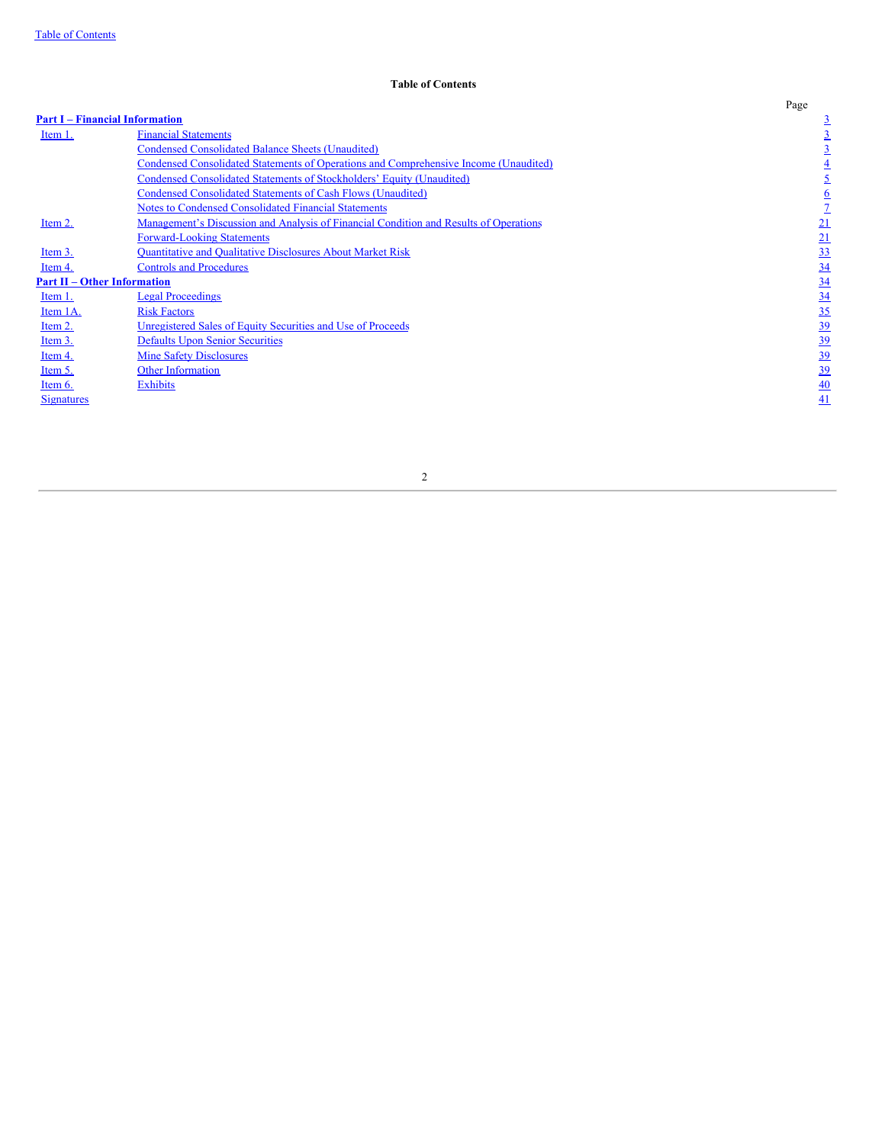# **Table of Contents**

<span id="page-1-0"></span>

|                   |                                                                                             | Page           |
|-------------------|---------------------------------------------------------------------------------------------|----------------|
|                   | <b>Part I – Financial Information</b>                                                       |                |
| Item 1.           | <b>Financial Statements</b>                                                                 |                |
|                   | <b>Condensed Consolidated Balance Sheets (Unaudited)</b>                                    |                |
|                   | <b>Condensed Consolidated Statements of Operations and Comprehensive Income (Unaudited)</b> |                |
|                   | Condensed Consolidated Statements of Stockholders' Equity (Unaudited)                       |                |
|                   | <b>Condensed Consolidated Statements of Cash Flows (Unaudited)</b>                          | 6              |
|                   | <b>Notes to Condensed Consolidated Financial Statements</b>                                 |                |
| Item 2.           | Management's Discussion and Analysis of Financial Condition and Results of Operations       | <u> 21</u>     |
|                   | <b>Forward-Looking Statements</b>                                                           | <u> 21</u>     |
| Item 3.           | <b>Quantitative and Qualitative Disclosures About Market Risk</b>                           | <u>33</u>      |
| Item 4.           | <b>Controls and Procedures</b>                                                              | 34             |
|                   | <b>Part II - Other Information</b>                                                          | 34             |
| Item 1.           | <b>Legal Proceedings</b>                                                                    | $\frac{34}{5}$ |
| Item 1A.          | <b>Risk Factors</b>                                                                         | 35             |
| Item 2.           | Unregistered Sales of Equity Securities and Use of Proceeds                                 | 39             |
| Item 3.           | <b>Defaults Upon Senior Securities</b>                                                      | 39             |
| Item 4.           | <b>Mine Safety Disclosures</b>                                                              | <u>39</u>      |
| Item 5.           | <b>Other Information</b>                                                                    | <u>39</u>      |
| Item 6.           | <b>Exhibits</b>                                                                             | 40             |
| <b>Signatures</b> |                                                                                             | 41             |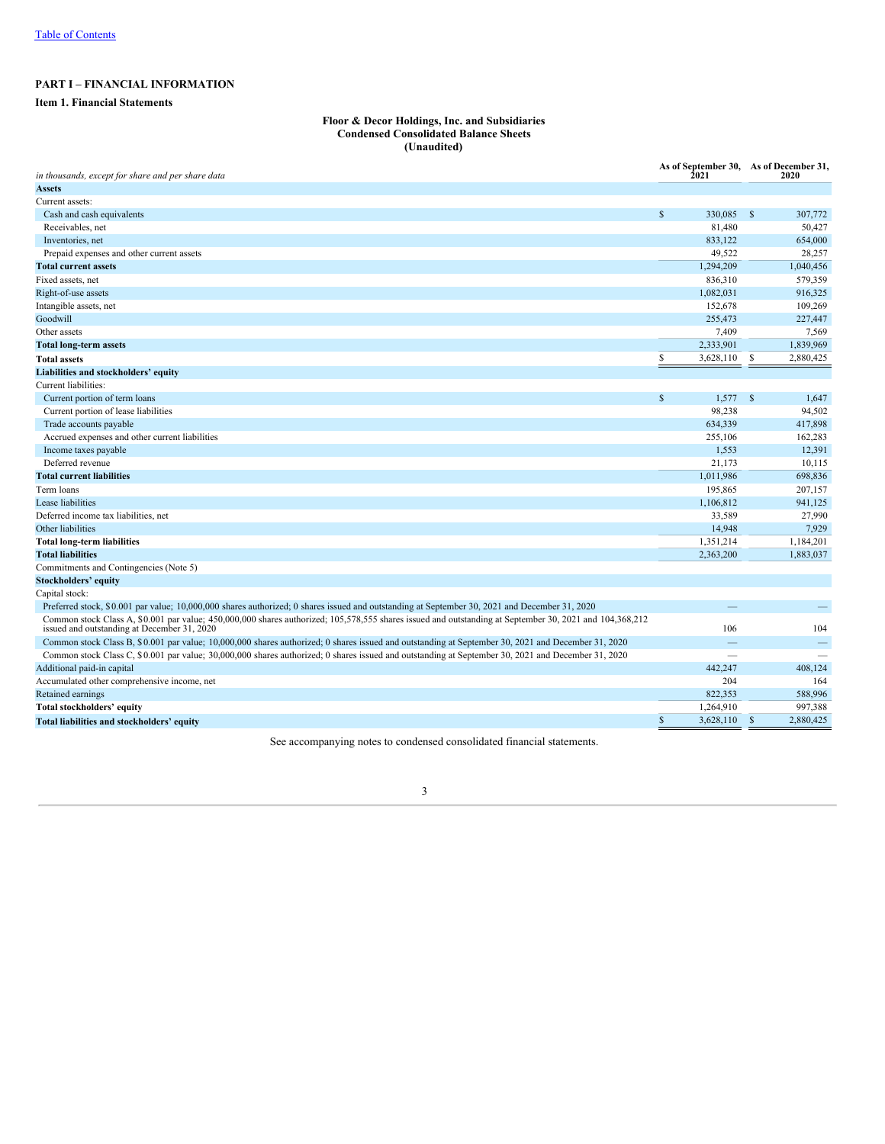# **PART I – FINANCIAL INFORMATION**

# <span id="page-2-1"></span><span id="page-2-0"></span>**Item 1. Financial Statements**

#### **Floor & Decor Holdings, Inc. and Subsidiaries Condensed Consolidated Balance Sheets (Unaudited)**

| in thousands, except for share and per share data                                                                                                                                                      |              | 2021      |              | As of September 30, As of December 31,<br>2020 |
|--------------------------------------------------------------------------------------------------------------------------------------------------------------------------------------------------------|--------------|-----------|--------------|------------------------------------------------|
| <b>Assets</b>                                                                                                                                                                                          |              |           |              |                                                |
| Current assets:                                                                                                                                                                                        |              |           |              |                                                |
| Cash and cash equivalents                                                                                                                                                                              | $\mathbb{S}$ | 330,085   | $\mathbb{S}$ | 307,772                                        |
| Receivables, net                                                                                                                                                                                       |              | 81,480    |              | 50,427                                         |
| Inventories, net                                                                                                                                                                                       |              | 833,122   |              | 654,000                                        |
| Prepaid expenses and other current assets                                                                                                                                                              |              | 49,522    |              | 28,257                                         |
| <b>Total current assets</b>                                                                                                                                                                            |              | 1,294,209 |              | 1,040,456                                      |
| Fixed assets, net                                                                                                                                                                                      |              | 836,310   |              | 579,359                                        |
| Right-of-use assets                                                                                                                                                                                    |              | 1,082,031 |              | 916,325                                        |
| Intangible assets, net                                                                                                                                                                                 |              | 152,678   |              | 109,269                                        |
| Goodwill                                                                                                                                                                                               |              | 255,473   |              | 227,447                                        |
| Other assets                                                                                                                                                                                           |              | 7,409     |              | 7,569                                          |
| <b>Total long-term assets</b>                                                                                                                                                                          |              | 2,333,901 |              | 1,839,969                                      |
| <b>Total assets</b>                                                                                                                                                                                    | s            | 3,628,110 | \$           | 2,880,425                                      |
| Liabilities and stockholders' equity                                                                                                                                                                   |              |           |              |                                                |
| Current liabilities:                                                                                                                                                                                   |              |           |              |                                                |
| Current portion of term loans                                                                                                                                                                          | $\mathbb{S}$ | 1,577     | <b>S</b>     | 1,647                                          |
| Current portion of lease liabilities                                                                                                                                                                   |              | 98,238    |              | 94,502                                         |
| Trade accounts payable                                                                                                                                                                                 |              | 634,339   |              | 417,898                                        |
| Accrued expenses and other current liabilities                                                                                                                                                         |              | 255,106   |              | 162,283                                        |
| Income taxes payable                                                                                                                                                                                   |              | 1,553     |              | 12,391                                         |
| Deferred revenue                                                                                                                                                                                       |              | 21,173    |              | 10,115                                         |
| <b>Total current liabilities</b>                                                                                                                                                                       |              | 1,011,986 |              | 698,836                                        |
| Term loans                                                                                                                                                                                             |              | 195,865   |              | 207,157                                        |
| Lease liabilities                                                                                                                                                                                      |              | 1,106,812 |              | 941,125                                        |
| Deferred income tax liabilities, net                                                                                                                                                                   |              | 33,589    |              | 27,990                                         |
| Other liabilities                                                                                                                                                                                      |              | 14,948    |              | 7,929                                          |
| <b>Total long-term liabilities</b>                                                                                                                                                                     |              | 1,351,214 |              | 1,184,201                                      |
| <b>Total liabilities</b>                                                                                                                                                                               |              | 2,363,200 |              | 1,883,037                                      |
| Commitments and Contingencies (Note 5)                                                                                                                                                                 |              |           |              |                                                |
| <b>Stockholders' equity</b>                                                                                                                                                                            |              |           |              |                                                |
| Capital stock:                                                                                                                                                                                         |              |           |              |                                                |
| Preferred stock, \$0.001 par value; 10,000,000 shares authorized; 0 shares issued and outstanding at September 30, 2021 and December 31, 2020                                                          |              |           |              |                                                |
| Common stock Class A, \$0.001 par value; 450,000,000 shares authorized; 105,578,555 shares issued and outstanding at September 30, 2021 and 104,368,212<br>issued and outstanding at December 31, 2020 |              | 106       |              | 104                                            |
| Common stock Class B, \$ 0.001 par value; 10,000,000 shares authorized; 0 shares issued and outstanding at September 30, 2021 and December 31, 2020                                                    |              |           |              |                                                |
| Common stock Class C, \$ 0.001 par value; 30,000,000 shares authorized; 0 shares issued and outstanding at September 30, 2021 and December 31, 2020                                                    |              |           |              |                                                |
| Additional paid-in capital                                                                                                                                                                             |              | 442,247   |              | 408,124                                        |
| Accumulated other comprehensive income, net                                                                                                                                                            |              | 204       |              | 164                                            |
| Retained earnings                                                                                                                                                                                      |              | 822,353   |              | 588,996                                        |
| Total stockholders' equity                                                                                                                                                                             |              | 1,264,910 |              | 997,388                                        |
| Total liabilities and stockholders' equity                                                                                                                                                             | $\mathsf{s}$ | 3,628,110 | $\mathbb{S}$ | 2,880,425                                      |

<span id="page-2-2"></span>See accompanying notes to condensed consolidated financial statements.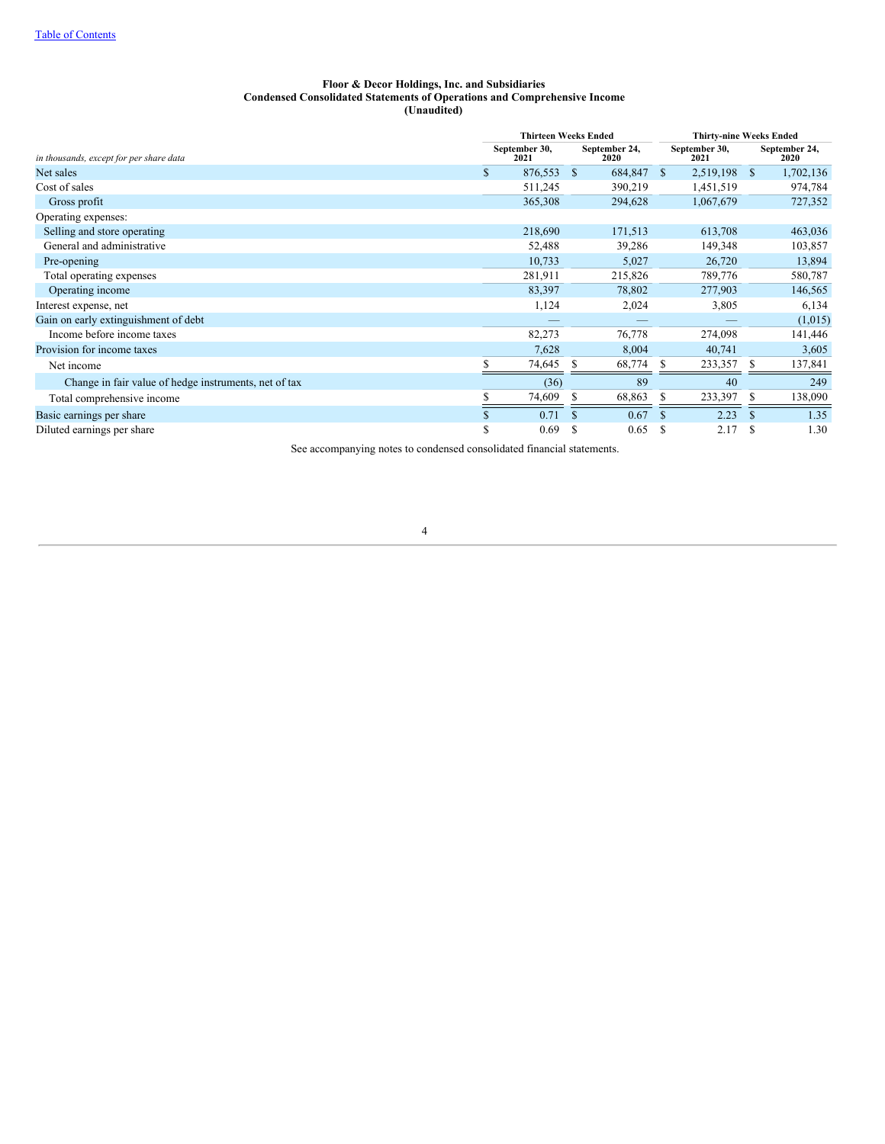#### **Floor & Decor Holdings, Inc. and Subsidiaries Condensed Consolidated Statements of Operations and Comprehensive Income (Unaudited)**

|                                                       | <b>Thirteen Weeks Ended</b> |                       |          |                       | <b>Thirty-nine Weeks Ended</b> |                       |               |                       |  |
|-------------------------------------------------------|-----------------------------|-----------------------|----------|-----------------------|--------------------------------|-----------------------|---------------|-----------------------|--|
| in thousands, except for per share data               |                             | September 30,<br>2021 |          | September 24,<br>2020 |                                | September 30,<br>2021 |               | September 24,<br>2020 |  |
| Net sales                                             | $\mathbb{S}$                | 876,553               | -S       | 684,847               | <sup>\$</sup>                  | 2,519,198             | <sup>S</sup>  | 1,702,136             |  |
| Cost of sales                                         |                             | 511,245               |          | 390,219               |                                | 1,451,519             |               | 974,784               |  |
| Gross profit                                          |                             | 365,308               |          | 294,628               |                                | 1,067,679             |               | 727,352               |  |
| Operating expenses:                                   |                             |                       |          |                       |                                |                       |               |                       |  |
| Selling and store operating                           |                             | 218,690               |          | 171,513               |                                | 613,708               |               | 463,036               |  |
| General and administrative                            |                             | 52,488                |          | 39,286                |                                | 149,348               |               | 103,857               |  |
| Pre-opening                                           |                             | 10,733                |          | 5,027                 |                                | 26,720                |               | 13,894                |  |
| Total operating expenses                              |                             | 281,911               |          | 215,826               |                                | 789,776               |               | 580,787               |  |
| Operating income                                      |                             | 83,397                |          | 78,802                |                                | 277,903               |               | 146,565               |  |
| Interest expense, net                                 |                             | 1,124                 |          | 2,024                 |                                | 3,805                 |               | 6,134                 |  |
| Gain on early extinguishment of debt                  |                             |                       |          |                       |                                |                       |               | (1,015)               |  |
| Income before income taxes                            |                             | 82,273                |          | 76,778                |                                | 274,098               |               | 141,446               |  |
| Provision for income taxes                            |                             | 7,628                 |          | 8,004                 |                                | 40,741                |               | 3,605                 |  |
| Net income                                            |                             | 74,645                | <b>S</b> | 68,774                | S.                             | 233,357               | <b>S</b>      | 137,841               |  |
| Change in fair value of hedge instruments, net of tax |                             | (36)                  |          | 89                    |                                | 40                    |               | 249                   |  |
| Total comprehensive income                            |                             | 74,609                | -S       | 68,863                | \$                             | 233,397               | \$.           | 138,090               |  |
| Basic earnings per share                              | S.                          | 0.71                  |          | 0.67                  | <b>S</b>                       | 2.23                  | <sup>\$</sup> | 1.35                  |  |
| Diluted earnings per share                            | S                           | 0.69                  | -S       | 0.65                  | S                              | 2.17                  | S             | 1.30                  |  |

<span id="page-3-0"></span>See accompanying notes to condensed consolidated financial statements.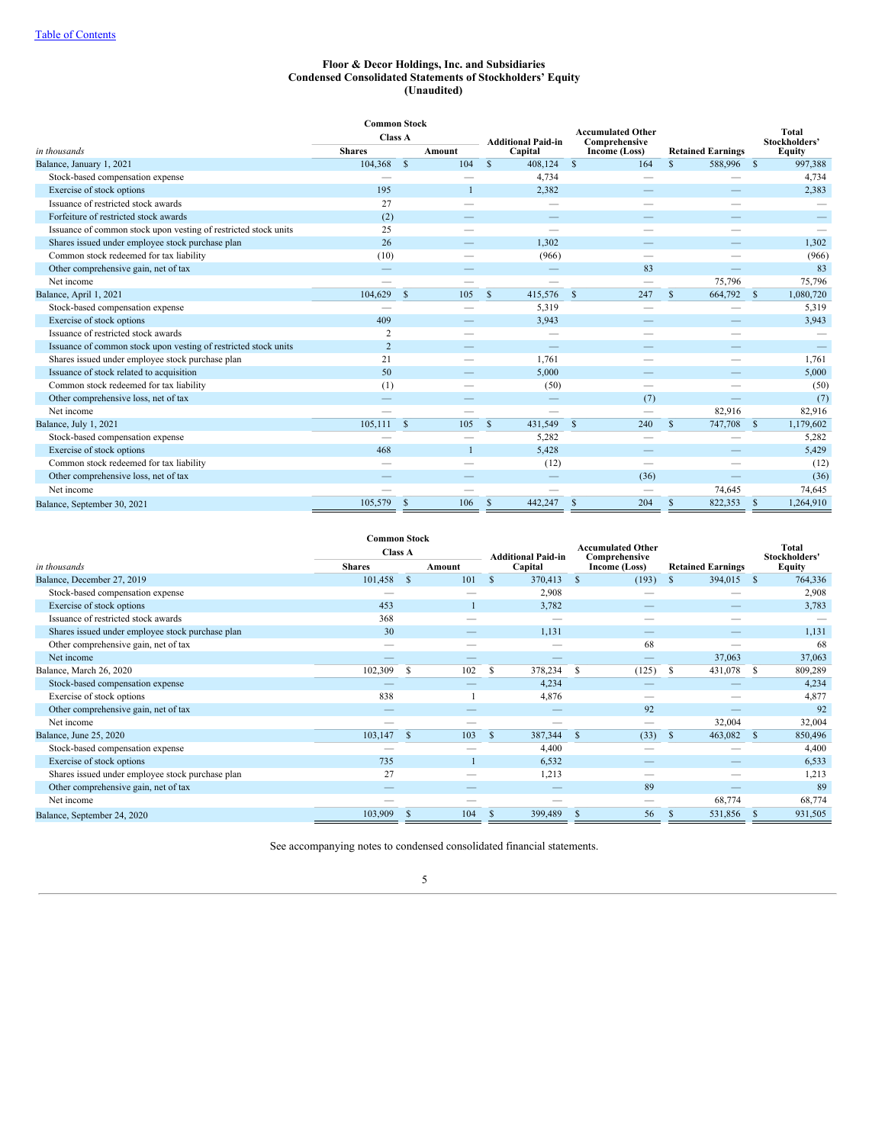## **Floor & Decor Holdings, Inc. and Subsidiaries Condensed Consolidated Statements of Stockholders' Equity (Unaudited)**

|                                                                 | <b>Common Stock</b> |               |                          |               |                           |               |                                           |               |                          |              |                               |
|-----------------------------------------------------------------|---------------------|---------------|--------------------------|---------------|---------------------------|---------------|-------------------------------------------|---------------|--------------------------|--------------|-------------------------------|
|                                                                 | <b>Class A</b>      |               |                          |               | <b>Additional Paid-in</b> |               | <b>Accumulated Other</b><br>Comprehensive |               |                          |              | <b>Total</b><br>Stockholders' |
| in thousands                                                    | <b>Shares</b>       |               | Amount                   |               | Capital                   |               | Income (Loss)                             |               | <b>Retained Earnings</b> |              | <b>Equity</b>                 |
| Balance, January 1, 2021                                        | 104,368             | <sup>S</sup>  | 104                      | $\mathbf{s}$  | 408.124                   | $\mathbf{s}$  | 164                                       | $\mathbf S$   | 588,996 \$               |              | 997,388                       |
| Stock-based compensation expense                                |                     |               |                          |               | 4.734                     |               | $\qquad \qquad$                           |               |                          |              | 4,734                         |
| Exercise of stock options                                       | 195                 |               |                          |               | 2,382                     |               |                                           |               |                          |              | 2.383                         |
| Issuance of restricted stock awards                             | 27                  |               |                          |               |                           |               |                                           |               |                          |              |                               |
| Forfeiture of restricted stock awards                           | (2)                 |               |                          |               |                           |               |                                           |               |                          |              |                               |
| Issuance of common stock upon vesting of restricted stock units | 25                  |               |                          |               |                           |               |                                           |               |                          |              |                               |
| Shares issued under employee stock purchase plan                | 26                  |               |                          |               | 1,302                     |               |                                           |               |                          |              | 1,302                         |
| Common stock redeemed for tax liability                         | (10)                |               |                          |               | (966)                     |               |                                           |               |                          |              | (966)                         |
| Other comprehensive gain, net of tax                            |                     |               |                          |               | $\overline{\phantom{a}}$  |               | 83                                        |               |                          |              | 83                            |
| Net income                                                      |                     |               |                          |               |                           |               |                                           |               | 75,796                   |              | 75,796                        |
| Balance, April 1, 2021                                          | 104,629             | S             | 105                      | $\mathbf{s}$  | 415,576                   | <sup>S</sup>  | 247                                       | $\mathbf S$   | 664,792                  | $\mathbf{s}$ | 1,080,720                     |
| Stock-based compensation expense                                |                     |               | $\overline{\phantom{0}}$ |               | 5,319                     |               |                                           |               | -                        |              | 5,319                         |
| Exercise of stock options                                       | 409                 |               |                          |               | 3.943                     |               |                                           |               |                          |              | 3.943                         |
| Issuance of restricted stock awards                             | $\mathcal{D}$       |               |                          |               |                           |               |                                           |               |                          |              |                               |
| Issuance of common stock upon vesting of restricted stock units | $\overline{2}$      |               |                          |               |                           |               |                                           |               |                          |              |                               |
| Shares issued under employee stock purchase plan                | 21                  |               |                          |               | 1,761                     |               |                                           |               |                          |              | 1,761                         |
| Issuance of stock related to acquisition                        | 50                  |               |                          |               | 5,000                     |               |                                           |               |                          |              | 5,000                         |
| Common stock redeemed for tax liability                         | (1)                 |               |                          |               | (50)                      |               |                                           |               |                          |              | (50)                          |
| Other comprehensive loss, net of tax                            |                     |               |                          |               |                           |               | (7)                                       |               |                          |              | (7)                           |
| Net income                                                      |                     |               |                          |               |                           |               | $\overline{\phantom{m}}$                  |               | 82,916                   |              | 82,916                        |
| Balance, July 1, 2021                                           | 105.111             | $\mathbf{s}$  | 105                      | $\mathcal{S}$ | 431,549                   | $\mathbf S$   | 240                                       | $\mathbf{s}$  | 747,708                  | $\mathbf S$  | 1,179,602                     |
| Stock-based compensation expense                                |                     |               | $\overline{\phantom{a}}$ |               | 5,282                     |               | $\sim$                                    |               |                          |              | 5,282                         |
| Exercise of stock options                                       | 468                 |               |                          |               | 5,428                     |               |                                           |               |                          |              | 5.429                         |
| Common stock redeemed for tax liability                         |                     |               |                          |               | (12)                      |               | -                                         |               |                          |              | (12)                          |
| Other comprehensive loss, net of tax                            |                     |               |                          |               |                           |               | (36)                                      |               |                          |              | (36)                          |
| Net income                                                      |                     |               |                          |               |                           |               |                                           |               | 74,645                   |              | 74,645                        |
| Balance, September 30, 2021                                     | 105,579             | $\mathcal{S}$ | 106                      | $\mathcal{S}$ | 442,247                   | $\mathcal{S}$ | 204                                       | $\mathcal{S}$ | 822,353                  | $\mathbf S$  | 1,264,910                     |

|                                                  | <b>Common Stock</b> |               |     |                           |         |                                           |                          |                          |         |                        |               |  |
|--------------------------------------------------|---------------------|---------------|-----|---------------------------|---------|-------------------------------------------|--------------------------|--------------------------|---------|------------------------|---------------|--|
|                                                  | <b>Class A</b>      |               |     | <b>Additional Paid-in</b> |         | <b>Accumulated Other</b><br>Comprehensive |                          |                          |         | Total<br>Stockholders' |               |  |
| in thousands                                     | <b>Shares</b>       | Amount        |     |                           | Capital |                                           | Income (Loss)            | <b>Retained Earnings</b> |         |                        | <b>Equity</b> |  |
| Balance, December 27, 2019                       | 101,458             | $\mathbb{S}$  | 101 | <sup>S</sup>              | 370,413 | <sup>\$</sup>                             | (193)                    | <sup>\$</sup>            | 394,015 | <b>S</b>               | 764,336       |  |
| Stock-based compensation expense                 |                     |               |     |                           | 2,908   |                                           |                          |                          |         |                        | 2,908         |  |
| Exercise of stock options                        | 453                 |               |     |                           | 3,782   |                                           |                          |                          |         |                        | 3,783         |  |
| Issuance of restricted stock awards              | 368                 |               |     |                           |         |                                           |                          |                          |         |                        |               |  |
| Shares issued under employee stock purchase plan | 30                  |               |     |                           | 1,131   |                                           |                          |                          |         |                        | 1,131         |  |
| Other comprehensive gain, net of tax             |                     |               |     |                           |         |                                           | 68                       |                          |         |                        | 68            |  |
| Net income                                       |                     |               |     |                           |         |                                           | $\overline{\phantom{a}}$ |                          | 37,063  |                        | 37,063        |  |
| Balance, March 26, 2020                          | 102,309             | S             | 102 | S                         | 378,234 | S.                                        | (125)                    |                          | 431,078 | -8                     | 809,289       |  |
| Stock-based compensation expense                 |                     |               |     |                           | 4,234   |                                           |                          |                          |         |                        | 4,234         |  |
| Exercise of stock options                        | 838                 |               |     |                           | 4,876   |                                           |                          |                          |         |                        | 4,877         |  |
| Other comprehensive gain, net of tax             |                     |               |     |                           |         |                                           | 92                       |                          |         |                        | 92            |  |
| Net income                                       |                     |               |     |                           |         |                                           |                          |                          | 32,004  |                        | 32,004        |  |
| Balance, June 25, 2020                           | 103,147             | <sup>\$</sup> | 103 | <sup>S</sup>              | 387,344 | <sup>S</sup>                              | (33)                     | -S                       | 463,082 | <sup>\$</sup>          | 850,496       |  |
| Stock-based compensation expense                 |                     |               |     |                           | 4,400   |                                           |                          |                          |         |                        | 4,400         |  |
| Exercise of stock options                        | 735                 |               |     |                           | 6,532   |                                           |                          |                          |         |                        | 6,533         |  |
| Shares issued under employee stock purchase plan | 27                  |               |     |                           | 1,213   |                                           |                          |                          |         |                        | 1,213         |  |
| Other comprehensive gain, net of tax             |                     |               |     |                           |         |                                           | 89                       |                          |         |                        | 89            |  |
| Net income                                       |                     |               |     |                           |         |                                           | $\overline{\phantom{a}}$ |                          | 68,774  |                        | 68,774        |  |
| Balance, September 24, 2020                      | 103,909             | S.            | 104 |                           | 399,489 |                                           | 56                       |                          | 531,856 |                        | 931,505       |  |

<span id="page-4-0"></span>See accompanying notes to condensed consolidated financial statements.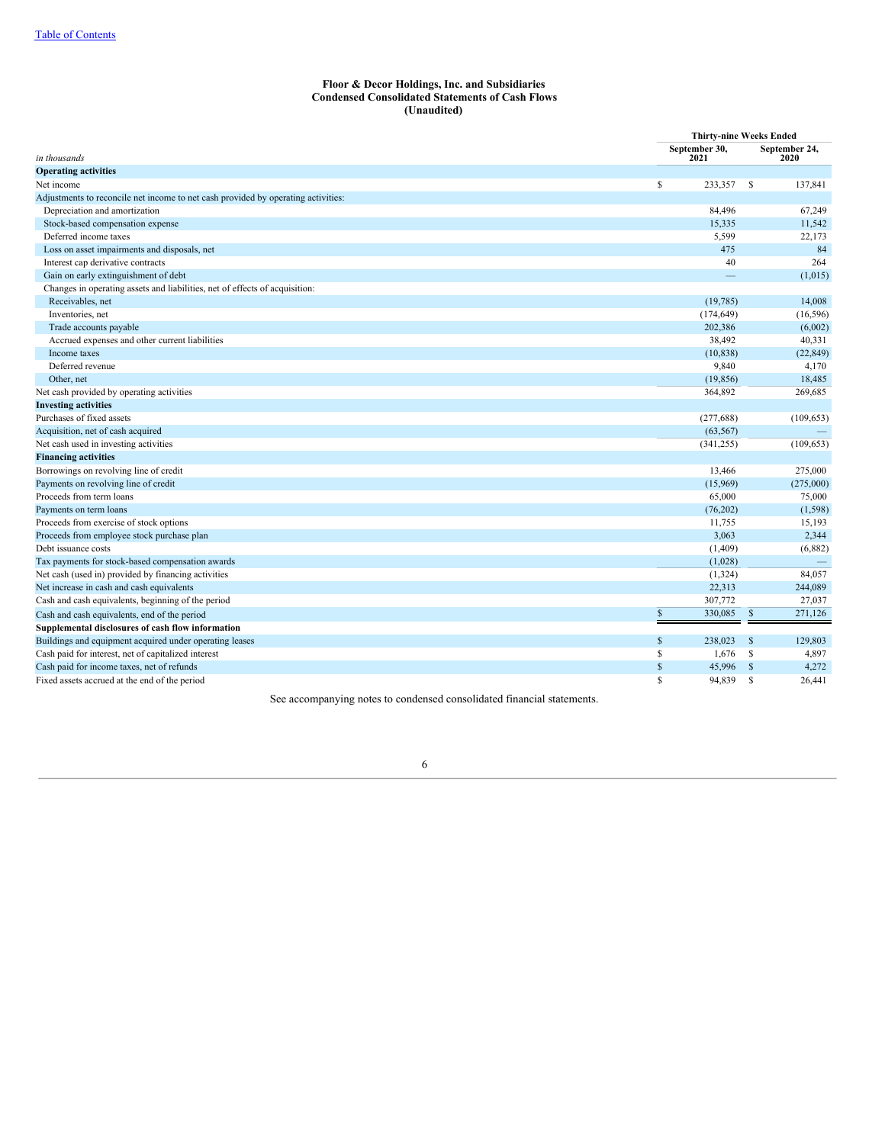#### **Floor & Decor Holdings, Inc. and Subsidiaries Condensed Consolidated Statements of Cash Flows (Unaudited)**

|                                                                                   |                          |              | <b>Thirty-nine Weeks Ended</b> |  |  |
|-----------------------------------------------------------------------------------|--------------------------|--------------|--------------------------------|--|--|
| in thousands                                                                      | September 30,<br>2021    |              | September 24,<br>2020          |  |  |
| <b>Operating activities</b>                                                       |                          |              |                                |  |  |
| Net income                                                                        | \$<br>233,357 \$         |              | 137,841                        |  |  |
| Adjustments to reconcile net income to net cash provided by operating activities: |                          |              |                                |  |  |
| Depreciation and amortization                                                     | 84,496                   |              | 67,249                         |  |  |
| Stock-based compensation expense                                                  | 15,335                   |              | 11,542                         |  |  |
| Deferred income taxes                                                             | 5,599                    |              | 22,173                         |  |  |
| Loss on asset impairments and disposals, net                                      | 475                      |              | 84                             |  |  |
| Interest cap derivative contracts                                                 |                          | 40           | 264                            |  |  |
| Gain on early extinguishment of debt                                              |                          |              | (1,015)                        |  |  |
| Changes in operating assets and liabilities, net of effects of acquisition:       |                          |              |                                |  |  |
| Receivables, net                                                                  | (19, 785)                |              | 14,008                         |  |  |
| Inventories, net                                                                  | (174, 649)               |              | (16, 596)                      |  |  |
| Trade accounts payable                                                            | 202,386                  |              | (6,002)                        |  |  |
| Accrued expenses and other current liabilities                                    | 38,492                   |              | 40,331                         |  |  |
| Income taxes                                                                      | (10, 838)                |              | (22, 849)                      |  |  |
| Deferred revenue                                                                  | 9,840                    |              | 4,170                          |  |  |
| Other, net                                                                        | (19, 856)                |              | 18,485                         |  |  |
| Net cash provided by operating activities                                         | 364,892                  |              | 269,685                        |  |  |
| <b>Investing activities</b>                                                       |                          |              |                                |  |  |
| Purchases of fixed assets                                                         | (277, 688)               |              | (109, 653)                     |  |  |
| Acquisition, net of cash acquired                                                 | (63, 567)                |              |                                |  |  |
| Net cash used in investing activities                                             | (341, 255)               |              | (109, 653)                     |  |  |
| <b>Financing activities</b>                                                       |                          |              |                                |  |  |
| Borrowings on revolving line of credit                                            | 13.466                   |              | 275,000                        |  |  |
| Payments on revolving line of credit                                              | (15,969)                 |              | (275,000)                      |  |  |
| Proceeds from term loans                                                          | 65,000                   |              | 75,000                         |  |  |
| Payments on term loans                                                            | (76,202)                 |              | (1, 598)                       |  |  |
| Proceeds from exercise of stock options                                           | 11,755                   |              | 15,193                         |  |  |
| Proceeds from employee stock purchase plan                                        | 3,063                    |              | 2,344                          |  |  |
| Debt issuance costs                                                               | (1,409)                  |              | (6,882)                        |  |  |
| Tax payments for stock-based compensation awards                                  | (1,028)                  |              |                                |  |  |
| Net cash (used in) provided by financing activities                               | (1, 324)                 |              | 84,057                         |  |  |
| Net increase in cash and cash equivalents                                         | 22,313                   |              | 244,089                        |  |  |
| Cash and cash equivalents, beginning of the period                                | 307,772                  |              | 27,037                         |  |  |
| Cash and cash equivalents, end of the period                                      | $\mathsf{\$}$<br>330,085 | $\mathbb{S}$ | 271,126                        |  |  |
| Supplemental disclosures of cash flow information                                 |                          |              |                                |  |  |
| Buildings and equipment acquired under operating leases                           | $\mathbb{S}$<br>238,023  | $\mathbb{S}$ | 129,803                        |  |  |
| Cash paid for interest, net of capitalized interest                               | \$<br>1,676              | \$           | 4,897                          |  |  |
| Cash paid for income taxes, net of refunds                                        | $\mathbb{S}$<br>45,996   | $\mathbb{S}$ | 4,272                          |  |  |
| Fixed assets accrued at the end of the period                                     | S<br>94,839              | \$           | 26,441                         |  |  |

<span id="page-5-0"></span>See accompanying notes to condensed consolidated financial statements.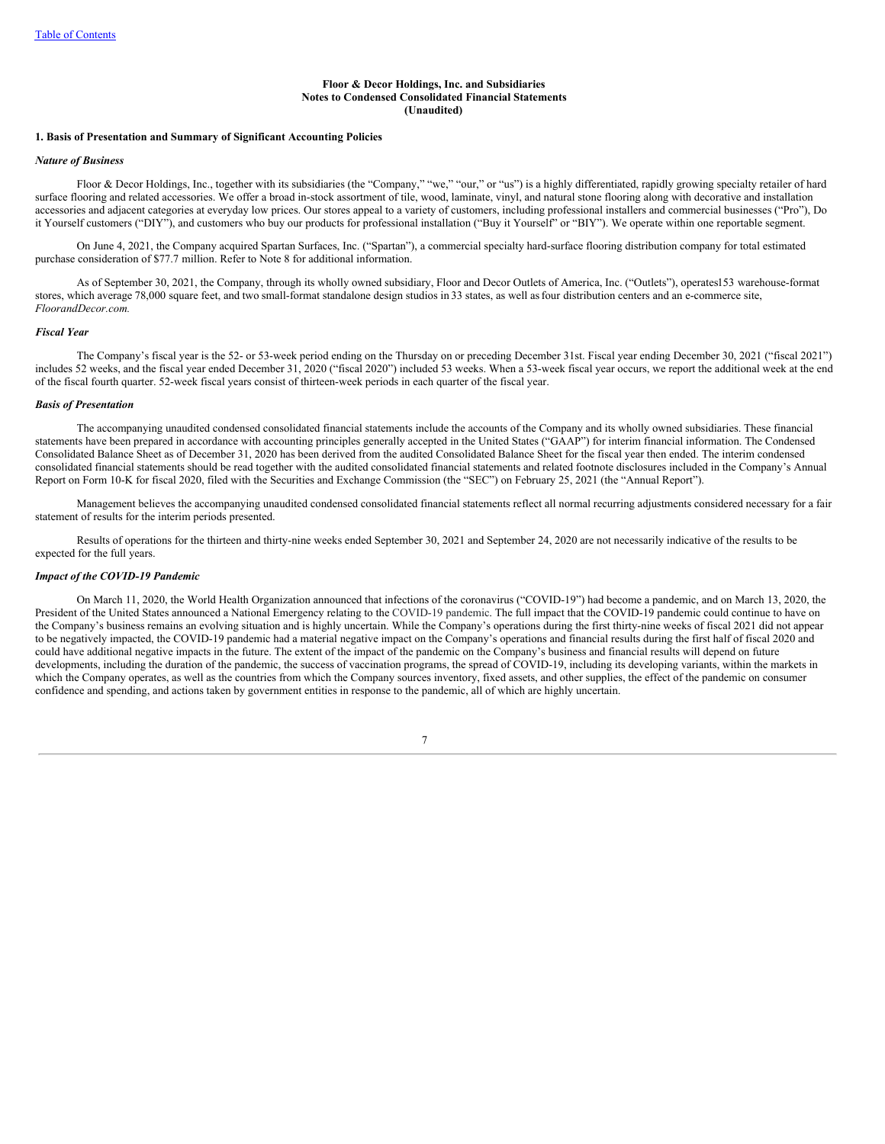#### **Floor & Decor Holdings, Inc. and Subsidiaries Notes to Condensed Consolidated Financial Statements (Unaudited)**

# **1. Basis of Presentation and Summary of Significant Accounting Policies**

#### *Nature of Business*

Floor & Decor Holdings, Inc., together with its subsidiaries (the "Company," "we," "our," or "us") is a highly differentiated, rapidly growing specialty retailer of hard surface flooring and related accessories. We offer a broad in-stock assortment of tile, wood, laminate, vinyl, and natural stone flooring along with decorative and installation accessories and adjacent categories at everyday low prices. Our stores appeal to a variety of customers, including professional installers and commercial businesses ("Pro"), Do it Yourself customers ("DIY"), and customers who buy our products for professional installation ("Buy it Yourself" or "BIY"). We operate within one reportable segment.

On June 4, 2021, the Company acquired Spartan Surfaces, Inc. ("Spartan"), a commercial specialty hard-surface flooring distribution company for total estimated purchase consideration of \$77.7 million. Refer to Note 8 for additional information.

As of September 30, 2021, the Company, through its wholly owned subsidiary, Floor and Decor Outlets of America, Inc. ("Outlets"), operates153 warehouse-format stores, which average 78,000 square feet, and two small-format standalone design studios in 33 states, as well as four distribution centers and an e-commerce site, *FloorandDecor.com.*

### *Fiscal Year*

The Company's fiscal year is the 52- or 53-week period ending on the Thursday on or preceding December 31st. Fiscal year ending December 30, 2021 ("fiscal 2021") includes 52 weeks, and the fiscal year ended December 31, 2020 ("fiscal 2020") included 53 weeks. When a 53-week fiscal year occurs, we report the additional week at the end of the fiscal fourth quarter. 52-week fiscal years consist of thirteen-week periods in each quarter of the fiscal year.

### *Basis of Presentation*

The accompanying unaudited condensed consolidated financial statements include the accounts of the Company and its wholly owned subsidiaries. These financial statements have been prepared in accordance with accounting principles generally accepted in the United States ("GAAP") for interim financial information. The Condensed Consolidated Balance Sheet as of December 31, 2020 has been derived from the audited Consolidated Balance Sheet for the fiscal year then ended. The interim condensed consolidated financial statements should be read together with the audited consolidated financial statements and related footnote disclosures included in the Company's Annual Report on Form 10-K for fiscal 2020, filed with the Securities and Exchange Commission (the "SEC") on February 25, 2021 (the "Annual Report").

Management believes the accompanying unaudited condensed consolidated financial statements reflect all normal recurring adjustments considered necessary for a fair statement of results for the interim periods presented.

Results of operations for the thirteen and thirty-nine weeks ended September 30, 2021 and September 24, 2020 are not necessarily indicative of the results to be expected for the full years.

#### *Impact of the COVID-19 Pandemic*

On March 11, 2020, the World Health Organization announced that infections of the coronavirus ("COVID-19") had become a pandemic, and on March 13, 2020, the President of the United States announced a National Emergency relating to the COVID-19 pandemic. The full impact that the COVID-19 pandemic could continue to have on the Company's business remains an evolving situation and is highly uncertain. While the Company's operations during the first thirty-nine weeks of fiscal 2021 did not appear to be negatively impacted, the COVID-19 pandemic had a material negative impact on the Company's operations and financial results during the first half of fiscal 2020 and could have additional negative impacts in the future. The extent of the impact of the pandemic on the Company's business and financial results will depend on future developments, including the duration of the pandemic, the success of vaccination programs, the spread of COVID-19, including its developing variants, within the markets in which the Company operates, as well as the countries from which the Company sources inventory, fixed assets, and other supplies, the effect of the pandemic on consumer confidence and spending, and actions taken by government entities in response to the pandemic, all of which are highly uncertain.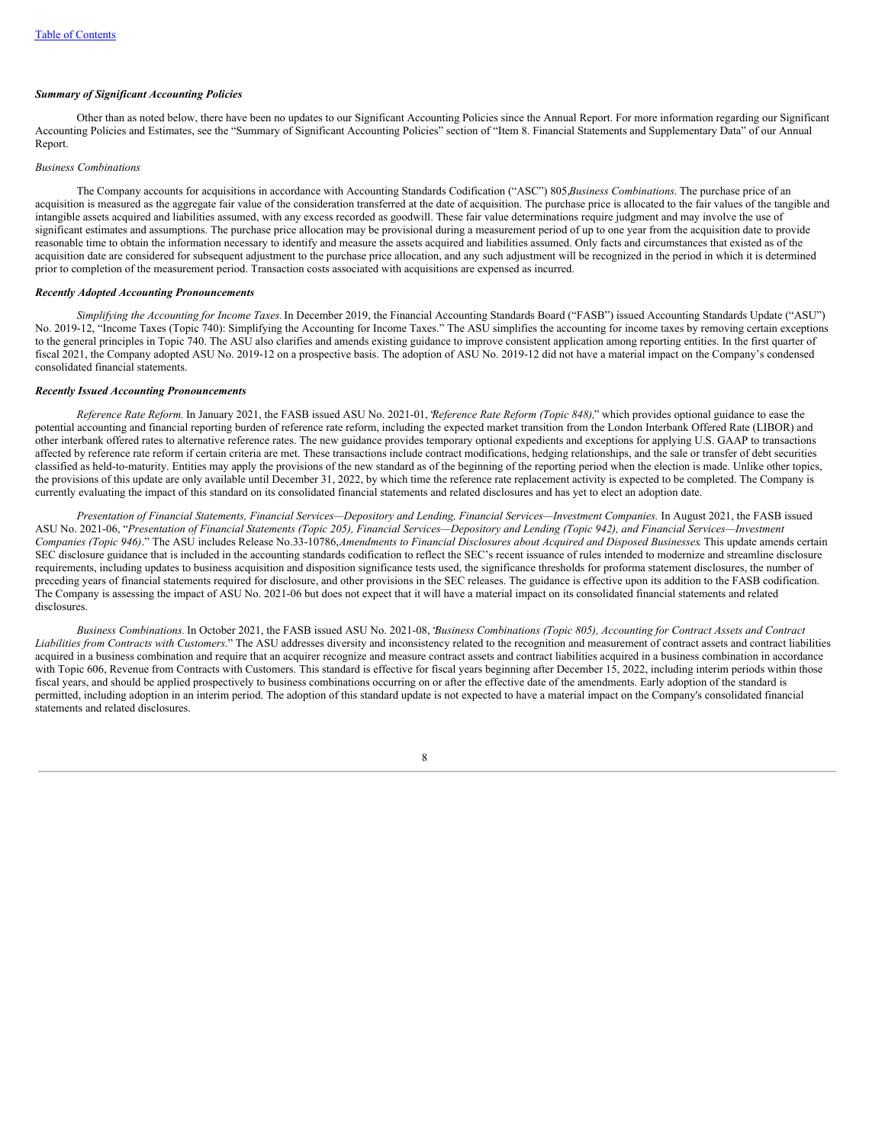## *Summary of Significant Accounting Policies*

Other than as noted below, there have been no updates to our Significant Accounting Policies since the Annual Report. For more information regarding our Significant Accounting Policies and Estimates, see the "Summary of Significant Accounting Policies" section of "Item 8. Financial Statements and Supplementary Data" of our Annual Report.

### *Business Combinations*

The Company accounts for acquisitions in accordance with Accounting Standards Codification ("ASC") 805,*Business Combinations*. The purchase price of an acquisition is measured as the aggregate fair value of the consideration transferred at the date of acquisition. The purchase price is allocated to the fair values of the tangible and intangible assets acquired and liabilities assumed, with any excess recorded as goodwill. These fair value determinations require judgment and may involve the use of significant estimates and assumptions. The purchase price allocation may be provisional during a measurement period of up to one year from the acquisition date to provide reasonable time to obtain the information necessary to identify and measure the assets acquired and liabilities assumed. Only facts and circumstances that existed as of the acquisition date are considered for subsequent adjustment to the purchase price allocation, and any such adjustment will be recognized in the period in which it is determined prior to completion of the measurement period. Transaction costs associated with acquisitions are expensed as incurred.

# *Recently Adopted Accounting Pronouncements*

*Simplifying the Accounting for Income Taxes.*In December 2019, the Financial Accounting Standards Board ("FASB") issued Accounting Standards Update ("ASU") No. 2019-12, "Income Taxes (Topic 740): Simplifying the Accounting for Income Taxes." The ASU simplifies the accounting for income taxes by removing certain exceptions to the general principles in Topic 740. The ASU also clarifies and amends existing guidance to improve consistent application among reporting entities. In the first quarter of fiscal 2021, the Company adopted ASU No. 2019-12 on a prospective basis. The adoption of ASU No. 2019-12 did not have a material impact on the Company's condensed consolidated financial statements.

# *Recently Issued Accounting Pronouncements*

*Reference Rate Reform.* In January 2021, the FASB issued ASU No. 2021-01, "*Reference Rate Reform (Topic 848),*" which provides optional guidance to ease the potential accounting and financial reporting burden of reference rate reform, including the expected market transition from the London Interbank Offered Rate (LIBOR) and other interbank offered rates to alternative reference rates. The new guidance provides temporary optional expedients and exceptions for applying U.S. GAAP to transactions affected by reference rate reform if certain criteria are met. These transactions include contract modifications, hedging relationships, and the sale or transfer of debt securities classified as held-to-maturity. Entities may apply the provisions of the new standard as of the beginning of the reporting period when the election is made. Unlike other topics, the provisions of this update are only available until December 31, 2022, by which time the reference rate replacement activity is expected to be completed. The Company is currently evaluating the impact of this standard on its consolidated financial statements and related disclosures and has yet to elect an adoption date.

Presentation of Financial Statements, Financial Services-Depository and Lending, Financial Services-Investment Companies. In August 2021, the FASB issued ASU No. 2021-06, "Presentation of Financial Statements (Topic 205), Financial Services-Depository and Lending (Topic 942), and Financial Services-Investment Companies (Topic 946)." The ASU includes Release No.33-10786, Amendments to Financial Disclosures about Acquired and Disposed Businesses. This update amends certain SEC disclosure guidance that is included in the accounting standards codification to reflect the SEC's recent issuance of rules intended to modernize and streamline disclosure requirements, including updates to business acquisition and disposition significance tests used, the significance thresholds for proforma statement disclosures, the number of preceding years of financial statements required for disclosure, and other provisions in the SEC releases. The guidance is effective upon its addition to the FASB codification. The Company is assessing the impact of ASU No. 2021-06 but does not expect that it will have a material impact on its consolidated financial statements and related disclosures.

Business Combinations. In October 2021, the FASB issued ASU No. 2021-08, 'Business Combinations (Topic 805), Accounting for Contract Assets and Contract *Liabilities from Contracts with Customers*." The ASU addresses diversity and inconsistency related to the recognition and measurement of contract assets and contract liabilities acquired in a business combination and require that an acquirer recognize and measure contract assets and contract liabilities acquired in a business combination in accordance with Topic 606, Revenue from Contracts with Customers. This standard is effective for fiscal years beginning after December 15, 2022, including interim periods within those fiscal years, and should be applied prospectively to business combinations occurring on or after the effective date of the amendments. Early adoption of the standard is permitted, including adoption in an interim period. The adoption of this standard update is not expected to have a material impact on the Company's consolidated financial statements and related disclosures.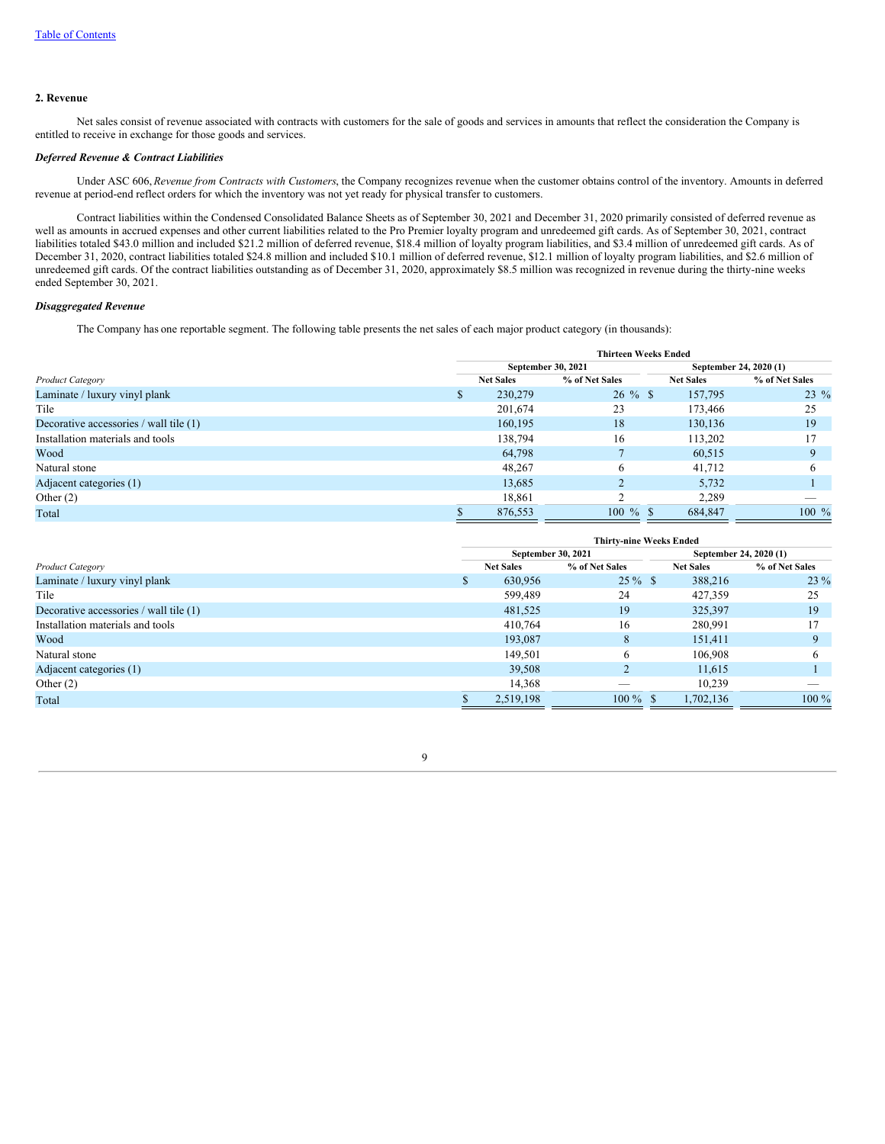# **2. Revenue**

Net sales consist of revenue associated with contracts with customers for the sale of goods and services in amounts that reflect the consideration the Company is entitled to receive in exchange for those goods and services.

# *Deferred Revenue & Contract Liabilities*

Under ASC 606, *Revenue from Contracts with Customers*, the Company recognizes revenue when the customer obtains control of the inventory. Amounts in deferred revenue at period-end reflect orders for which the inventory was not yet ready for physical transfer to customers.

Contract liabilities within the Condensed Consolidated Balance Sheets as of September 30, 2021 and December 31, 2020 primarily consisted of deferred revenue as well as amounts in accrued expenses and other current liabilities related to the Pro Premier loyalty program and unredeemed gift cards. As of September 30, 2021, contract liabilities totaled \$43.0 million and included \$21.2 million of deferred revenue, \$18.4 million of loyalty program liabilities, and \$3.4 million of unredeemed gift cards. As of December 31, 2020, contract liabilities totaled \$24.8 million and included \$10.1 million of deferred revenue, \$12.1 million of loyalty program liabilities, and \$2.6 million of unredeemed gift cards. Of the contract liabilities outstanding as of December 31, 2020, approximately \$8.5 million was recognized in revenue during the thirty-nine weeks ended September 30, 2021.

# *Disaggregated Revenue*

The Company has one reportable segment. The following table presents the net sales of each major product category (in thousands):

|                                        |   |                  | <b>September 30, 2021</b> |                  | September 24, 2020 (1) |
|----------------------------------------|---|------------------|---------------------------|------------------|------------------------|
| <b>Product Category</b>                |   | <b>Net Sales</b> | % of Net Sales            | <b>Net Sales</b> | % of Net Sales         |
| Laminate / luxury vinyl plank          | Ð | 230,279          | $26 \%$ \$                | 157,795          | $23\%$                 |
| Tile                                   |   | 201,674          | 23                        | 173,466          | 25                     |
| Decorative accessories / wall tile (1) |   | 160,195          | 18                        | 130,136          | 19                     |
| Installation materials and tools       |   | 138,794          | 16                        | 113,202          | 17                     |
| Wood                                   |   | 64,798           |                           | 60,515           | 9                      |
| Natural stone                          |   | 48.267           | 6                         | 41,712           | 6                      |
| Adjacent categories (1)                |   | 13,685           | $\bigcap$                 | 5,732            |                        |
| Other $(2)$                            |   | 18.861           | ◠                         | 2,289            | _                      |
| Total                                  |   | 876,553          | $100 \%$ \$               | 684,847          | $100\%$                |

|                                        | <b>Thirty-nine Weeks Ended</b> |                  |                    |                  |                        |  |  |  |  |  |
|----------------------------------------|--------------------------------|------------------|--------------------|------------------|------------------------|--|--|--|--|--|
|                                        |                                |                  | September 30, 2021 |                  | September 24, 2020 (1) |  |  |  |  |  |
| <b>Product Category</b>                |                                | <b>Net Sales</b> | % of Net Sales     | <b>Net Sales</b> | % of Net Sales         |  |  |  |  |  |
| Laminate / luxury vinyl plank          |                                | 630,956          | $25\%$ \$          | 388,216          | 23 %                   |  |  |  |  |  |
| Tile                                   |                                | 599,489          | 24                 | 427,359          | 25                     |  |  |  |  |  |
| Decorative accessories / wall tile (1) |                                | 481,525          | 19                 | 325,397          | 19                     |  |  |  |  |  |
| Installation materials and tools       |                                | 410,764          | 16                 | 280,991          | 17                     |  |  |  |  |  |
| Wood                                   |                                | 193,087          | 8                  | 151,411          | 9                      |  |  |  |  |  |
| Natural stone                          |                                | 149,501          | 6                  | 106,908          | 6                      |  |  |  |  |  |
| Adjacent categories (1)                |                                | 39,508           |                    | 11,615           |                        |  |  |  |  |  |
| Other $(2)$                            |                                | 14,368           |                    | 10,239           |                        |  |  |  |  |  |
| Total                                  |                                | 2,519,198        | $100\%$ \$         | 1,702,136        | 100 %                  |  |  |  |  |  |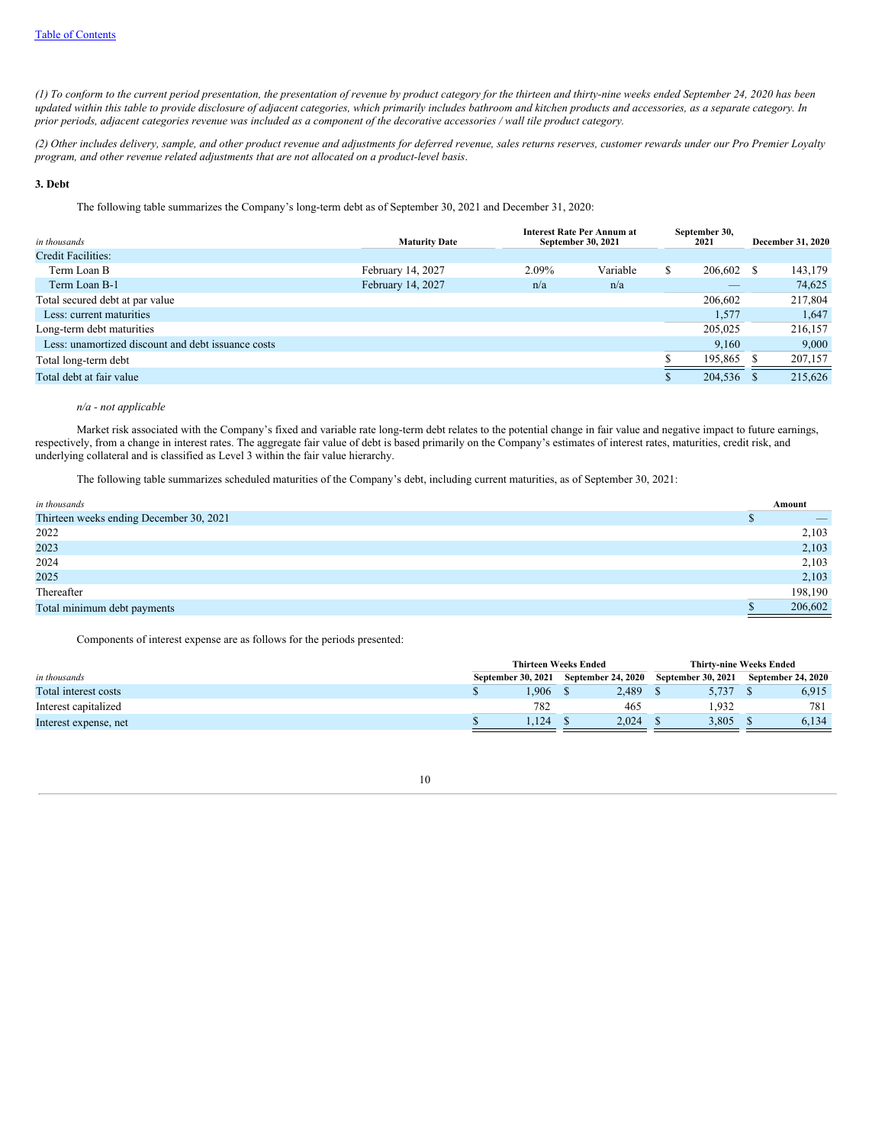(1) To conform to the current period presentation, the presentation of revenue by product category for the thirteen and thirty-nine weeks ended September 24, 2020 has been updated within this table to provide disclosure of adjacent categories, which primarily includes bathroom and kitchen products and accessories, as a separate category. In prior periods, adjacent categories revenue was included as a component of the decorative accessories / wall tile product category.

(2) Other includes delivery, sample, and other product revenue and adjustments for deferred revenue, sales returns reserves, customer rewards under our Pro Premier Loyalty *program, and other revenue related adjustments that are not allocated on a product-level basis*.

#### **3. Debt**

The following table summarizes the Company's long-term debt as of September 30, 2021 and December 31, 2020:

| in thousands                                       | <b>Maturity Date</b> | <b>Interest Rate Per Annum at</b><br>September 30, 2021 |          | September 30,<br>2021 | <b>December 31, 2020</b> |
|----------------------------------------------------|----------------------|---------------------------------------------------------|----------|-----------------------|--------------------------|
| <b>Credit Facilities:</b>                          |                      |                                                         |          |                       |                          |
| Term Loan B                                        | February 14, 2027    | 2.09%                                                   | Variable | 206,602               | 143,179                  |
| Term Loan B-1                                      | February 14, 2027    | n/a                                                     | n/a      |                       | 74,625                   |
| Total secured debt at par value                    |                      |                                                         |          | 206,602               | 217,804                  |
| Less: current maturities                           |                      |                                                         |          | 1,577                 | 1,647                    |
| Long-term debt maturities                          |                      |                                                         |          | 205,025               | 216,157                  |
| Less: unamortized discount and debt issuance costs |                      |                                                         |          | 9.160                 | 9,000                    |
| Total long-term debt                               |                      |                                                         |          | 195,865               | 207,157                  |
| Total debt at fair value                           |                      |                                                         |          | 204,536               | 215,626                  |

# *n/a - not applicable*

Market risk associated with the Company's fixed and variable rate long-term debt relates to the potential change in fair value and negative impact to future earnings, respectively, from a change in interest rates. The aggregate fair value of debt is based primarily on the Company's estimates of interest rates, maturities, credit risk, and underlying collateral and is classified as Level 3 within the fair value hierarchy.

The following table summarizes scheduled maturities of the Company's debt, including current maturities, as of September 30, 2021:

| in thousands                            | Amount  |
|-----------------------------------------|---------|
| Thirteen weeks ending December 30, 2021 | _       |
| 2022                                    | 2,103   |
| 2023                                    | 2,103   |
| 2024                                    | 2,103   |
| 2025                                    | 2,103   |
| Thereafter                              | 198,190 |
| Total minimum debt payments             | 206,602 |

Components of interest expense are as follows for the periods presented:

|                       | <b>Thirteen Weeks Ended</b> |       |                    | <b>Thirty-nine Weeks Ended</b> |                    |  |                    |
|-----------------------|-----------------------------|-------|--------------------|--------------------------------|--------------------|--|--------------------|
| in thousands          | September 30, 2021          |       | September 24, 2020 |                                | September 30, 2021 |  | September 24, 2020 |
| Total interest costs  |                             | .906  | 2.489              |                                | 5,737              |  | 6,915              |
| Interest capitalized  |                             | 782   | 465                |                                | 1.932              |  | 781                |
| Interest expense, net |                             | . 124 | 2.024              |                                | 3.805              |  | 6,134              |

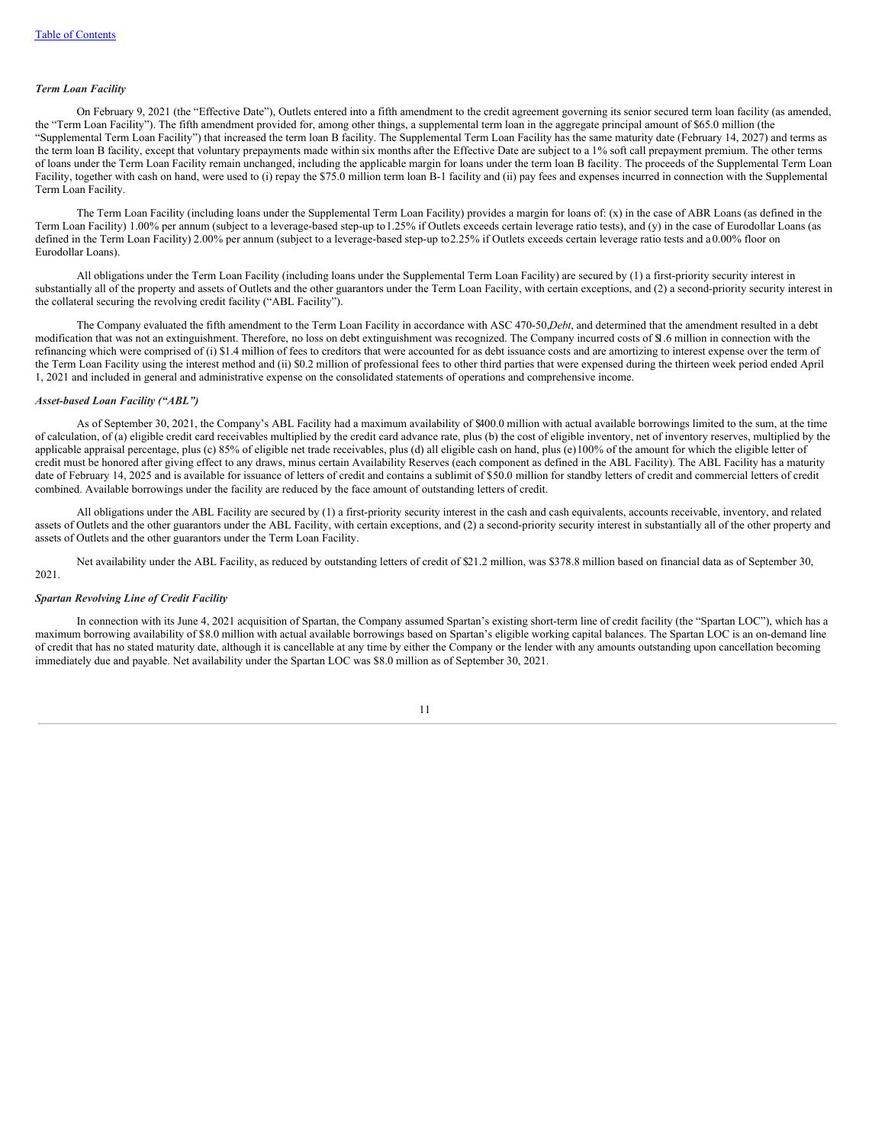#### *Term Loan Facility*

On February 9, 2021 (the "Effective Date"), Outlets entered into a fifth amendment to the credit agreement governing its senior secured term loan facility (as amended, the "Term Loan Facility"). The fifth amendment provided for, among other things, a supplemental term loan in the aggregate principal amount of \$65.0 million (the "Supplemental Term Loan Facility") that increased the term loan B facility. The Supplemental Term Loan Facility has the same maturity date (February 14, 2027) and terms as the term loan B facility, except that voluntary prepayments made within six months after the Effective Date are subject to a 1% soft call prepayment premium. The other terms of loans under the Term Loan Facility remain unchanged, including the applicable margin for loans under the term loan B facility. The proceeds of the Supplemental Term Loan Facility, together with cash on hand, were used to (i) repay the \$75.0 million term loan B-1 facility and (ii) pay fees and expenses incurred in connection with the Supplemental Term Loan Facility.

The Term Loan Facility (including loans under the Supplemental Term Loan Facility) provides a margin for loans of: (x) in the case of ABR Loans (as defined in the Term Loan Facility) 1.00% per annum (subject to a leverage-based step-up to1.25% if Outlets exceeds certain leverage ratio tests), and (y) in the case of Eurodollar Loans (as defined in the Term Loan Facility) 2.00% per annum (subject to a leverage-based step-up to 2.25% if Outlets exceeds certain leverage ratio tests and a 0.00% floor on Eurodollar Loans).

All obligations under the Term Loan Facility (including loans under the Supplemental Term Loan Facility) are secured by (1) a first-priority security interest in substantially all of the property and assets of Outlets and the other guarantors under the Term Loan Facility, with certain exceptions, and (2) a second-priority security interest in the collateral securing the revolving credit facility ("ABL Facility").

The Company evaluated the fifth amendment to the Term Loan Facility in accordance with ASC 470-50,*Debt*, and determined that the amendment resulted in a debt modification that was not an extinguishment. Therefore, no loss on debt extinguishment was recognized. The Company incurred costs of \$1.6 million in connection with the refinancing which were comprised of (i) \$1.4 million of fees to creditors that were accounted for as debt issuance costs and are amortizing to interest expense over the term of the Term Loan Facility using the interest method and (ii) \$0.2 million of professional fees to other third parties that were expensed during the thirteen week period ended April 1, 2021 and included in general and administrative expense on the consolidated statements of operations and comprehensive income.

## *Asset-based Loan Facility ("ABL")*

As of September 30, 2021, the Company's ABL Facility had a maximum availability of \$400.0 million with actual available borrowings limited to the sum, at the time of calculation, of (a) eligible credit card receivables multiplied by the credit card advance rate, plus (b) the cost of eligible inventory, net of inventory reserves, multiplied by the applicable appraisal percentage, plus (c) 85% of eligible net trade receivables, plus (d) all eligible cash on hand, plus (e)100% of the amount for which the eligible letter of credit must be honored after giving effect to any draws, minus certain Availability Reserves (each component as defined in the ABL Facility). The ABL Facility has a maturity date of February 14, 2025 and is available for issuance of letters of credit and contains a sublimit of \$50.0 million for standby letters of credit and commercial letters of credit combined. Available borrowings under the facility are reduced by the face amount of outstanding letters of credit.

All obligations under the ABL Facility are secured by (1) a first-priority security interest in the cash and cash equivalents, accounts receivable, inventory, and related assets of Outlets and the other guarantors under the ABL Facility, with certain exceptions, and (2) a second-priority security interest in substantially all of the other property and assets of Outlets and the other guarantors under the Term Loan Facility.

Net availability under the ABL Facility, as reduced by outstanding letters of credit of \$21.2 million, was \$378.8 million based on financial data as of September 30, 2021.

#### *Spartan Revolving Line of Credit Facility*

In connection with its June 4, 2021 acquisition of Spartan, the Company assumed Spartan's existing short-term line of credit facility (the "Spartan LOC"), which has a maximum borrowing availability of \$8.0 million with actual available borrowings based on Spartan's eligible working capital balances. The Spartan LOC is an on-demand line of credit that has no stated maturity date, although it is cancellable at any time by either the Company or the lender with any amounts outstanding upon cancellation becoming immediately due and payable. Net availability under the Spartan LOC was \$8.0 million as of September 30, 2021.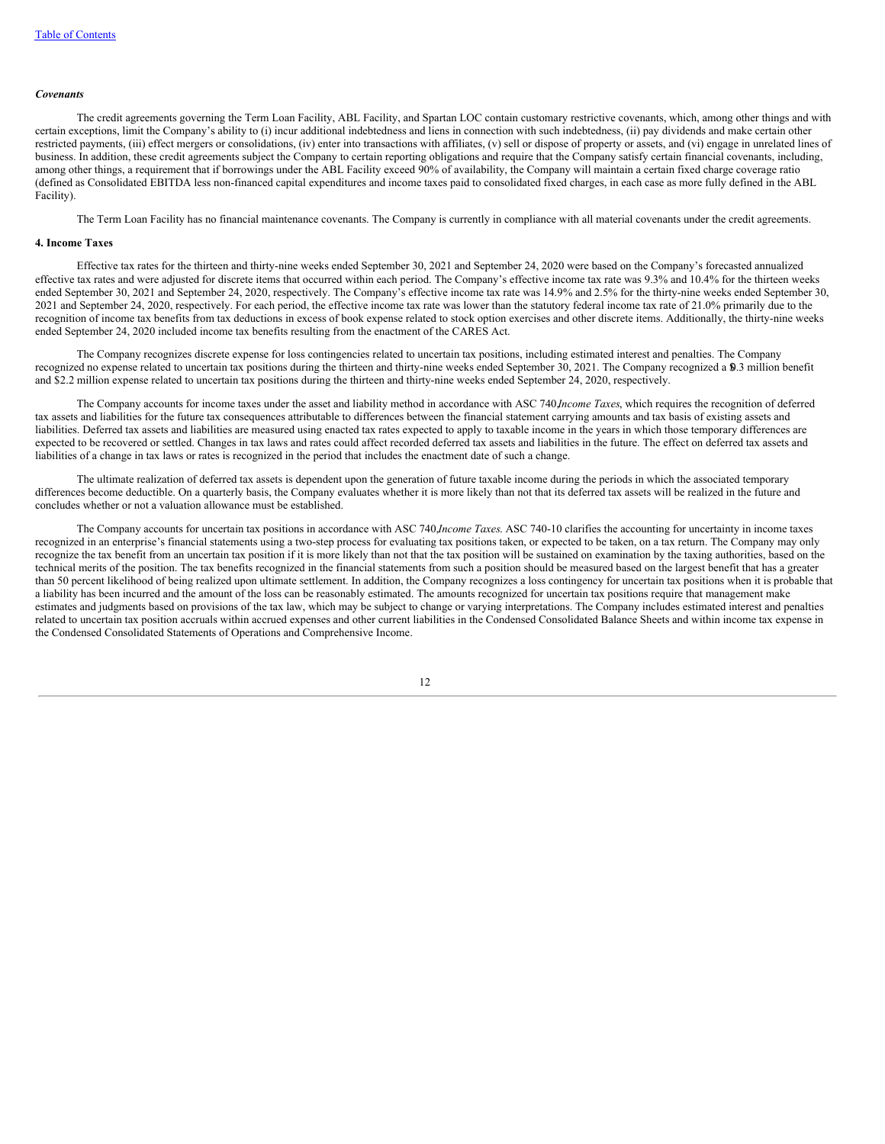#### *Covenants*

The credit agreements governing the Term Loan Facility, ABL Facility, and Spartan LOC contain customary restrictive covenants, which, among other things and with certain exceptions, limit the Company's ability to (i) incur additional indebtedness and liens in connection with such indebtedness, (ii) pay dividends and make certain other restricted payments, (iii) effect mergers or consolidations, (iv) enter into transactions with affiliates, (v) sell or dispose of property or assets, and (vi) engage in unrelated lines of business. In addition, these credit agreements subject the Company to certain reporting obligations and require that the Company satisfy certain financial covenants, including, among other things, a requirement that if borrowings under the ABL Facility exceed 90% of availability, the Company will maintain a certain fixed charge coverage ratio (defined as Consolidated EBITDA less non-financed capital expenditures and income taxes paid to consolidated fixed charges, in each case as more fully defined in the ABL Facility).

The Term Loan Facility has no financial maintenance covenants. The Company is currently in compliance with all material covenants under the credit agreements.

#### **4. Income Taxes**

Effective tax rates for the thirteen and thirty-nine weeks ended September 30, 2021 and September 24, 2020 were based on the Company's forecasted annualized effective tax rates and were adjusted for discrete items that occurred within each period. The Company's effective income tax rate was 9.3% and 10.4% for the thirteen weeks ended September 30, 2021 and September 24, 2020, respectively. The Company's effective income tax rate was 14.9% and 2.5% for the thirty-nine weeks ended September 30, 2021 and September 24, 2020, respectively. For each period, the effective income tax rate was lower than the statutory federal income tax rate of 21.0% primarily due to the recognition of income tax benefits from tax deductions in excess of book expense related to stock option exercises and other discrete items. Additionally, the thirty-nine weeks ended September 24, 2020 included income tax benefits resulting from the enactment of the CARES Act.

The Company recognizes discrete expense for loss contingencies related to uncertain tax positions, including estimated interest and penalties. The Company recognized no expense related to uncertain tax positions during the thirteen and thirty-nine weeks ended September 30, 2021. The Company recognized a \$0.3 million benefit and \$2.2 million expense related to uncertain tax positions during the thirteen and thirty-nine weeks ended September 24, 2020, respectively.

The Company accounts for income taxes under the asset and liability method in accordance with ASC 740,*Income Taxes*, which requires the recognition of deferred tax assets and liabilities for the future tax consequences attributable to differences between the financial statement carrying amounts and tax basis of existing assets and liabilities. Deferred tax assets and liabilities are measured using enacted tax rates expected to apply to taxable income in the years in which those temporary differences are expected to be recovered or settled. Changes in tax laws and rates could affect recorded deferred tax assets and liabilities in the future. The effect on deferred tax assets and liabilities of a change in tax laws or rates is recognized in the period that includes the enactment date of such a change.

The ultimate realization of deferred tax assets is dependent upon the generation of future taxable income during the periods in which the associated temporary differences become deductible. On a quarterly basis, the Company evaluates whether it is more likely than not that its deferred tax assets will be realized in the future and concludes whether or not a valuation allowance must be established.

The Company accounts for uncertain tax positions in accordance with ASC 740,*Income Taxes*. ASC 740-10 clarifies the accounting for uncertainty in income taxes recognized in an enterprise's financial statements using a two-step process for evaluating tax positions taken, or expected to be taken, on a tax return. The Company may only recognize the tax benefit from an uncertain tax position if it is more likely than not that the tax position will be sustained on examination by the taxing authorities, based on the technical merits of the position. The tax benefits recognized in the financial statements from such a position should be measured based on the largest benefit that has a greater than 50 percent likelihood of being realized upon ultimate settlement. In addition, the Company recognizes a loss contingency for uncertain tax positions when it is probable that a liability has been incurred and the amount of the loss can be reasonably estimated. The amounts recognized for uncertain tax positions require that management make estimates and judgments based on provisions of the tax law, which may be subject to change or varying interpretations. The Company includes estimated interest and penalties related to uncertain tax position accruals within accrued expenses and other current liabilities in the Condensed Consolidated Balance Sheets and within income tax expense in the Condensed Consolidated Statements of Operations and Comprehensive Income.

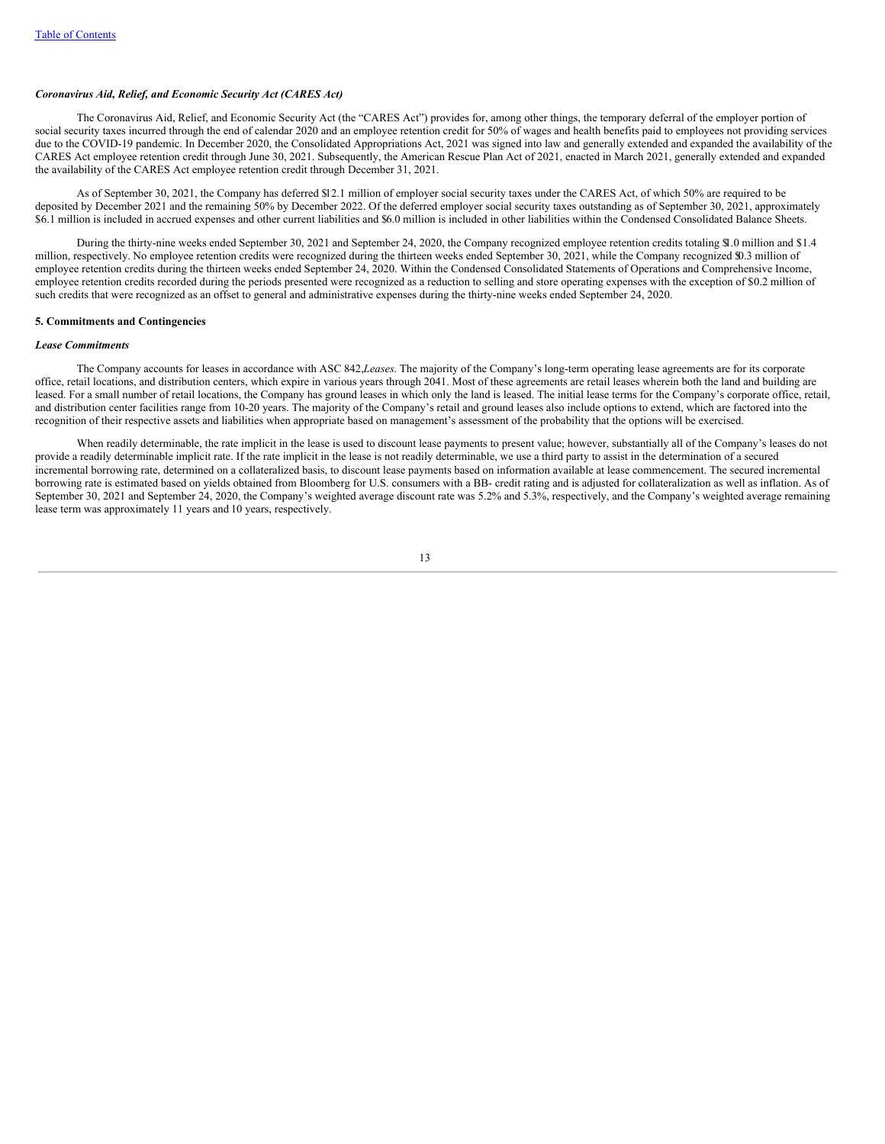## *Coronavirus Aid, Relief, and Economic Security Act (CARES Act)*

The Coronavirus Aid, Relief, and Economic Security Act (the "CARES Act") provides for, among other things, the temporary deferral of the employer portion of social security taxes incurred through the end of calendar 2020 and an employee retention credit for 50% of wages and health benefits paid to employees not providing services due to the COVID-19 pandemic. In December 2020, the Consolidated Appropriations Act, 2021 was signed into law and generally extended and expanded the availability of the CARES Act employee retention credit through June 30, 2021. Subsequently, the American Rescue Plan Act of 2021, enacted in March 2021, generally extended and expanded the availability of the CARES Act employee retention credit through December 31, 2021.

As of September 30, 2021, the Company has deferred \$12.1 million of employer social security taxes under the CARES Act, of which 50% are required to be deposited by December 2021 and the remaining 50% by December 2022. Of the deferred employer social security taxes outstanding as of September 30, 2021, approximately \$6.1 million is included in accrued expenses and other current liabilities and \$6.0 million is included in other liabilities within the Condensed Consolidated Balance Sheets.

During the thirty-nine weeks ended September 30, 2021 and September 24, 2020, the Company recognized employee retention credits totaling \$1.0 million and \$1.4 million, respectively. No employee retention credits were recognized during the thirteen weeks ended September 30, 2021, while the Company recognized \$0.3 million of employee retention credits during the thirteen weeks ended September 24, 2020. Within the Condensed Consolidated Statements of Operations and Comprehensive Income, employee retention credits recorded during the periods presented were recognized as a reduction to selling and store operating expenses with the exception of \$0.2 million of such credits that were recognized as an offset to general and administrative expenses during the thirty-nine weeks ended September 24, 2020.

#### **5. Commitments and Contingencies**

#### *Lease Commitments*

The Company accounts for leases in accordance with ASC 842,*Leases*. The majority of the Company's long-term operating lease agreements are for its corporate office, retail locations, and distribution centers, which expire in various years through 2041. Most of these agreements are retail leases wherein both the land and building are leased. For a small number of retail locations, the Company has ground leases in which only the land is leased. The initial lease terms for the Company's corporate office, retail, and distribution center facilities range from 10-20 years. The majority of the Company's retail and ground leases also include options to extend, which are factored into the recognition of their respective assets and liabilities when appropriate based on management's assessment of the probability that the options will be exercised.

When readily determinable, the rate implicit in the lease is used to discount lease payments to present value; however, substantially all of the Company's leases do not provide a readily determinable implicit rate. If the rate implicit in the lease is not readily determinable, we use a third party to assist in the determination of a secured incremental borrowing rate, determined on a collateralized basis, to discount lease payments based on information available at lease commencement. The secured incremental borrowing rate is estimated based on yields obtained from Bloomberg for U.S. consumers with a BB- credit rating and is adjusted for collateralization as well as inflation. As of September 30, 2021 and September 24, 2020, the Company's weighted average discount rate was 5.2% and 5.3%, respectively, and the Company's weighted average remaining lease term was approximately 11 years and 10 years, respectively.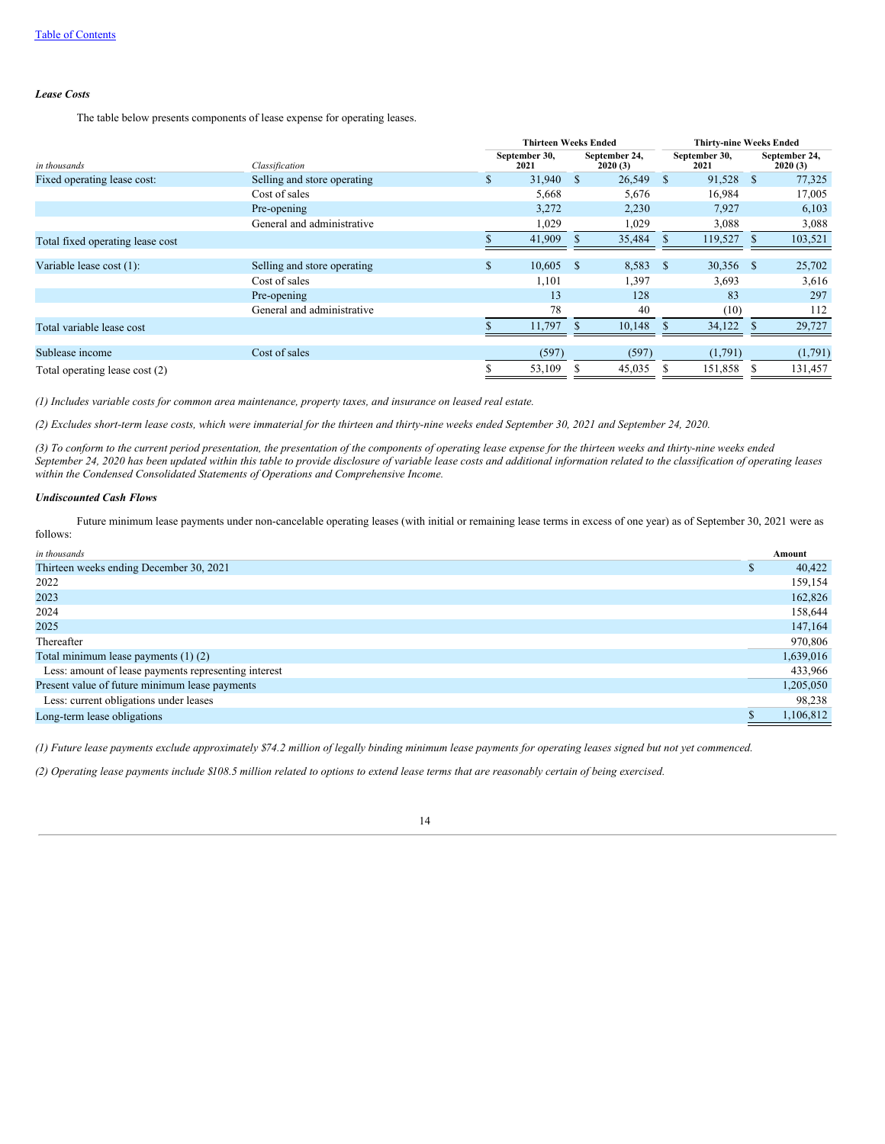## *Lease Costs*

The table below presents components of lease expense for operating leases.

|                                  |                             |  | <b>Thirteen Weeks Ended</b> |                       |              |                          |          | <b>Thirty-nine Weeks Ended</b> |               |                          |  |
|----------------------------------|-----------------------------|--|-----------------------------|-----------------------|--------------|--------------------------|----------|--------------------------------|---------------|--------------------------|--|
| Classification<br>in thousands   |                             |  |                             | September 30,<br>2021 |              | September 24,<br>2020(3) |          | September 30,<br>2021          |               | September 24,<br>2020(3) |  |
| Fixed operating lease cost:      | Selling and store operating |  | \$                          | 31,940                | <sup>S</sup> | 26,549                   | S        | 91,528                         | <sup>\$</sup> | 77,325                   |  |
|                                  | Cost of sales               |  |                             | 5,668                 |              | 5,676                    |          | 16,984                         |               | 17,005                   |  |
|                                  | Pre-opening                 |  |                             | 3,272                 |              | 2,230                    |          | 7,927                          |               | 6,103                    |  |
|                                  | General and administrative  |  |                             | 1,029                 |              | 1,029                    |          | 3,088                          |               | 3,088                    |  |
| Total fixed operating lease cost |                             |  |                             | 41,909                |              | 35,484                   | <b>S</b> | 119,527                        | <b>S</b>      | 103,521                  |  |
|                                  |                             |  |                             |                       |              |                          |          |                                |               |                          |  |
| Variable lease cost (1):         | Selling and store operating |  | \$                          | $10,605$ \$           |              | 8,583                    | - \$     | 30,356 \$                      |               | 25,702                   |  |
|                                  | Cost of sales               |  |                             | 1,101                 |              | 1,397                    |          | 3,693                          |               | 3,616                    |  |
|                                  | Pre-opening                 |  |                             | 13                    |              | 128                      |          | 83                             |               | 297                      |  |
|                                  | General and administrative  |  |                             | 78                    |              | 40                       |          | (10)                           |               | 112                      |  |
| Total variable lease cost        |                             |  |                             | 11,797                |              | 10,148                   |          | 34,122                         |               | 29,727                   |  |
| Sublease income                  | Cost of sales               |  |                             | (597)                 |              | (597)                    |          | (1,791)                        |               | (1,791)                  |  |
| Total operating lease cost (2)   |                             |  |                             | 53,109                |              | 45,035                   |          | 151,858                        |               | 131,457                  |  |

*(1) Includes variable costs for common area maintenance, property taxes, and insurance on leased real estate.*

(2) Excludes short-term lease costs, which were immaterial for the thirteen and thirty-nine weeks ended September 30, 2021 and September 24, 2020.

(3) To conform to the current period presentation, the presentation of the components of operating lease expense for the thirteen weeks and thirty-nine weeks ended September 24, 2020 has been updated within this table to provide disclosure of variable lease costs and additional information related to the classification of operating leases *within the Condensed Consolidated Statements of Operations and Comprehensive Income.*

# *Undiscounted Cash Flows*

Future minimum lease payments under non-cancelable operating leases (with initial or remaining lease terms in excess of one year) as of September 30, 2021 were as follows:

| in thousands                                         |   | Amount    |
|------------------------------------------------------|---|-----------|
| Thirteen weeks ending December 30, 2021              | Ð | 40,422    |
| 2022                                                 |   | 159,154   |
| 2023                                                 |   | 162,826   |
| 2024                                                 |   | 158,644   |
| 2025                                                 |   | 147,164   |
| Thereafter                                           |   | 970,806   |
| Total minimum lease payments $(1)$ $(2)$             |   | 1,639,016 |
| Less: amount of lease payments representing interest |   | 433,966   |
| Present value of future minimum lease payments       |   | 1,205,050 |
| Less: current obligations under leases               |   | 98,238    |
| Long-term lease obligations                          |   | 1,106,812 |

(1) Future lease payments exclude approximately \$74.2 million of legally binding minimum lease payments for operating leases signed but not yet commenced.

(2) Operating lease payments include \$108.5 million related to options to extend lease terms that are reasonably certain of being exercised.

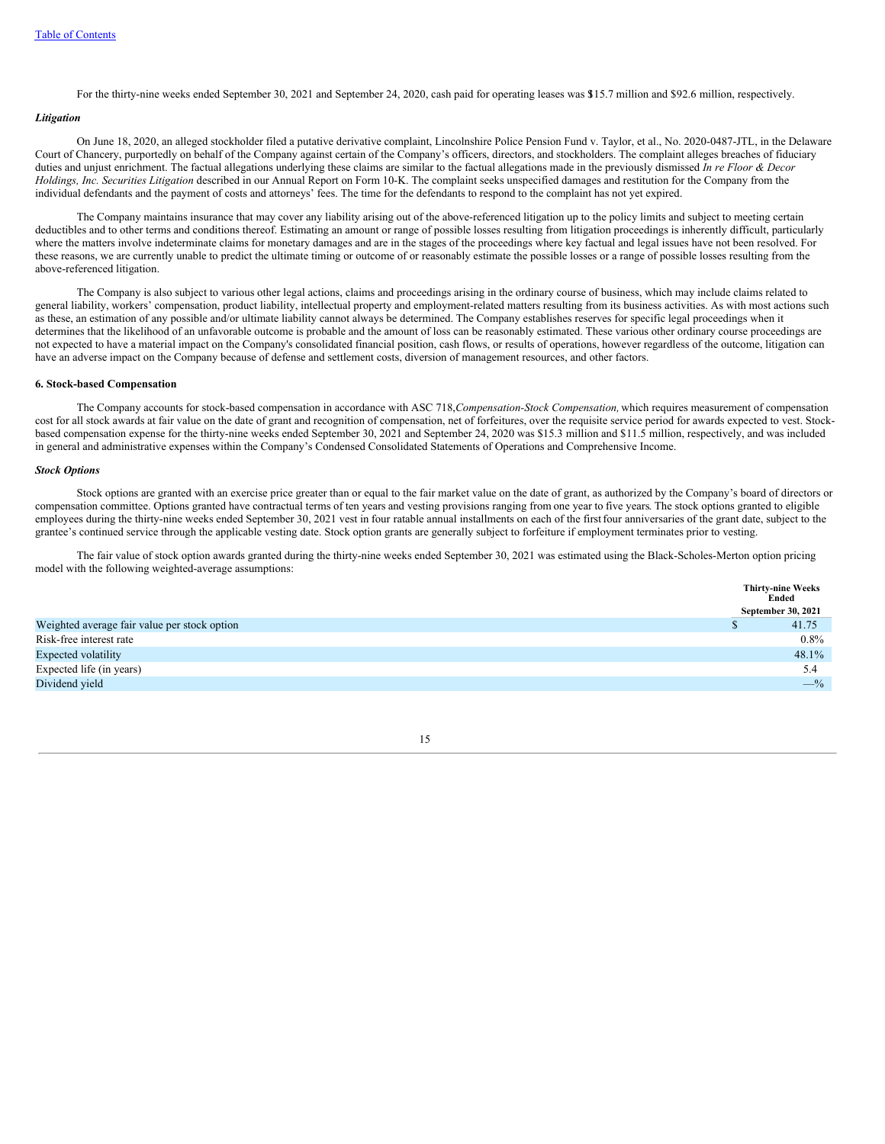For the thirty-nine weeks ended September 30, 2021 and September 24, 2020, cash paid for operating leases was \$15.7 million and \$92.6 million, respectively.

# *Litigation*

On June 18, 2020, an alleged stockholder filed a putative derivative complaint, Lincolnshire Police Pension Fund v. Taylor, et al., No. 2020-0487-JTL, in the Delaware Court of Chancery, purportedly on behalf of the Company against certain of the Company's officers, directors, and stockholders. The complaint alleges breaches of fiduciary duties and unjust enrichment. The factual allegations underlying these claims are similar to the factual allegations made in the previously dismissed *In re Floor & Decor Holdings, Inc. Securities Litigation* described in our Annual Report on Form 10-K. The complaint seeks unspecified damages and restitution for the Company from the individual defendants and the payment of costs and attorneys' fees. The time for the defendants to respond to the complaint has not yet expired.

The Company maintains insurance that may cover any liability arising out of the above-referenced litigation up to the policy limits and subject to meeting certain deductibles and to other terms and conditions thereof. Estimating an amount or range of possible losses resulting from litigation proceedings is inherently difficult, particularly where the matters involve indeterminate claims for monetary damages and are in the stages of the proceedings where key factual and legal issues have not been resolved. For these reasons, we are currently unable to predict the ultimate timing or outcome of or reasonably estimate the possible losses or a range of possible losses resulting from the above-referenced litigation.

The Company is also subject to various other legal actions, claims and proceedings arising in the ordinary course of business, which may include claims related to general liability, workers' compensation, product liability, intellectual property and employment-related matters resulting from its business activities. As with most actions such as these, an estimation of any possible and/or ultimate liability cannot always be determined. The Company establishes reserves for specific legal proceedings when it determines that the likelihood of an unfavorable outcome is probable and the amount of loss can be reasonably estimated. These various other ordinary course proceedings are not expected to have a material impact on the Company's consolidated financial position, cash flows, or results of operations, however regardless of the outcome, litigation can have an adverse impact on the Company because of defense and settlement costs, diversion of management resources, and other factors.

#### **6. Stock-based Compensation**

The Company accounts for stock-based compensation in accordance with ASC 718,*Compensation-Stock Compensation,* which requires measurement of compensation cost for all stock awards at fair value on the date of grant and recognition of compensation, net of forfeitures, over the requisite service period for awards expected to vest. Stockbased compensation expense for the thirty-nine weeks ended September 30, 2021 and September 24, 2020 was \$15.3 million and \$11.5 million, respectively, and was included in general and administrative expenses within the Company's Condensed Consolidated Statements of Operations and Comprehensive Income.

#### *Stock Options*

Stock options are granted with an exercise price greater than or equal to the fair market value on the date of grant, as authorized by the Company's board of directors or compensation committee. Options granted have contractual terms of ten years and vesting provisions ranging from one year to five years. The stock options granted to eligible employees during the thirty-nine weeks ended September 30, 2021 vest in four ratable annual installments on each of the first four anniversaries of the grant date, subject to the grantee's continued service through the applicable vesting date. Stock option grants are generally subject to forfeiture if employment terminates prior to vesting.

The fair value of stock option awards granted during the thirty-nine weeks ended September 30, 2021 was estimated using the Black-Scholes-Merton option pricing model with the following weighted-average assumptions:

|                                              | <b>Thirty-nine Weeks</b><br>Ended |
|----------------------------------------------|-----------------------------------|
|                                              | September 30, 2021                |
| Weighted average fair value per stock option | 41.75                             |
| Risk-free interest rate                      | $0.8\%$                           |
| <b>Expected volatility</b>                   | 48.1%                             |
| Expected life (in years)                     | 5.4                               |
| Dividend yield                               | $-$ %                             |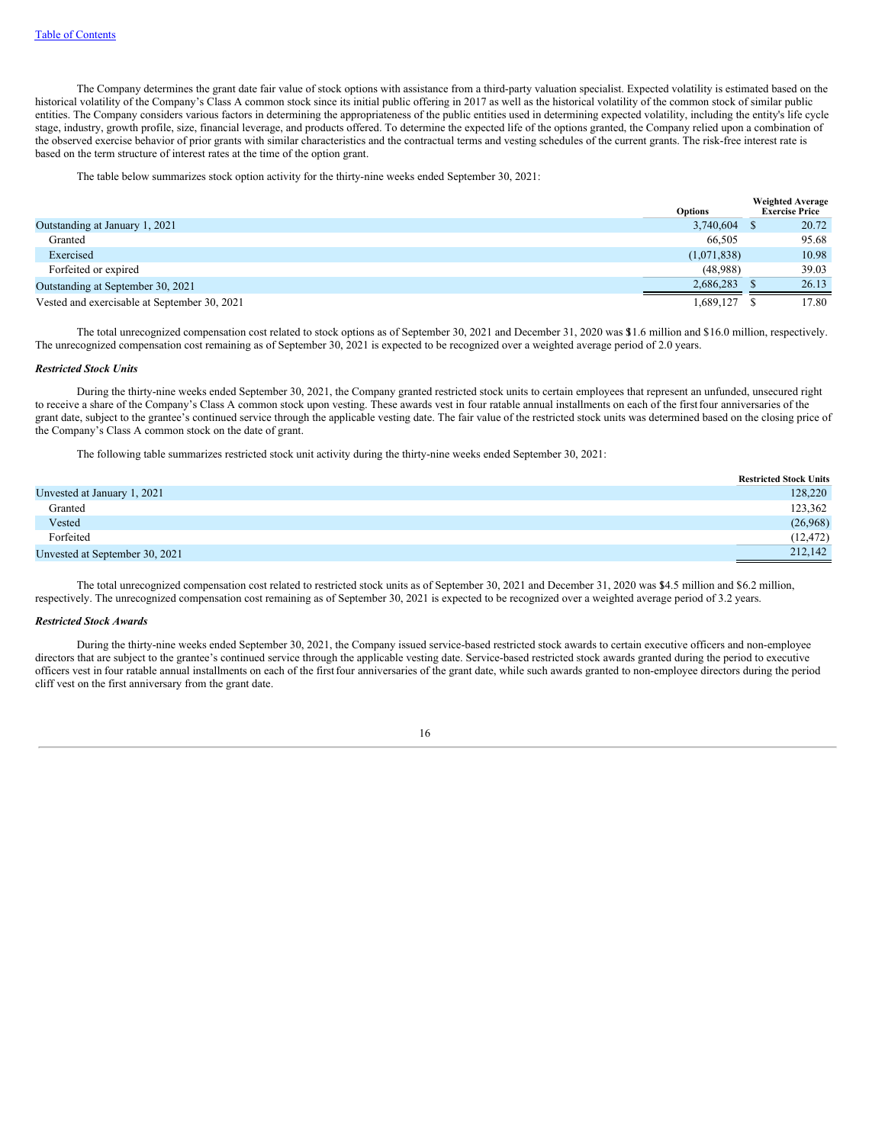The Company determines the grant date fair value of stock options with assistance from a third-party valuation specialist. Expected volatility is estimated based on the historical volatility of the Company's Class A common stock since its initial public offering in 2017 as well as the historical volatility of the common stock of similar public entities. The Company considers various factors in determining the appropriateness of the public entities used in determining expected volatility, including the entity's life cycle stage, industry, growth profile, size, financial leverage, and products offered. To determine the expected life of the options granted, the Company relied upon a combination of the observed exercise behavior of prior grants with similar characteristics and the contractual terms and vesting schedules of the current grants. The risk-free interest rate is based on the term structure of interest rates at the time of the option grant.

The table below summarizes stock option activity for the thirty-nine weeks ended September 30, 2021:

|                                              | Options     | <b>Weighted Average</b><br><b>Exercise Price</b> |  |
|----------------------------------------------|-------------|--------------------------------------------------|--|
| Outstanding at January 1, 2021               | 3,740,604   | 20.72                                            |  |
| Granted                                      | 66,505      | 95.68                                            |  |
| Exercised                                    | (1,071,838) | 10.98                                            |  |
| Forfeited or expired                         | (48,988)    | 39.03                                            |  |
| Outstanding at September 30, 2021            | 2,686,283   | 26.13                                            |  |
| Vested and exercisable at September 30, 2021 | 1,689,127   | 17.80                                            |  |

The total unrecognized compensation cost related to stock options as of September 30, 2021 and December 31, 2020 was \$1.6 million and \$16.0 million, respectively. The unrecognized compensation cost remaining as of September 30, 2021 is expected to be recognized over a weighted average period of 2.0 years.

#### *Restricted Stock Units*

During the thirty-nine weeks ended September 30, 2021, the Company granted restricted stock units to certain employees that represent an unfunded, unsecured right to receive a share of the Company's Class A common stock upon vesting. These awards vest in four ratable annual installments on each of the firstfour anniversaries of the grant date, subject to the grantee's continued service through the applicable vesting date. The fair value of the restricted stock units was determined based on the closing price of the Company's Class A common stock on the date of grant.

The following table summarizes restricted stock unit activity during the thirty-nine weeks ended September 30, 2021:

|                                | <b>Restricted Stock Units</b> |
|--------------------------------|-------------------------------|
| Unvested at January 1, 2021    | 128,220                       |
| Granted                        | 123,362                       |
| Vested                         | (26,968)                      |
| Forfeited                      | (12, 472)                     |
| Unvested at September 30, 2021 | 212,142                       |

The total unrecognized compensation cost related to restricted stock units as of September 30, 2021 and December 31, 2020 was \$14.5 million and \$6.2 million, respectively. The unrecognized compensation cost remaining as of September 30, 2021 is expected to be recognized over a weighted average period of 3.2 years.

# *Restricted Stock Awards*

During the thirty-nine weeks ended September 30, 2021, the Company issued service-based restricted stock awards to certain executive officers and non-employee directors that are subject to the grantee's continued service through the applicable vesting date. Service-based restricted stock awards granted during the period to executive officers vest in four ratable annual installments on each of the firstfour anniversaries of the grant date, while such awards granted to non-employee directors during the period cliff vest on the first anniversary from the grant date.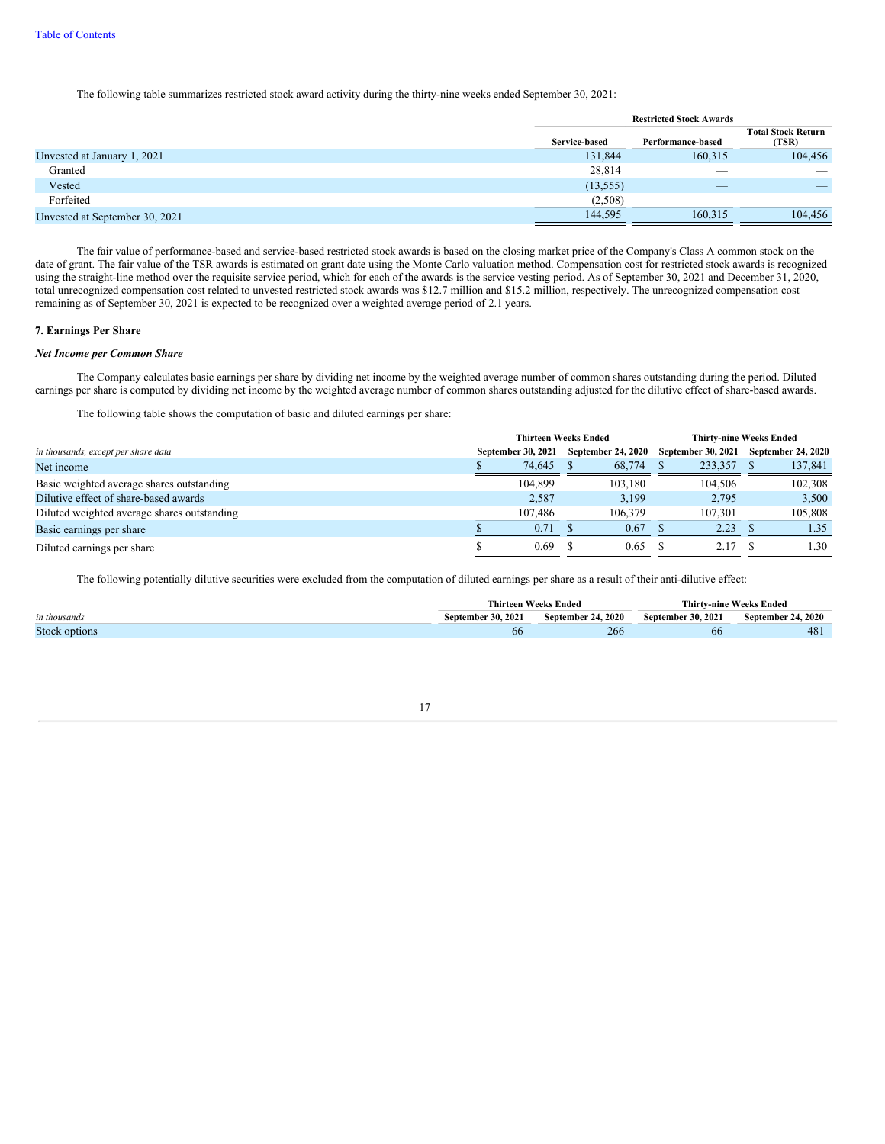The following table summarizes restricted stock award activity during the thirty-nine weeks ended September 30, 2021:

|                                |                      | <b>Restricted Stock Awards</b> |                                    |
|--------------------------------|----------------------|--------------------------------|------------------------------------|
|                                | <b>Service-based</b> | Performance-based              | <b>Total Stock Return</b><br>(TSR) |
| Unvested at January 1, 2021    | 131,844              | 160,315                        | 104,456                            |
| Granted                        | 28,814               | __                             | $\sim$                             |
| Vested                         | (13, 555)            | $\overline{\phantom{a}}$       | $\overline{\phantom{a}}$           |
| Forfeited                      | (2,508)              | $\sim$                         | $\overline{\phantom{a}}$           |
| Unvested at September 30, 2021 | 144.595              | 160.315                        | 104,456                            |

The fair value of performance-based and service-based restricted stock awards is based on the closing market price of the Company's Class A common stock on the date of grant. The fair value of the TSR awards is estimated on grant date using the Monte Carlo valuation method. Compensation cost for restricted stock awards is recognized using the straight-line method over the requisite service period, which for each of the awards is the service vesting period. As of September 30, 2021 and December 31, 2020, total unrecognized compensation cost related to unvested restricted stock awards was \$12.7 million and \$15.2 million, respectively. The unrecognized compensation cost remaining as of September 30, 2021 is expected to be recognized over a weighted average period of 2.1 years.

#### **7. Earnings Per Share**

#### *Net Income per Common Share*

The Company calculates basic earnings per share by dividing net income by the weighted average number of common shares outstanding during the period. Diluted earnings per share is computed by dividing net income by the weighted average number of common shares outstanding adjusted for the dilutive effect of share-based awards.

The following table shows the computation of basic and diluted earnings per share:

|                                             | <b>Thirteen Weeks Ended</b> |                    |  | <b>Thirty-nine Weeks Ended</b> |  |                    |  |                           |
|---------------------------------------------|-----------------------------|--------------------|--|--------------------------------|--|--------------------|--|---------------------------|
| in thousands, except per share data         |                             | September 30, 2021 |  | <b>September 24, 2020</b>      |  | September 30, 2021 |  | <b>September 24, 2020</b> |
| Net income                                  |                             | 74.645             |  | 68.774                         |  | 233,357            |  | 137.841                   |
| Basic weighted average shares outstanding   |                             | 104.899            |  | 103.180                        |  | 104.506            |  | 102,308                   |
| Dilutive effect of share-based awards       |                             | 2,587              |  | 3,199                          |  | 2.795              |  | 3,500                     |
| Diluted weighted average shares outstanding |                             | 107.486            |  | 106,379                        |  | 107.301            |  | 105,808                   |
| Basic earnings per share                    |                             | 0.71               |  | 0.67                           |  | 2.23               |  | 1.35                      |
| Diluted earnings per share                  |                             | 0.69               |  | 0.65                           |  | 2.17               |  | 1.30                      |

The following potentially dilutive securities were excluded from the computation of diluted earnings per share as a result of their anti-dilutive effect:

|               | <b>Thirteen Weeks Ended</b> |                    |                    | <b>Thirty-nine Weeks Ended</b> |
|---------------|-----------------------------|--------------------|--------------------|--------------------------------|
| in thousands  | September 30, 2021          | September 24, 2020 | September 30, 2021 | September 24, 2020             |
| Stock options |                             | 266                | 66                 | 481                            |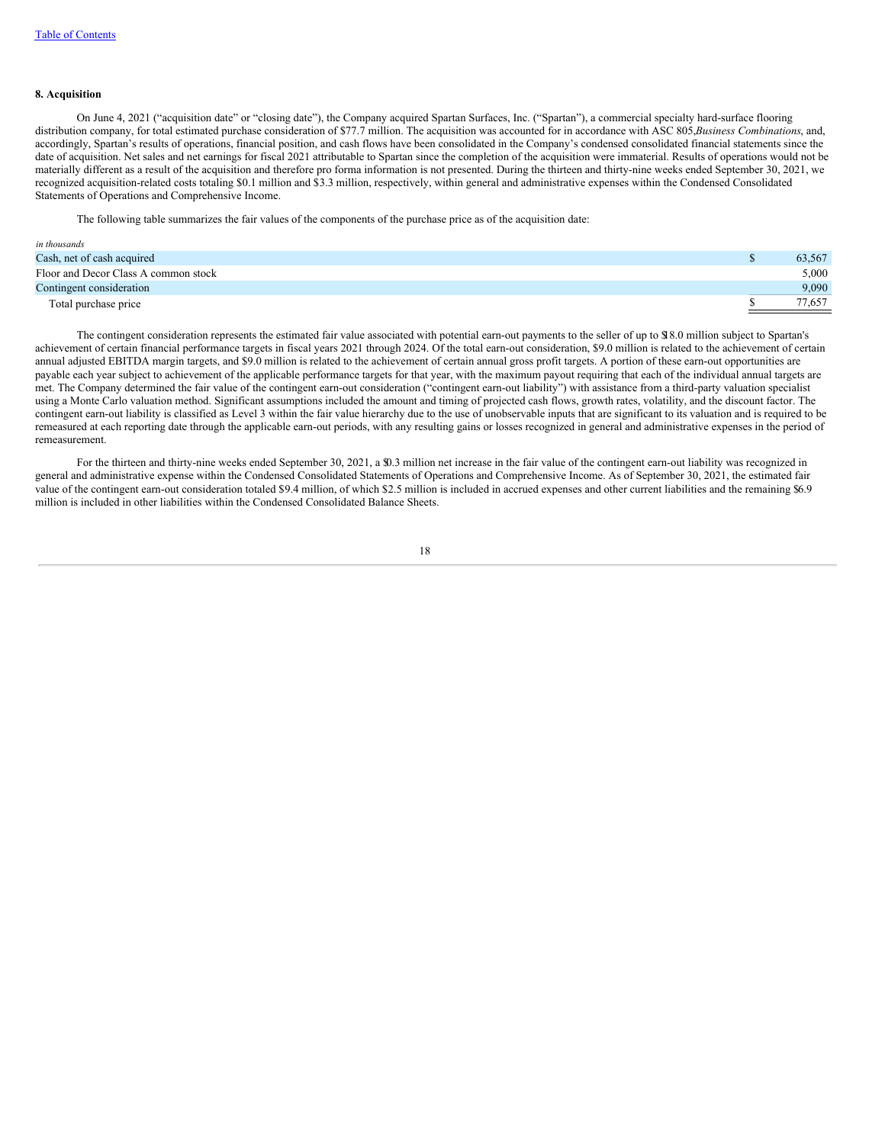## **8. Acquisition**

On June 4, 2021 ("acquisition date" or "closing date"), the Company acquired Spartan Surfaces, Inc. ("Spartan"), a commercial specialty hard-surface flooring distribution company, for total estimated purchase consideration of \$77.7 million. The acquisition was accounted for in accordance with ASC 805,*Business Combinations*, and, accordingly, Spartan's results of operations, financial position, and cash flows have been consolidated in the Company's condensed consolidated financial statements since the date of acquisition. Net sales and net earnings for fiscal 2021 attributable to Spartan since the completion of the acquisition were immaterial. Results of operations would not be materially different as a result of the acquisition and therefore pro forma information is not presented. During the thirteen and thirty-nine weeks ended September 30, 2021, we recognized acquisition-related costs totaling \$0.1 million and \$3.3 million, respectively, within general and administrative expenses within the Condensed Consolidated Statements of Operations and Comprehensive Income.

The following table summarizes the fair values of the components of the purchase price as of the acquisition date:

| in thousands                         |        |
|--------------------------------------|--------|
| Cash, net of cash acquired           | 63.567 |
| Floor and Decor Class A common stock | 5.000  |
| Contingent consideration             | 9.090  |
| Total purchase price                 | 77.657 |

The contingent consideration represents the estimated fair value associated with potential earn-out payments to the seller of up to \$18.0 million subject to Spartan's achievement of certain financial performance targets in fiscal years 2021 through 2024. Of the total earn-out consideration, \$9.0 million is related to the achievement of certain annual adjusted EBITDA margin targets, and \$9.0 million is related to the achievement of certain annual gross profit targets. A portion of these earn-out opportunities are payable each year subject to achievement of the applicable performance targets for that year, with the maximum payout requiring that each of the individual annual targets are met. The Company determined the fair value of the contingent earn-out consideration ("contingent earn-out liability") with assistance from a third-party valuation specialist using a Monte Carlo valuation method. Significant assumptions included the amount and timing of projected cash flows, growth rates, volatility, and the discount factor. The contingent earn-out liability is classified as Level 3 within the fair value hierarchy due to the use of unobservable inputs that are significant to its valuation and is required to be remeasured at each reporting date through the applicable earn-out periods, with any resulting gains or losses recognized in general and administrative expenses in the period of remeasurement.

For the thirteen and thirty-nine weeks ended September 30, 2021, a \$0.3 million net increase in the fair value of the contingent earn-out liability was recognized in general and administrative expense within the Condensed Consolidated Statements of Operations and Comprehensive Income. As of September 30, 2021, the estimated fair value of the contingent earn-out consideration totaled \$9.4 million, of which \$2.5 million is included in accrued expenses and other current liabilities and the remaining \$6.9 million is included in other liabilities within the Condensed Consolidated Balance Sheets.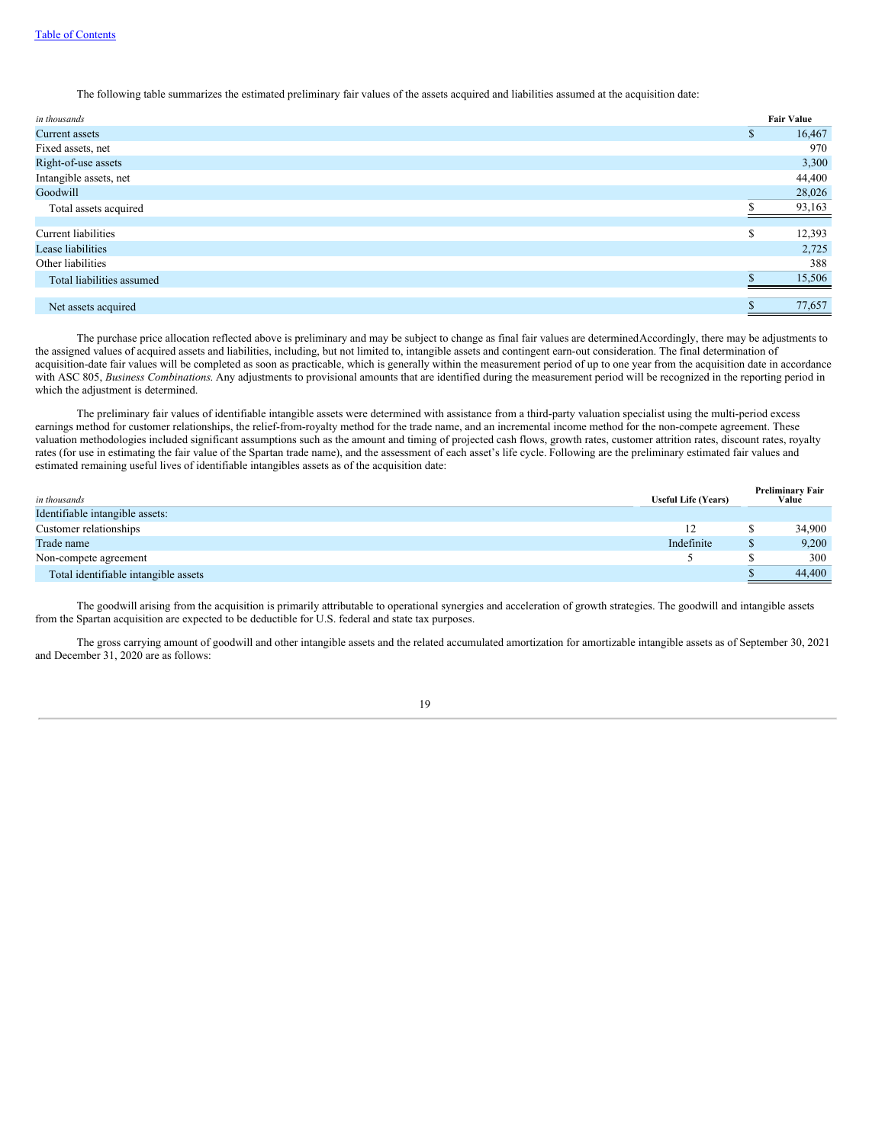The following table summarizes the estimated preliminary fair values of the assets acquired and liabilities assumed at the acquisition date:

| in thousands              |    | <b>Fair Value</b> |
|---------------------------|----|-------------------|
| <b>Current</b> assets     | æ  | 16,467            |
| Fixed assets, net         |    | 970               |
| Right-of-use assets       |    | 3,300             |
| Intangible assets, net    |    | 44,400            |
| Goodwill                  |    | 28,026            |
| Total assets acquired     |    | 93,163            |
|                           |    |                   |
| Current liabilities       | \$ | 12,393            |
| Lease liabilities         |    | 2,725             |
| Other liabilities         |    | 388               |
| Total liabilities assumed |    | 15,506            |
|                           |    |                   |
| Net assets acquired       |    | 77,657            |

The purchase price allocation reflected above is preliminary and may be subject to change as final fair values are determined*.* Accordingly, there may be adjustments to the assigned values of acquired assets and liabilities, including, but not limited to, intangible assets and contingent earn-out consideration. The final determination of acquisition-date fair values will be completed as soon as practicable, which is generally within the measurement period of up to one year from the acquisition date in accordance with ASC 805, *Business Combinations*. Any adjustments to provisional amounts that are identified during the measurement period will be recognized in the reporting period in which the adjustment is determined.

The preliminary fair values of identifiable intangible assets were determined with assistance from a third-party valuation specialist using the multi-period excess earnings method for customer relationships, the relief-from-royalty method for the trade name, and an incremental income method for the non-compete agreement. These valuation methodologies included significant assumptions such as the amount and timing of projected cash flows, growth rates, customer attrition rates, discount rates, royalty rates (for use in estimating the fair value of the Spartan trade name), and the assessment of each asset's life cycle. Following are the preliminary estimated fair values and estimated remaining useful lives of identifiable intangibles assets as of the acquisition date:

| in thousands                         | <b>Useful Life (Years)</b> | <b>Preliminary Fair</b><br>Value |
|--------------------------------------|----------------------------|----------------------------------|
| Identifiable intangible assets:      |                            |                                  |
| Customer relationships               | 12                         | 34,900                           |
| Trade name                           | Indefinite                 | 9,200                            |
| Non-compete agreement                |                            | 300                              |
| Total identifiable intangible assets |                            | 44,400                           |

The goodwill arising from the acquisition is primarily attributable to operational synergies and acceleration of growth strategies. The goodwill and intangible assets from the Spartan acquisition are expected to be deductible for U.S. federal and state tax purposes.

The gross carrying amount of goodwill and other intangible assets and the related accumulated amortization for amortizable intangible assets as of September 30, 2021 and December 31, 2020 are as follows: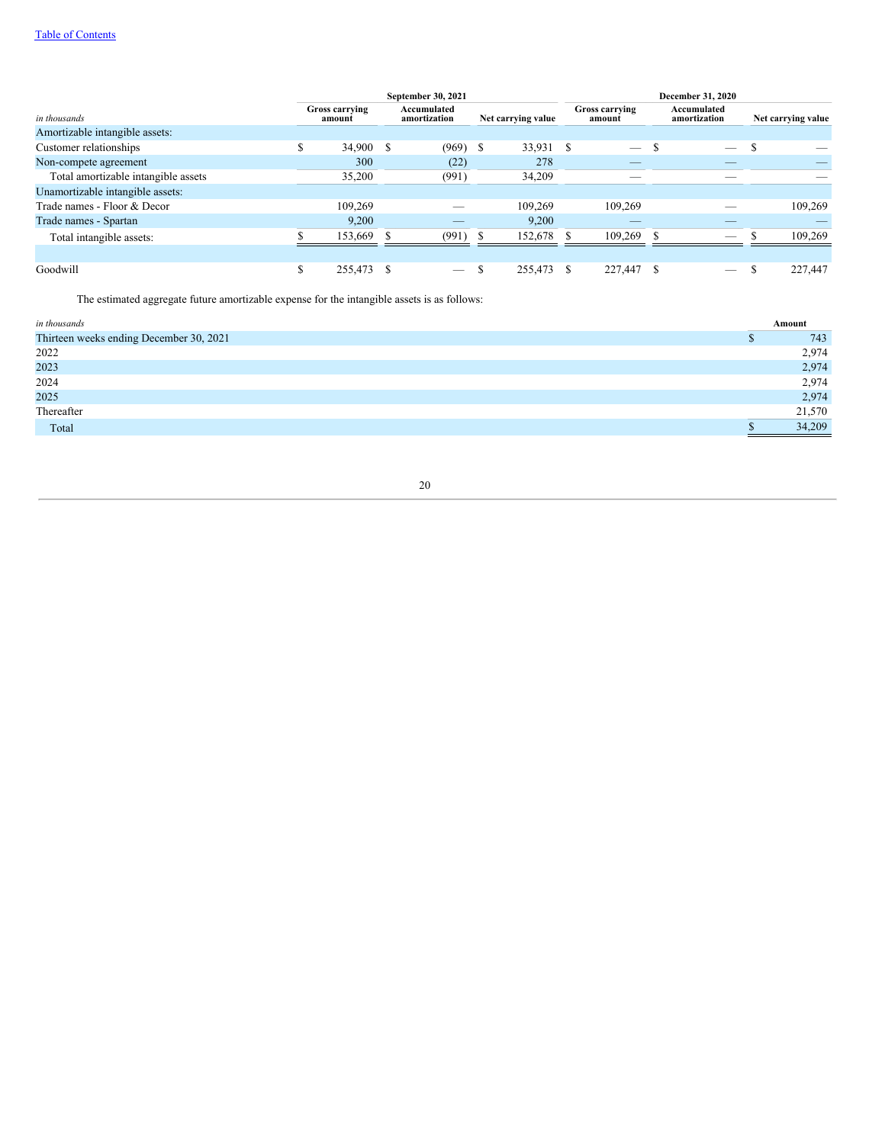|                                     | September 30, 2021       |         |    |                             |  |                    |  | December 31, 2020        |  |                                 |   |                    |  |
|-------------------------------------|--------------------------|---------|----|-----------------------------|--|--------------------|--|--------------------------|--|---------------------------------|---|--------------------|--|
| in thousands                        | Gross carrying<br>amount |         |    | Accumulated<br>amortization |  | Net carrying value |  | Gross carrying<br>amount |  | Accumulated<br>amortization     |   | Net carrying value |  |
| Amortizable intangible assets:      |                          |         |    |                             |  |                    |  |                          |  |                                 |   |                    |  |
| Customer relationships              |                          | 34,900  | -S | $(969)$ \$                  |  | 33,931 \$          |  | $\overline{\phantom{m}}$ |  | $\hspace{0.1mm}-\hspace{0.1mm}$ |   |                    |  |
| Non-compete agreement               |                          | 300     |    | (22)                        |  | 278                |  |                          |  |                                 |   |                    |  |
| Total amortizable intangible assets |                          | 35,200  |    | (991)                       |  | 34,209             |  |                          |  |                                 |   |                    |  |
| Unamortizable intangible assets:    |                          |         |    |                             |  |                    |  |                          |  |                                 |   |                    |  |
| Trade names - Floor & Decor         |                          | 109,269 |    |                             |  | 109.269            |  | 109.269                  |  |                                 |   | 109,269            |  |
| Trade names - Spartan               |                          | 9,200   |    |                             |  | 9,200              |  |                          |  |                                 |   |                    |  |
| Total intangible assets:            |                          | 153,669 |    | (991)                       |  | 152,678            |  | 109.269                  |  |                                 |   | 109.269            |  |
|                                     |                          |         |    |                             |  |                    |  |                          |  |                                 |   |                    |  |
| Goodwill                            |                          | 255,473 |    | _                           |  | 255,473            |  | 227,447                  |  | _                               | ጦ | 227,447            |  |

The estimated aggregate future amortizable expense for the intangible assets is as follows:

<span id="page-19-0"></span>

| Amount |
|--------|
| 743    |
| 2,974  |
| 2,974  |
| 2,974  |
| 2,974  |
| 21,570 |
| 34,209 |
|        |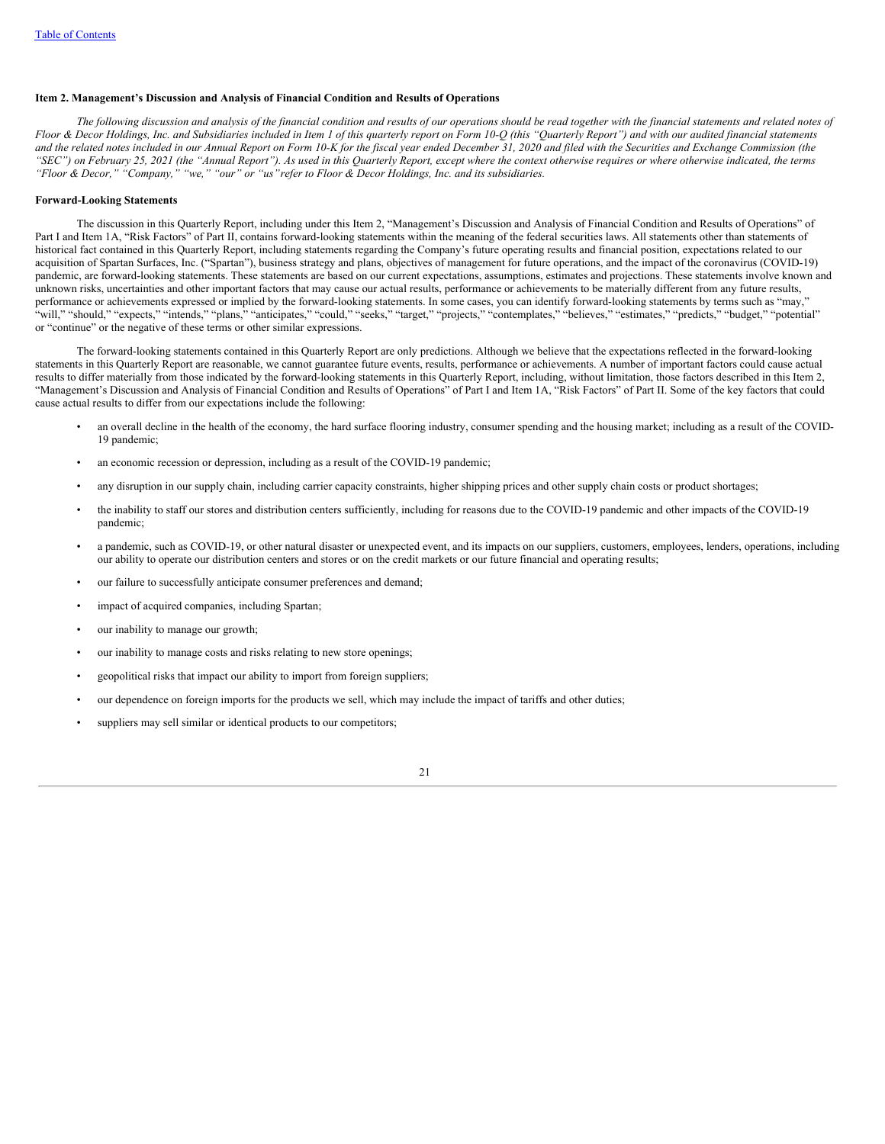#### **Item 2. Management's Discussion and Analysis of Financial Condition and Results of Operations**

The following discussion and analysis of the financial condition and results of our operations should be read together with the financial statements and related notes of Floor & Decor Holdings, Inc. and Subsidiaries included in Item 1 of this quarterly report on Form 10-Q (this "Quarterly Report") and with our audited financial statements and the related notes included in our Annual Report on Form 10-K for the fiscal year ended December 31, 2020 and filed with the Securities and Exchange Commission (the "SEC") on February 25, 2021 (the "Annual Report"). As used in this Quarterly Report, except where the context otherwise requires or where otherwise indicated, the terms "Floor & Decor," "Company," "we," "our" or "us" refer to Floor & Decor Holdings, Inc. and its subsidiaries.

#### <span id="page-20-0"></span>**Forward-Looking Statements**

The discussion in this Quarterly Report, including under this Item 2, "Management's Discussion and Analysis of Financial Condition and Results of Operations" of Part I and Item 1A, "Risk Factors" of Part II, contains forward-looking statements within the meaning of the federal securities laws. All statements other than statements of historical fact contained in this Quarterly Report, including statements regarding the Company's future operating results and financial position, expectations related to our acquisition of Spartan Surfaces, Inc. ("Spartan"), business strategy and plans, objectives of management for future operations, and the impact of the coronavirus (COVID-19) pandemic, are forward-looking statements. These statements are based on our current expectations, assumptions, estimates and projections. These statements involve known and unknown risks, uncertainties and other important factors that may cause our actual results, performance or achievements to be materially different from any future results, performance or achievements expressed or implied by the forward-looking statements. In some cases, you can identify forward-looking statements by terms such as "may," "will," "should," "expects," "intends," "plans," "anticipates," "could," "seeks," "target," "projects," "contemplates," "believes," "estimates," "predicts," "budget," "potential" or "continue" or the negative of these terms or other similar expressions.

The forward-looking statements contained in this Quarterly Report are only predictions. Although we believe that the expectations reflected in the forward-looking statements in this Quarterly Report are reasonable, we cannot guarantee future events, results, performance or achievements. A number of important factors could cause actual results to differ materially from those indicated by the forward-looking statements in this Quarterly Report, including, without limitation, those factors described in this Item 2, "Management's Discussion and Analysis of Financial Condition and Results of Operations" of Part I and Item 1A, "Risk Factors" of Part II. Some of the key factors that could cause actual results to differ from our expectations include the following:

- an overall decline in the health of the economy, the hard surface flooring industry, consumer spending and the housing market; including as a result of the COVID-19 pandemic;
- an economic recession or depression, including as a result of the COVID-19 pandemic;
- any disruption in our supply chain, including carrier capacity constraints, higher shipping prices and other supply chain costs or product shortages;
- the inability to staff our stores and distribution centers sufficiently, including for reasons due to the COVID-19 pandemic and other impacts of the COVID-19 pandemic;
- a pandemic, such as COVID-19, or other natural disaster or unexpected event, and its impacts on our suppliers, customers, employees, lenders, operations, including our ability to operate our distribution centers and stores or on the credit markets or our future financial and operating results;
- our failure to successfully anticipate consumer preferences and demand;
- impact of acquired companies, including Spartan;
- our inability to manage our growth;
- our inability to manage costs and risks relating to new store openings;
- geopolitical risks that impact our ability to import from foreign suppliers;
- our dependence on foreign imports for the products we sell, which may include the impact of tariffs and other duties;
- suppliers may sell similar or identical products to our competitors;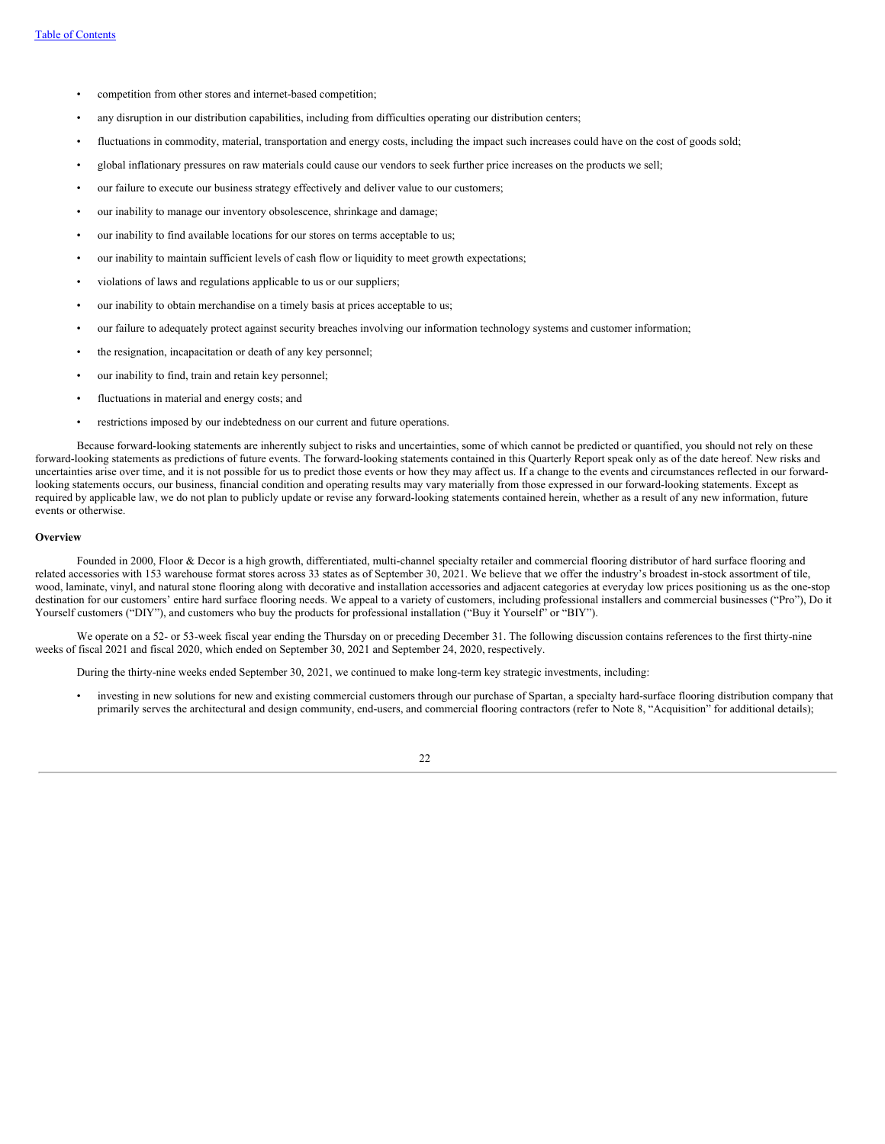- competition from other stores and internet-based competition;
- any disruption in our distribution capabilities, including from difficulties operating our distribution centers;
- fluctuations in commodity, material, transportation and energy costs, including the impact such increases could have on the cost of goods sold;
- global inflationary pressures on raw materials could cause our vendors to seek further price increases on the products we sell;
- our failure to execute our business strategy effectively and deliver value to our customers;
- our inability to manage our inventory obsolescence, shrinkage and damage;
- our inability to find available locations for our stores on terms acceptable to us;
- our inability to maintain sufficient levels of cash flow or liquidity to meet growth expectations;
- violations of laws and regulations applicable to us or our suppliers;
- our inability to obtain merchandise on a timely basis at prices acceptable to us;
- our failure to adequately protect against security breaches involving our information technology systems and customer information;
- the resignation, incapacitation or death of any key personnel;
- our inability to find, train and retain key personnel;
- fluctuations in material and energy costs; and
- restrictions imposed by our indebtedness on our current and future operations.

Because forward-looking statements are inherently subject to risks and uncertainties, some of which cannot be predicted or quantified, you should not rely on these forward-looking statements as predictions of future events. The forward-looking statements contained in this Quarterly Report speak only as of the date hereof. New risks and uncertainties arise over time, and it is not possible for us to predict those events or how they may affect us. If a change to the events and circumstances reflected in our forwardlooking statements occurs, our business, financial condition and operating results may vary materially from those expressed in our forward-looking statements. Except as required by applicable law, we do not plan to publicly update or revise any forward-looking statements contained herein, whether as a result of any new information, future events or otherwise.

#### **Overview**

Founded in 2000, Floor & Decor is a high growth, differentiated, multi-channel specialty retailer and commercial flooring distributor of hard surface flooring and related accessories with 153 warehouse format stores across 33 states as of September 30, 2021. We believe that we offer the industry's broadest in-stock assortment of tile, wood, laminate, vinyl, and natural stone flooring along with decorative and installation accessories and adjacent categories at everyday low prices positioning us as the one-stop destination for our customers' entire hard surface flooring needs. We appeal to a variety of customers, including professional installers and commercial businesses ("Pro"), Do it Yourself customers ("DIY"), and customers who buy the products for professional installation ("Buy it Yourself" or "BIY").

We operate on a 52- or 53-week fiscal year ending the Thursday on or preceding December 31. The following discussion contains references to the first thirty-nine weeks of fiscal 2021 and fiscal 2020, which ended on September 30, 2021 and September 24, 2020, respectively.

During the thirty-nine weeks ended September 30, 2021, we continued to make long-term key strategic investments, including:

• investing in new solutions for new and existing commercial customers through our purchase of Spartan, a specialty hard-surface flooring distribution company that primarily serves the architectural and design community, end-users, and commercial flooring contractors (refer to Note 8, "Acquisition" for additional details);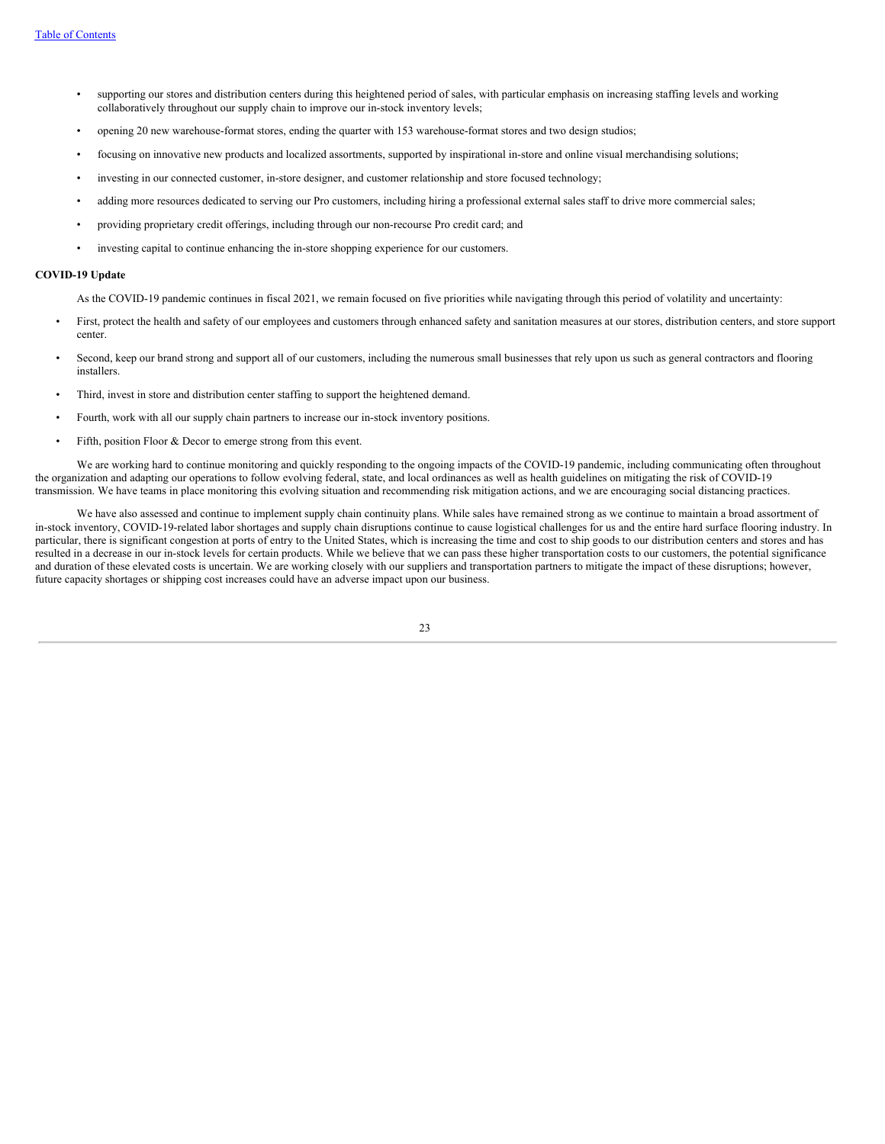- supporting our stores and distribution centers during this heightened period of sales, with particular emphasis on increasing staffing levels and working collaboratively throughout our supply chain to improve our in-stock inventory levels;
- opening 20 new warehouse-format stores, ending the quarter with 153 warehouse-format stores and two design studios;
- focusing on innovative new products and localized assortments, supported by inspirational in-store and online visual merchandising solutions;
- investing in our connected customer, in-store designer, and customer relationship and store focused technology;
- adding more resources dedicated to serving our Pro customers, including hiring a professional external sales staff to drive more commercial sales;
- providing proprietary credit offerings, including through our non-recourse Pro credit card; and
- investing capital to continue enhancing the in-store shopping experience for our customers.

### **COVID-19 Update**

As the COVID-19 pandemic continues in fiscal 2021, we remain focused on five priorities while navigating through this period of volatility and uncertainty:

- First, protect the health and safety of our employees and customers through enhanced safety and sanitation measures at our stores, distribution centers, and store support center.
- Second, keep our brand strong and support all of our customers, including the numerous small businesses that rely upon us such as general contractors and flooring installers.
- Third, invest in store and distribution center staffing to support the heightened demand.
- Fourth, work with all our supply chain partners to increase our in-stock inventory positions.
- Fifth, position Floor & Decor to emerge strong from this event.

We are working hard to continue monitoring and quickly responding to the ongoing impacts of the COVID-19 pandemic, including communicating often throughout the organization and adapting our operations to follow evolving federal, state, and local ordinances as well as health guidelines on mitigating the risk of COVID-19 transmission. We have teams in place monitoring this evolving situation and recommending risk mitigation actions, and we are encouraging social distancing practices.

We have also assessed and continue to implement supply chain continuity plans. While sales have remained strong as we continue to maintain a broad assortment of in-stock inventory, COVID-19-related labor shortages and supply chain disruptions continue to cause logistical challenges for us and the entire hard surface flooring industry. In particular, there is significant congestion at ports of entry to the United States, which is increasing the time and cost to ship goods to our distribution centers and stores and has resulted in a decrease in our in-stock levels for certain products. While we believe that we can pass these higher transportation costs to our customers, the potential significance and duration of these elevated costs is uncertain. We are working closely with our suppliers and transportation partners to mitigate the impact of these disruptions; however, future capacity shortages or shipping cost increases could have an adverse impact upon our business.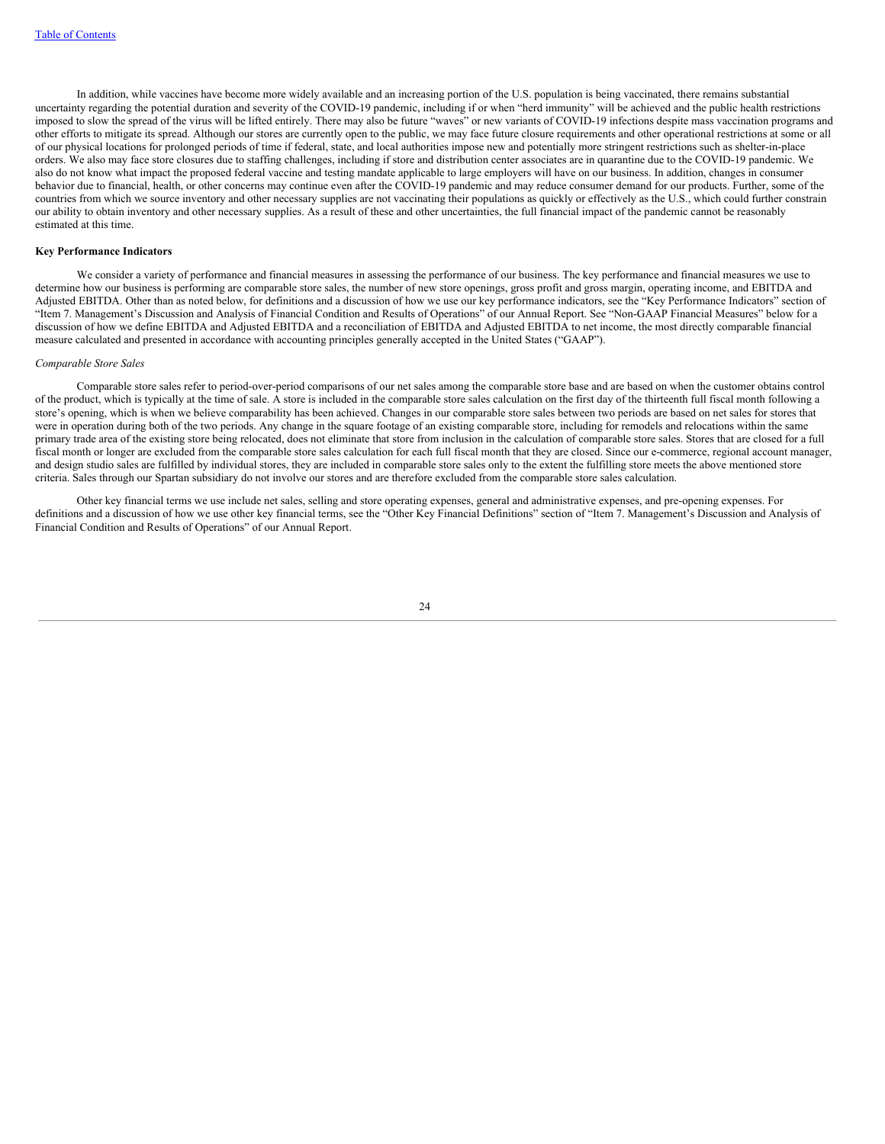In addition, while vaccines have become more widely available and an increasing portion of the U.S. population is being vaccinated, there remains substantial uncertainty regarding the potential duration and severity of the COVID-19 pandemic, including if or when "herd immunity" will be achieved and the public health restrictions imposed to slow the spread of the virus will be lifted entirely. There may also be future "waves" or new variants of COVID-19 infections despite mass vaccination programs and other efforts to mitigate its spread. Although our stores are currently open to the public, we may face future closure requirements and other operational restrictions at some or all of our physical locations for prolonged periods of time if federal, state, and local authorities impose new and potentially more stringent restrictions such as shelter-in-place orders. We also may face store closures due to staffing challenges, including if store and distribution center associates are in quarantine due to the COVID-19 pandemic. We also do not know what impact the proposed federal vaccine and testing mandate applicable to large employers will have on our business. In addition, changes in consumer behavior due to financial, health, or other concerns may continue even after the COVID-19 pandemic and may reduce consumer demand for our products. Further, some of the countries from which we source inventory and other necessary supplies are not vaccinating their populations as quickly or effectively as the U.S., which could further constrain our ability to obtain inventory and other necessary supplies. As a result of these and other uncertainties, the full financial impact of the pandemic cannot be reasonably estimated at this time.

#### **Key Performance Indicators**

We consider a variety of performance and financial measures in assessing the performance of our business. The key performance and financial measures we use to determine how our business is performing are comparable store sales, the number of new store openings, gross profit and gross margin, operating income, and EBITDA and Adjusted EBITDA. Other than as noted below, for definitions and a discussion of how we use our key performance indicators, see the "Key Performance Indicators" section of "Item 7. Management's Discussion and Analysis of Financial Condition and Results of Operations" of our Annual Report. See "Non-GAAP Financial Measures" below for a discussion of how we define EBITDA and Adjusted EBITDA and a reconciliation of EBITDA and Adjusted EBITDA to net income, the most directly comparable financial measure calculated and presented in accordance with accounting principles generally accepted in the United States ("GAAP").

#### *Comparable Store Sales*

Comparable store sales refer to period-over-period comparisons of our net sales among the comparable store base and are based on when the customer obtains control of the product, which is typically at the time of sale. A store is included in the comparable store sales calculation on the first day of the thirteenth full fiscal month following a store's opening, which is when we believe comparability has been achieved. Changes in our comparable store sales between two periods are based on net sales for stores that were in operation during both of the two periods. Any change in the square footage of an existing comparable store, including for remodels and relocations within the same primary trade area of the existing store being relocated, does not eliminate that store from inclusion in the calculation of comparable store sales. Stores that are closed for a full fiscal month or longer are excluded from the comparable store sales calculation for each full fiscal month that they are closed. Since our e-commerce, regional account manager, and design studio sales are fulfilled by individual stores, they are included in comparable store sales only to the extent the fulfilling store meets the above mentioned store criteria. Sales through our Spartan subsidiary do not involve our stores and are therefore excluded from the comparable store sales calculation.

Other key financial terms we use include net sales, selling and store operating expenses, general and administrative expenses, and pre-opening expenses. For definitions and a discussion of how we use other key financial terms, see the "Other Key Financial Definitions" section of "Item 7. Management's Discussion and Analysis of Financial Condition and Results of Operations" of our Annual Report.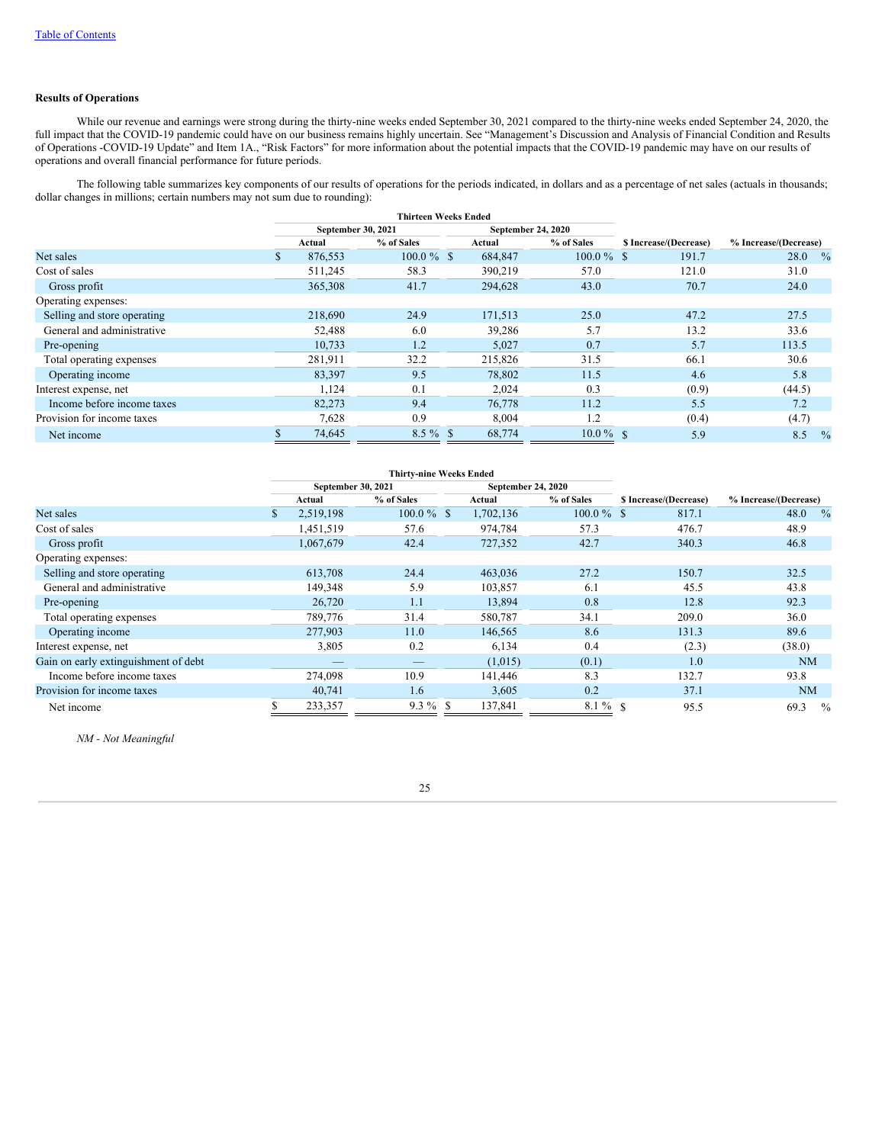# **Results of Operations**

While our revenue and earnings were strong during the thirty-nine weeks ended September 30, 2021 compared to the thirty-nine weeks ended September 24, 2020, the full impact that the COVID-19 pandemic could have on our business remains highly uncertain. See "Management's Discussion and Analysis of Financial Condition and Results of Operations -COVID-19 Update" and Item 1A., "Risk Factors" for more information about the potential impacts that the COVID-19 pandemic may have on our results of operations and overall financial performance for future periods.

The following table summarizes key components of our results of operations for the periods indicated, in dollars and as a percentage of net sales (actuals in thousands; dollar changes in millions; certain numbers may not sum due to rounding):

|                             |                    | <b>Thirteen Weeks Ended</b> |  |         |                    |                        |                       |
|-----------------------------|--------------------|-----------------------------|--|---------|--------------------|------------------------|-----------------------|
|                             | September 30, 2021 |                             |  |         | September 24, 2020 |                        |                       |
|                             | Actual             | % of Sales                  |  | Actual  | % of Sales         | \$ Increase/(Decrease) | % Increase/(Decrease) |
| Net sales                   | 876,553            | $100.0\%$ \$                |  | 684,847 | $100.0 \%$ \$      | 191.7                  | 28.0<br>$\frac{0}{0}$ |
| Cost of sales               | 511,245            | 58.3                        |  | 390,219 | 57.0               | 121.0                  | 31.0                  |
| Gross profit                | 365,308            | 41.7                        |  | 294,628 | 43.0               | 70.7                   | 24.0                  |
| Operating expenses:         |                    |                             |  |         |                    |                        |                       |
| Selling and store operating | 218,690            | 24.9                        |  | 171,513 | 25.0               | 47.2                   | 27.5                  |
| General and administrative  | 52,488             | 6.0                         |  | 39,286  | 5.7                | 13.2                   | 33.6                  |
| Pre-opening                 | 10,733             | 1.2                         |  | 5,027   | 0.7                | 5.7                    | 113.5                 |
| Total operating expenses    | 281,911            | 32.2                        |  | 215,826 | 31.5               | 66.1                   | 30.6                  |
| Operating income            | 83,397             | 9.5                         |  | 78,802  | 11.5               | 4.6                    | 5.8                   |
| Interest expense, net       | 1,124              | 0.1                         |  | 2,024   | 0.3                | (0.9)                  | (44.5)                |
| Income before income taxes  | 82,273             | 9.4                         |  | 76,778  | 11.2               | 5.5                    | 7.2                   |
| Provision for income taxes  | 7,628              | 0.9                         |  | 8,004   | 1.2                | (0.4)                  | (4.7)                 |
| Net income                  | 74,645             | $8.5 \%$ \$                 |  | 68,774  | $10.0\%$ \$        | 5.9                    | 8.5<br>$\frac{0}{0}$  |

|                                      | <b>Thirty-nine Weeks Ended</b> |                    |               |             |  |           |                    |                        |                       |
|--------------------------------------|--------------------------------|--------------------|---------------|-------------|--|-----------|--------------------|------------------------|-----------------------|
|                                      |                                | September 30, 2021 |               |             |  |           | September 24, 2020 |                        |                       |
|                                      |                                | Actual             | % of Sales    |             |  | Actual    | % of Sales         | \$ Increase/(Decrease) | % Increase/(Decrease) |
| Net sales                            | \$                             | 2,519,198          | $100.0 \%$ \$ |             |  | 1,702,136 | $100.0 \%$ \$      | 817.1                  | $\frac{0}{0}$<br>48.0 |
| Cost of sales                        |                                | 1,451,519          | 57.6          |             |  | 974,784   | 57.3               | 476.7                  | 48.9                  |
| Gross profit                         |                                | 1,067,679          | 42.4          |             |  | 727,352   | 42.7               | 340.3                  | 46.8                  |
| Operating expenses:                  |                                |                    |               |             |  |           |                    |                        |                       |
| Selling and store operating          |                                | 613,708            | 24.4          |             |  | 463,036   | 27.2               | 150.7                  | 32.5                  |
| General and administrative           |                                | 149,348            | 5.9           |             |  | 103,857   | 6.1                | 45.5                   | 43.8                  |
| Pre-opening                          |                                | 26,720             | 1.1           |             |  | 13,894    | 0.8                | 12.8                   | 92.3                  |
| Total operating expenses             |                                | 789,776            | 31.4          |             |  | 580,787   | 34.1               | 209.0                  | 36.0                  |
| Operating income                     |                                | 277,903            | 11.0          |             |  | 146,565   | 8.6                | 131.3                  | 89.6                  |
| Interest expense, net                |                                | 3,805              | 0.2           |             |  | 6,134     | 0.4                | (2.3)                  | (38.0)                |
| Gain on early extinguishment of debt |                                |                    |               |             |  | (1,015)   | (0.1)              | 1.0                    | <b>NM</b>             |
| Income before income taxes           |                                | 274,098            | 10.9          |             |  | 141,446   | 8.3                | 132.7                  | 93.8                  |
| Provision for income taxes           |                                | 40,741             | 1.6           |             |  | 3,605     | 0.2                | 37.1                   | <b>NM</b>             |
| Net income                           |                                | 233,357            |               | $9.3 \%$ \$ |  | 137,841   | $8.1\%$            | 95.5                   | 69.3<br>$\frac{0}{0}$ |

*NM - Not Meaningful*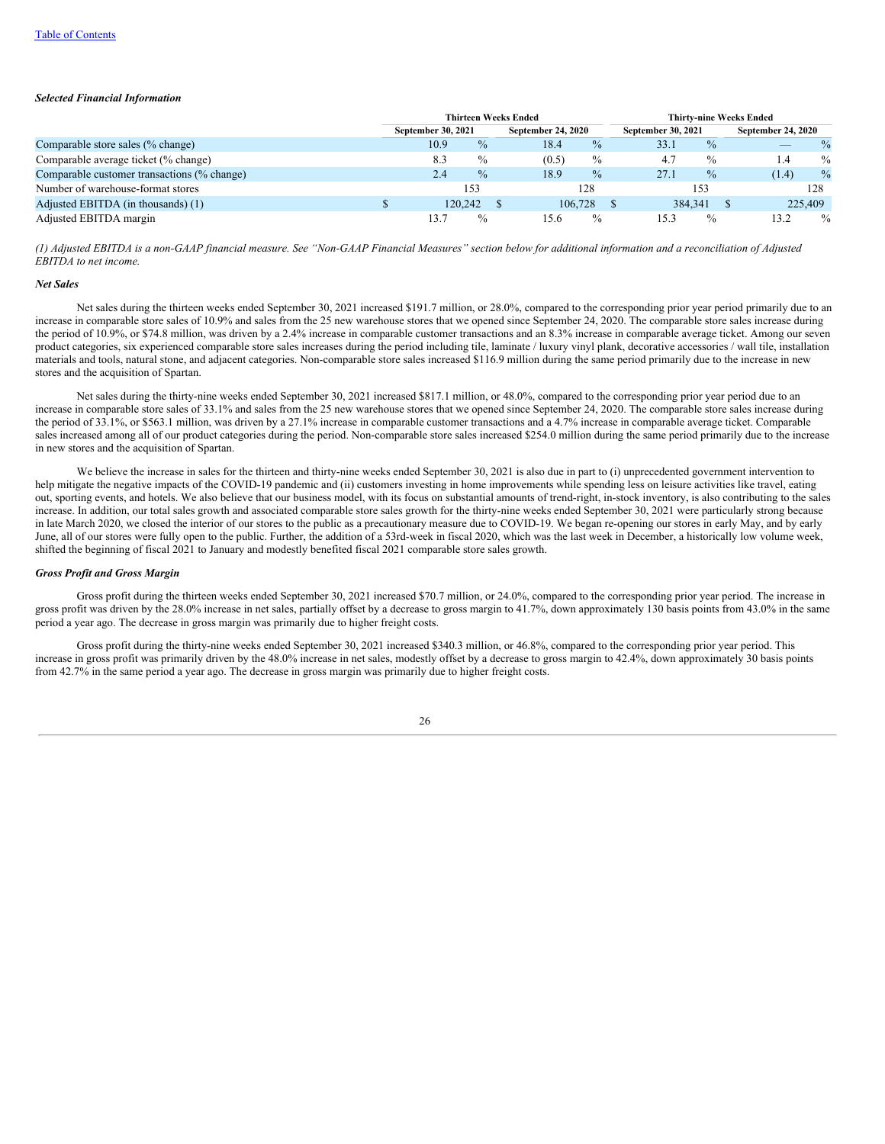#### *Selected Financial Information*

|                                             | <b>Thirteen Weeks Ended</b> |               |                    |               |                    | <b>Thirty-nine Weeks Ended</b> |                                  |  |  |  |  |
|---------------------------------------------|-----------------------------|---------------|--------------------|---------------|--------------------|--------------------------------|----------------------------------|--|--|--|--|
|                                             | September 30, 2021          |               | September 24, 2020 |               | September 30, 2021 |                                | <b>September 24, 2020</b>        |  |  |  |  |
| Comparable store sales (% change)           | 10.9                        | $\%$          | 18.4               | $\%$          | 33.1               | $\%$                           | $\%$<br>$\overline{\phantom{a}}$ |  |  |  |  |
| Comparable average ticket (% change)        | 8.3                         | $\frac{0}{0}$ | (0.5)              | $\%$          | 4.7                | $\frac{0}{0}$                  | $\%$<br>1.4                      |  |  |  |  |
| Comparable customer transactions (% change) | 2.4                         | $\frac{0}{0}$ | 18.9               | $\frac{0}{0}$ | 27.1               | $\frac{0}{0}$                  | $\%$<br>(1.4)                    |  |  |  |  |
| Number of warehouse-format stores           |                             | 153           |                    | 128           |                    | 153                            | 128                              |  |  |  |  |
| Adjusted EBITDA (in thousands) (1)          | 120,242                     |               |                    | 106,728       |                    | 384, 341                       | 225,409                          |  |  |  |  |
| Adjusted EBITDA margin                      |                             | $\frac{0}{0}$ | 15.6               | $\%$          | 5.3                | $\%$                           | $\frac{0}{0}$<br>13.2            |  |  |  |  |

(1) Adjusted EBITDA is a non-GAAP financial measure. See "Non-GAAP Financial Measures" section below for additional information and a reconciliation of Adjusted *EBITDA to net income.*

#### *Net Sales*

Net sales during the thirteen weeks ended September 30, 2021 increased \$191.7 million, or 28.0%, compared to the corresponding prior year period primarily due to an increase in comparable store sales of 10.9% and sales from the 25 new warehouse stores that we opened since September 24, 2020. The comparable store sales increase during the period of 10.9%, or \$74.8 million, was driven by a 2.4% increase in comparable customer transactions and an 8.3% increase in comparable average ticket. Among our seven product categories, six experienced comparable store sales increases during the period including tile, laminate / luxury vinyl plank, decorative accessories / wall tile, installation materials and tools, natural stone, and adjacent categories. Non-comparable store sales increased \$116.9 million during the same period primarily due to the increase in new stores and the acquisition of Spartan.

Net sales during the thirty-nine weeks ended September 30, 2021 increased \$817.1 million, or 48.0%, compared to the corresponding prior year period due to an increase in comparable store sales of 33.1% and sales from the 25 new warehouse stores that we opened since September 24, 2020. The comparable store sales increase during the period of 33.1%, or \$563.1 million, was driven by a 27.1% increase in comparable customer transactions and a 4.7% increase in comparable average ticket. Comparable sales increased among all of our product categories during the period. Non-comparable store sales increased \$254.0 million during the same period primarily due to the increase in new stores and the acquisition of Spartan.

We believe the increase in sales for the thirteen and thirty-nine weeks ended September 30, 2021 is also due in part to (i) unprecedented government intervention to help mitigate the negative impacts of the COVID-19 pandemic and (ii) customers investing in home improvements while spending less on leisure activities like travel, eating out, sporting events, and hotels. We also believe that our business model, with its focus on substantial amounts of trend-right, in-stock inventory, is also contributing to the sales increase. In addition, our total sales growth and associated comparable store sales growth for the thirty-nine weeks ended September 30, 2021 were particularly strong because in late March 2020, we closed the interior of our stores to the public as a precautionary measure due to COVID-19. We began re-opening our stores in early May, and by early June, all of our stores were fully open to the public. Further, the addition of a 53rd-week in fiscal 2020, which was the last week in December, a historically low volume week, shifted the beginning of fiscal 2021 to January and modestly benefited fiscal 2021 comparable store sales growth.

## *Gross Profit and Gross Margin*

Gross profit during the thirteen weeks ended September 30, 2021 increased \$70.7 million, or 24.0%, compared to the corresponding prior year period. The increase in gross profit was driven by the 28.0% increase in net sales, partially offset by a decrease to gross margin to 41.7%, down approximately 130 basis points from 43.0% in the same period a year ago. The decrease in gross margin was primarily due to higher freight costs.

Gross profit during the thirty-nine weeks ended September 30, 2021 increased \$340.3 million, or 46.8%, compared to the corresponding prior year period. This increase in gross profit was primarily driven by the 48.0% increase in net sales, modestly offset by a decrease to gross margin to 42.4%, down approximately 30 basis points from 42.7% in the same period a year ago. The decrease in gross margin was primarily due to higher freight costs.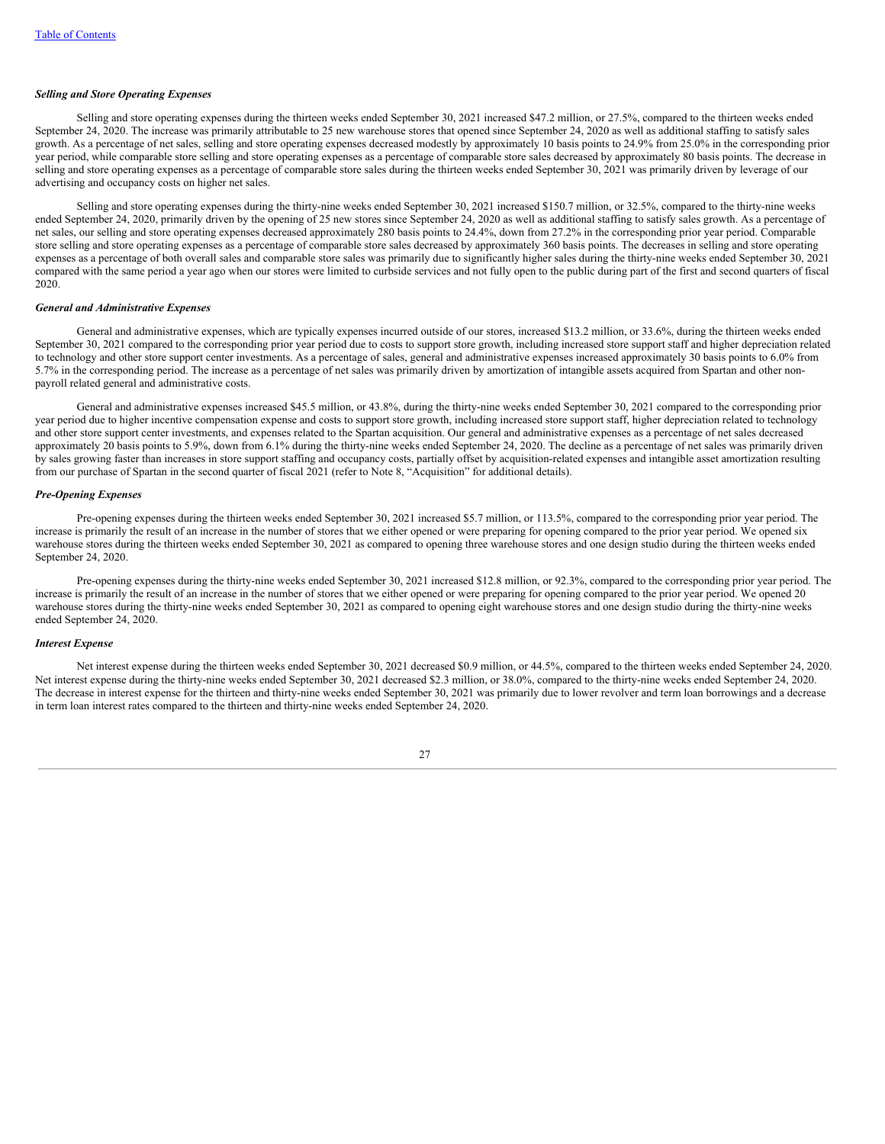## *Selling and Store Operating Expenses*

Selling and store operating expenses during the thirteen weeks ended September 30, 2021 increased \$47.2 million, or 27.5%, compared to the thirteen weeks ended September 24, 2020. The increase was primarily attributable to 25 new warehouse stores that opened since September 24, 2020 as well as additional staffing to satisfy sales growth. As a percentage of net sales, selling and store operating expenses decreased modestly by approximately 10 basis points to 24.9% from 25.0% in the corresponding prior year period, while comparable store selling and store operating expenses as a percentage of comparable store sales decreased by approximately 80 basis points. The decrease in selling and store operating expenses as a percentage of comparable store sales during the thirteen weeks ended September 30, 2021 was primarily driven by leverage of our advertising and occupancy costs on higher net sales.

Selling and store operating expenses during the thirty-nine weeks ended September 30, 2021 increased \$150.7 million, or 32.5%, compared to the thirty-nine weeks ended September 24, 2020, primarily driven by the opening of 25 new stores since September 24, 2020 as well as additional staffing to satisfy sales growth. As a percentage of net sales, our selling and store operating expenses decreased approximately 280 basis points to 24.4%, down from 27.2% in the corresponding prior year period. Comparable store selling and store operating expenses as a percentage of comparable store sales decreased by approximately 360 basis points. The decreases in selling and store operating expenses as a percentage of both overall sales and comparable store sales was primarily due to significantly higher sales during the thirty-nine weeks ended September 30, 2021 compared with the same period a year ago when our stores were limited to curbside services and not fully open to the public during part of the first and second quarters of fiscal 2020.

# *General and Administrative Expenses*

General and administrative expenses, which are typically expenses incurred outside of our stores, increased \$13.2 million, or 33.6%, during the thirteen weeks ended September 30, 2021 compared to the corresponding prior year period due to costs to support store growth, including increased store support staff and higher depreciation related to technology and other store support center investments. As a percentage of sales, general and administrative expenses increased approximately 30 basis points to 6.0% from 5.7% in the corresponding period. The increase as a percentage of net sales was primarily driven by amortization of intangible assets acquired from Spartan and other nonpayroll related general and administrative costs.

General and administrative expenses increased \$45.5 million, or 43.8%, during the thirty-nine weeks ended September 30, 2021 compared to the corresponding prior year period due to higher incentive compensation expense and costs to support store growth, including increased store support staff, higher depreciation related to technology and other store support center investments, and expenses related to the Spartan acquisition. Our general and administrative expenses as a percentage of net sales decreased approximately 20 basis points to 5.9%, down from 6.1% during the thirty-nine weeks ended September 24, 2020. The decline as a percentage of net sales was primarily driven by sales growing faster than increases in store support staffing and occupancy costs, partially offset by acquisition-related expenses and intangible asset amortization resulting from our purchase of Spartan in the second quarter of fiscal 2021 (refer to Note 8, "Acquisition" for additional details).

#### *Pre-Opening Expenses*

Pre-opening expenses during the thirteen weeks ended September 30, 2021 increased \$5.7 million, or 113.5%, compared to the corresponding prior year period. The increase is primarily the result of an increase in the number of stores that we either opened or were preparing for opening compared to the prior year period. We opened six warehouse stores during the thirteen weeks ended September 30, 2021 as compared to opening three warehouse stores and one design studio during the thirteen weeks ended September 24, 2020.

Pre-opening expenses during the thirty-nine weeks ended September 30, 2021 increased \$12.8 million, or 92.3%, compared to the corresponding prior year period. The increase is primarily the result of an increase in the number of stores that we either opened or were preparing for opening compared to the prior year period. We opened 20 warehouse stores during the thirty-nine weeks ended September 30, 2021 as compared to opening eight warehouse stores and one design studio during the thirty-nine weeks ended September 24, 2020.

# *Interest Expense*

Net interest expense during the thirteen weeks ended September 30, 2021 decreased \$0.9 million, or 44.5%, compared to the thirteen weeks ended September 24, 2020. Net interest expense during the thirty-nine weeks ended September 30, 2021 decreased \$2.3 million, or 38.0%, compared to the thirty-nine weeks ended September 24, 2020. The decrease in interest expense for the thirteen and thirty-nine weeks ended September 30, 2021 was primarily due to lower revolver and term loan borrowings and a decrease in term loan interest rates compared to the thirteen and thirty-nine weeks ended September 24, 2020.

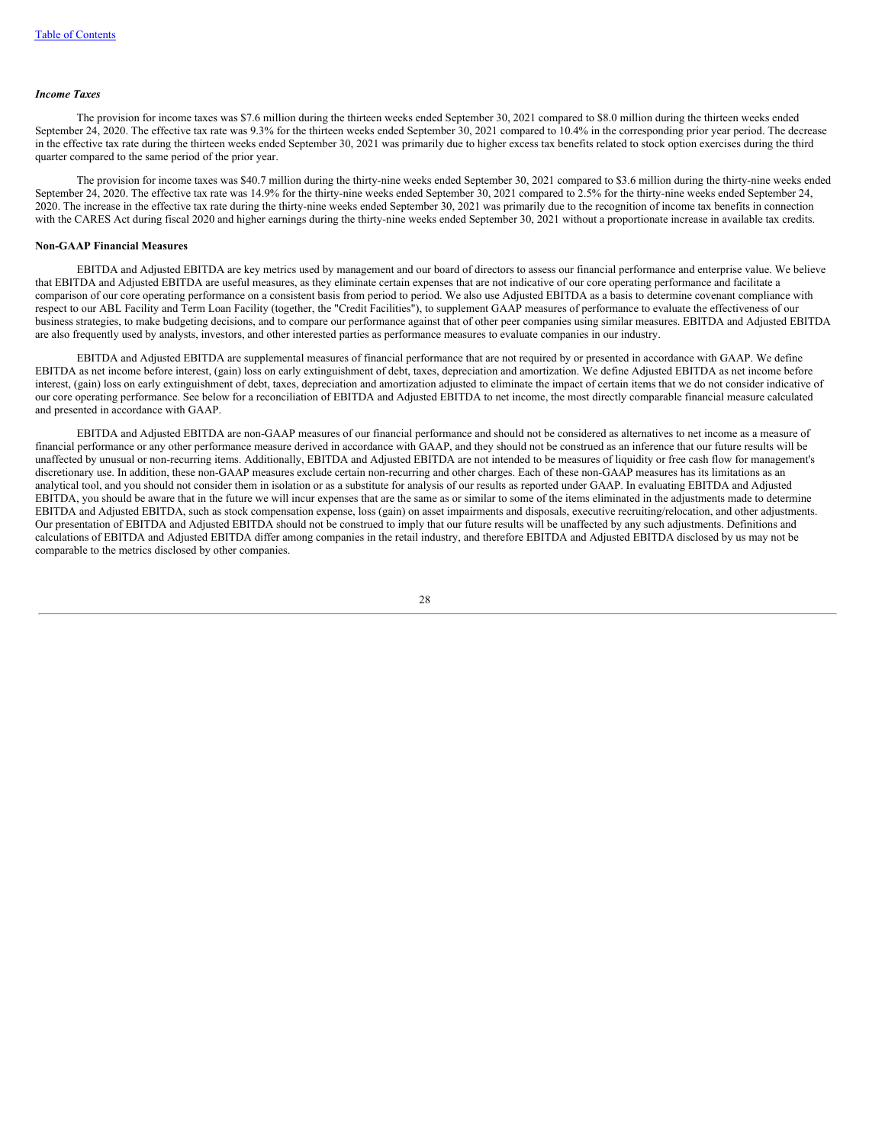# *Income Taxes*

The provision for income taxes was \$7.6 million during the thirteen weeks ended September 30, 2021 compared to \$8.0 million during the thirteen weeks ended September 24, 2020. The effective tax rate was 9.3% for the thirteen weeks ended September 30, 2021 compared to 10.4% in the corresponding prior year period. The decrease in the effective tax rate during the thirteen weeks ended September 30, 2021 was primarily due to higher excess tax benefits related to stock option exercises during the third quarter compared to the same period of the prior year.

The provision for income taxes was \$40.7 million during the thirty-nine weeks ended September 30, 2021 compared to \$3.6 million during the thirty-nine weeks ended September 24, 2020. The effective tax rate was 14.9% for the thirty-nine weeks ended September 30, 2021 compared to 2.5% for the thirty-nine weeks ended September 24, 2020. The increase in the effective tax rate during the thirty-nine weeks ended September 30, 2021 was primarily due to the recognition of income tax benefits in connection with the CARES Act during fiscal 2020 and higher earnings during the thirty-nine weeks ended September 30, 2021 without a proportionate increase in available tax credits.

#### **Non-GAAP Financial Measures**

EBITDA and Adjusted EBITDA are key metrics used by management and our board of directors to assess our financial performance and enterprise value. We believe that EBITDA and Adjusted EBITDA are useful measures, as they eliminate certain expenses that are not indicative of our core operating performance and facilitate a comparison of our core operating performance on a consistent basis from period to period. We also use Adjusted EBITDA as a basis to determine covenant compliance with respect to our ABL Facility and Term Loan Facility (together, the "Credit Facilities"), to supplement GAAP measures of performance to evaluate the effectiveness of our business strategies, to make budgeting decisions, and to compare our performance against that of other peer companies using similar measures. EBITDA and Adjusted EBITDA are also frequently used by analysts, investors, and other interested parties as performance measures to evaluate companies in our industry.

EBITDA and Adjusted EBITDA are supplemental measures of financial performance that are not required by or presented in accordance with GAAP. We define EBITDA as net income before interest, (gain) loss on early extinguishment of debt, taxes, depreciation and amortization. We define Adjusted EBITDA as net income before interest, (gain) loss on early extinguishment of debt, taxes, depreciation and amortization adjusted to eliminate the impact of certain items that we do not consider indicative of our core operating performance. See below for a reconciliation of EBITDA and Adjusted EBITDA to net income, the most directly comparable financial measure calculated and presented in accordance with GAAP.

EBITDA and Adjusted EBITDA are non-GAAP measures of our financial performance and should not be considered as alternatives to net income as a measure of financial performance or any other performance measure derived in accordance with GAAP, and they should not be construed as an inference that our future results will be unaffected by unusual or non-recurring items. Additionally, EBITDA and Adjusted EBITDA are not intended to be measures of liquidity or free cash flow for management's discretionary use. In addition, these non-GAAP measures exclude certain non-recurring and other charges. Each of these non-GAAP measures has its limitations as an analytical tool, and you should not consider them in isolation or as a substitute for analysis of our results as reported under GAAP. In evaluating EBITDA and Adjusted EBITDA, you should be aware that in the future we will incur expenses that are the same as or similar to some of the items eliminated in the adjustments made to determine EBITDA and Adjusted EBITDA, such as stock compensation expense, loss (gain) on asset impairments and disposals, executive recruiting/relocation, and other adjustments. Our presentation of EBITDA and Adjusted EBITDA should not be construed to imply that our future results will be unaffected by any such adjustments. Definitions and calculations of EBITDA and Adjusted EBITDA differ among companies in the retail industry, and therefore EBITDA and Adjusted EBITDA disclosed by us may not be comparable to the metrics disclosed by other companies.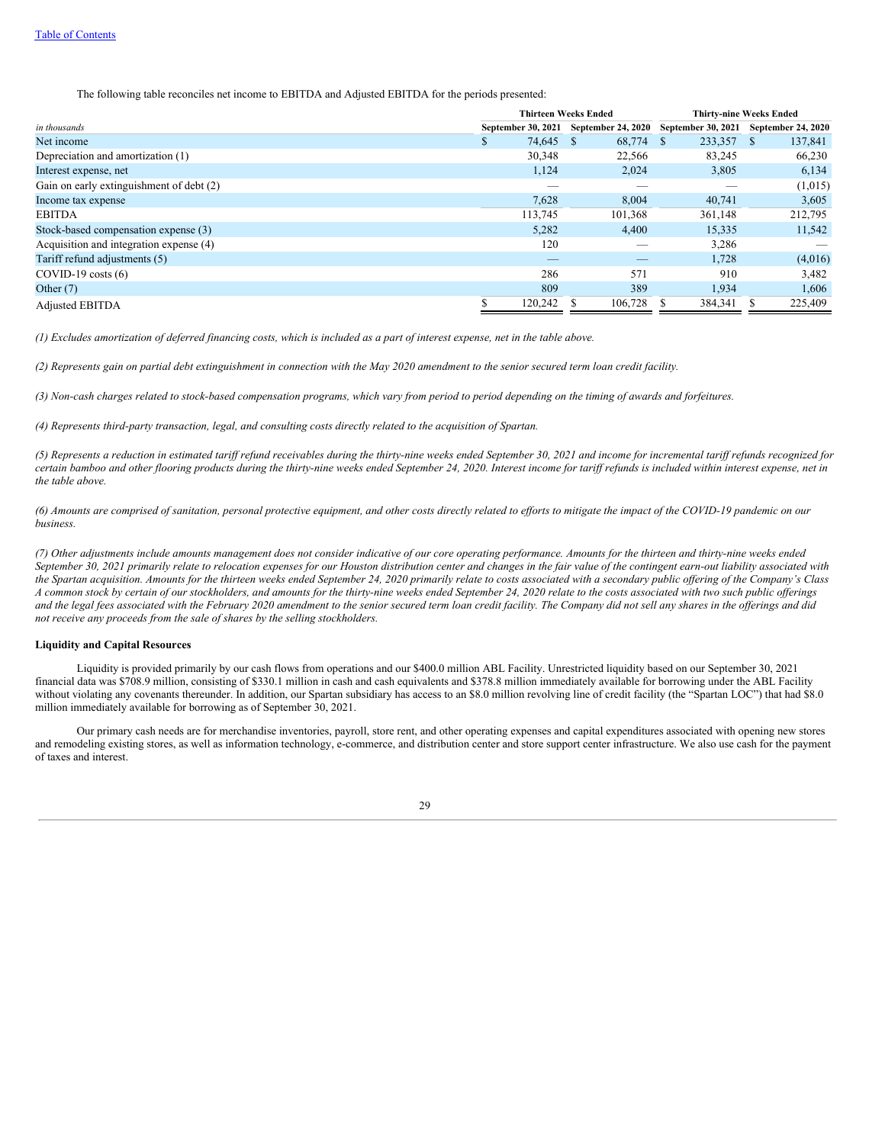The following table reconciles net income to EBITDA and Adjusted EBITDA for the periods presented:

|                                          |   | <b>Thirteen Weeks Ended</b> |  | <b>Thirty-nine Weeks Ended</b> |                         |          |                           |  |
|------------------------------------------|---|-----------------------------|--|--------------------------------|-------------------------|----------|---------------------------|--|
| in thousands                             |   | September 30, 2021          |  | <b>September 24, 2020</b>      | September 30, 2021      |          | <b>September 24, 2020</b> |  |
| Net income                               | Ф | 74,645                      |  | 68,774                         | 233,357<br>$\mathbf{s}$ | <b>S</b> | 137,841                   |  |
| Depreciation and amortization (1)        |   | 30,348                      |  | 22.566                         | 83.245                  |          | 66,230                    |  |
| Interest expense, net                    |   | 1,124                       |  | 2,024                          | 3,805                   |          | 6,134                     |  |
| Gain on early extinguishment of debt (2) |   | $\overline{\phantom{a}}$    |  |                                |                         |          | (1,015)                   |  |
| Income tax expense                       |   | 7,628                       |  | 8,004                          | 40,741                  |          | 3,605                     |  |
| <b>EBITDA</b>                            |   | 113,745                     |  | 101,368                        | 361,148                 |          | 212,795                   |  |
| Stock-based compensation expense (3)     |   | 5,282                       |  | 4,400                          | 15,335                  |          | 11,542                    |  |
| Acquisition and integration expense (4)  |   | 120                         |  |                                | 3,286                   |          |                           |  |
| Tariff refund adjustments (5)            |   | $\overline{\phantom{a}}$    |  |                                | 1,728                   |          | (4,016)                   |  |
| $COVID-19 \text{ costs } (6)$            |   | 286                         |  | 571                            | 910                     |          | 3,482                     |  |
| Other $(7)$                              |   | 809                         |  | 389                            | 1.934                   |          | 1,606                     |  |
| <b>Adjusted EBITDA</b>                   |   | 120,242                     |  | 106,728                        | 384,341                 |          | 225,409                   |  |

(1) Excludes amortization of deferred financing costs, which is included as a part of interest expense, net in the table above.

(2) Represents gain on partial debt extinguishment in connection with the May 2020 amendment to the senior secured term loan credit facility.

(3) Non-cash charges related to stock-based compensation programs, which vary from period to period depending on the timing of awards and forfeitures.

*(4) Represents third-party transaction, legal, and consulting costs directly related to the acquisition of Spartan.*

(5) Represents a reduction in estimated tariff refund receivables during the thirty-nine weeks ended September 30, 2021 and income for incremental tariff refunds recognized for certain bamboo and other flooring products during the thirty-nine weeks ended September 24, 2020. Interest income for tariff refunds is included within interest expense, net in *the table above.*

(6) Amounts are comprised of sanitation, personal protective equipment, and other costs directly related to efforts to mitigate the impact of the COVID-19 pandemic on our *business.*

(7) Other adjustments include amounts management does not consider indicative of our core operating performance. Amounts for the thirteen and thirty-nine weeks ended September 30, 2021 primarily relate to relocation expenses for our Houston distribution center and changes in the fair value of the contingent earn-out liability associated with the Spartan acquisition. Amounts for the thirteen weeks ended September 24, 2020 primarily relate to costs associated with a secondary public offering of the Company's Class A common stock by certain of our stockholders, and amounts for the thirty-nine weeks ended September 24, 2020 relate to the costs associated with two such public offerings and the legal fees associated with the February 2020 amendment to the senior secured term loan credit facility. The Company did not sell any shares in the offerings and did *not receive any proceeds from the sale of shares by the selling stockholders.*

# **Liquidity and Capital Resources**

Liquidity is provided primarily by our cash flows from operations and our \$400.0 million ABL Facility. Unrestricted liquidity based on our September 30, 2021 financial data was \$708.9 million, consisting of \$330.1 million in cash and cash equivalents and \$378.8 million immediately available for borrowing under the ABL Facility without violating any covenants thereunder. In addition, our Spartan subsidiary has access to an \$8.0 million revolving line of credit facility (the "Spartan LOC") that had \$8.0 million immediately available for borrowing as of September 30, 2021.

Our primary cash needs are for merchandise inventories, payroll, store rent, and other operating expenses and capital expenditures associated with opening new stores and remodeling existing stores, as well as information technology, e-commerce, and distribution center and store support center infrastructure. We also use cash for the payment of taxes and interest.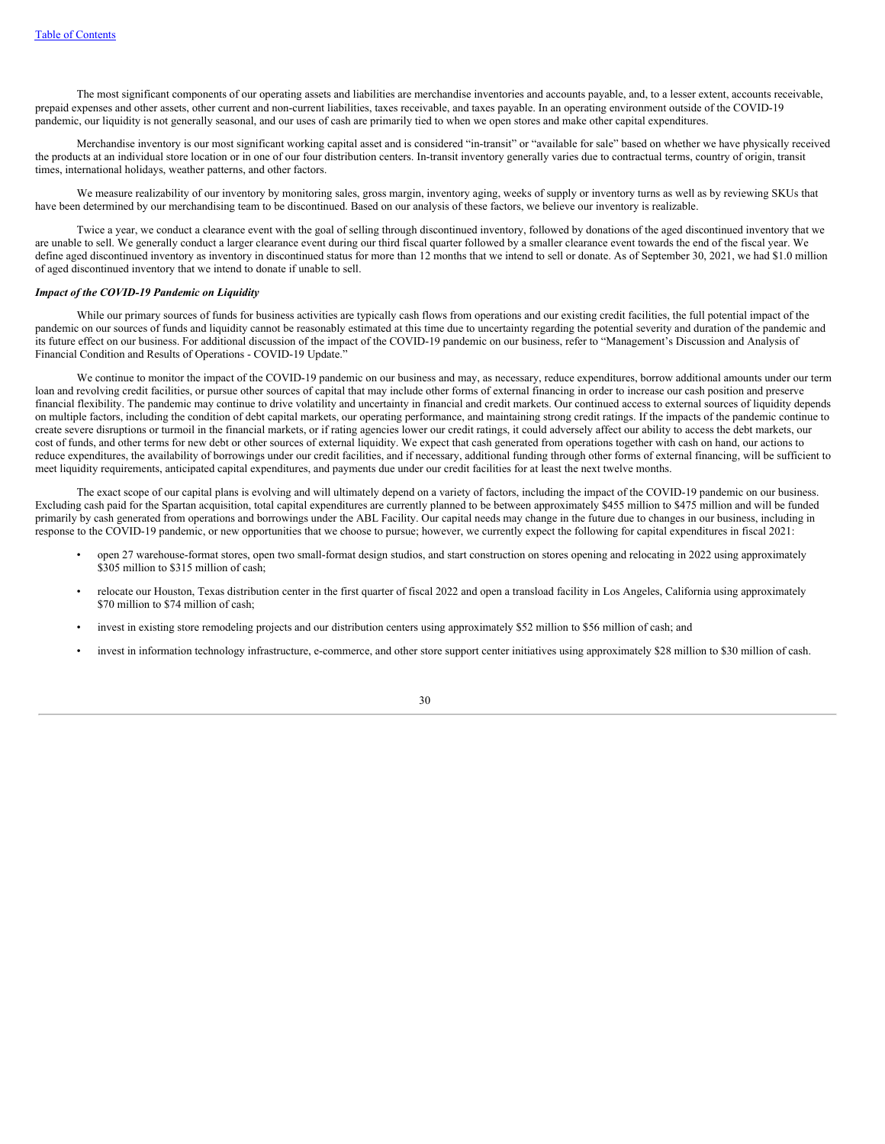The most significant components of our operating assets and liabilities are merchandise inventories and accounts payable, and, to a lesser extent, accounts receivable, prepaid expenses and other assets, other current and non-current liabilities, taxes receivable, and taxes payable. In an operating environment outside of the COVID-19 pandemic, our liquidity is not generally seasonal, and our uses of cash are primarily tied to when we open stores and make other capital expenditures.

Merchandise inventory is our most significant working capital asset and is considered "in-transit" or "available for sale" based on whether we have physically received the products at an individual store location or in one of our four distribution centers. In-transit inventory generally varies due to contractual terms, country of origin, transit times, international holidays, weather patterns, and other factors.

We measure realizability of our inventory by monitoring sales, gross margin, inventory aging, weeks of supply or inventory turns as well as by reviewing SKUs that have been determined by our merchandising team to be discontinued. Based on our analysis of these factors, we believe our inventory is realizable.

Twice a year, we conduct a clearance event with the goal of selling through discontinued inventory, followed by donations of the aged discontinued inventory that we are unable to sell. We generally conduct a larger clearance event during our third fiscal quarter followed by a smaller clearance event towards the end of the fiscal year. We define aged discontinued inventory as inventory in discontinued status for more than 12 months that we intend to sell or donate. As of September 30, 2021, we had \$1.0 million of aged discontinued inventory that we intend to donate if unable to sell.

# *Impact of the COVID-19 Pandemic on Liquidity*

While our primary sources of funds for business activities are typically cash flows from operations and our existing credit facilities, the full potential impact of the pandemic on our sources of funds and liquidity cannot be reasonably estimated at this time due to uncertainty regarding the potential severity and duration of the pandemic and its future effect on our business. For additional discussion of the impact of the COVID-19 pandemic on our business, refer to "Management's Discussion and Analysis of Financial Condition and Results of Operations - COVID-19 Update."

We continue to monitor the impact of the COVID-19 pandemic on our business and may, as necessary, reduce expenditures, borrow additional amounts under our term loan and revolving credit facilities, or pursue other sources of capital that may include other forms of external financing in order to increase our cash position and preserve financial flexibility. The pandemic may continue to drive volatility and uncertainty in financial and credit markets. Our continued access to external sources of liquidity depends on multiple factors, including the condition of debt capital markets, our operating performance, and maintaining strong credit ratings. If the impacts of the pandemic continue to create severe disruptions or turmoil in the financial markets, or if rating agencies lower our credit ratings, it could adversely affect our ability to access the debt markets, our cost of funds, and other terms for new debt or other sources of external liquidity. We expect that cash generated from operations together with cash on hand, our actions to reduce expenditures, the availability of borrowings under our credit facilities, and if necessary, additional funding through other forms of external financing, will be sufficient to meet liquidity requirements, anticipated capital expenditures, and payments due under our credit facilities for at least the next twelve months.

The exact scope of our capital plans is evolving and will ultimately depend on a variety of factors, including the impact of the COVID-19 pandemic on our business. Excluding cash paid for the Spartan acquisition, total capital expenditures are currently planned to be between approximately \$455 million to \$475 million and will be funded primarily by cash generated from operations and borrowings under the ABL Facility. Our capital needs may change in the future due to changes in our business, including in response to the COVID-19 pandemic, or new opportunities that we choose to pursue; however, we currently expect the following for capital expenditures in fiscal 2021:

- open 27 warehouse-format stores, open two small-format design studios, and start construction on stores opening and relocating in 2022 using approximately \$305 million to \$315 million of cash;
- relocate our Houston, Texas distribution center in the first quarter of fiscal 2022 and open a transload facility in Los Angeles, California using approximately \$70 million to \$74 million of cash;
- invest in existing store remodeling projects and our distribution centers using approximately \$52 million to \$56 million of cash; and
- invest in information technology infrastructure, e-commerce, and other store support center initiatives using approximately \$28 million to \$30 million of cash.

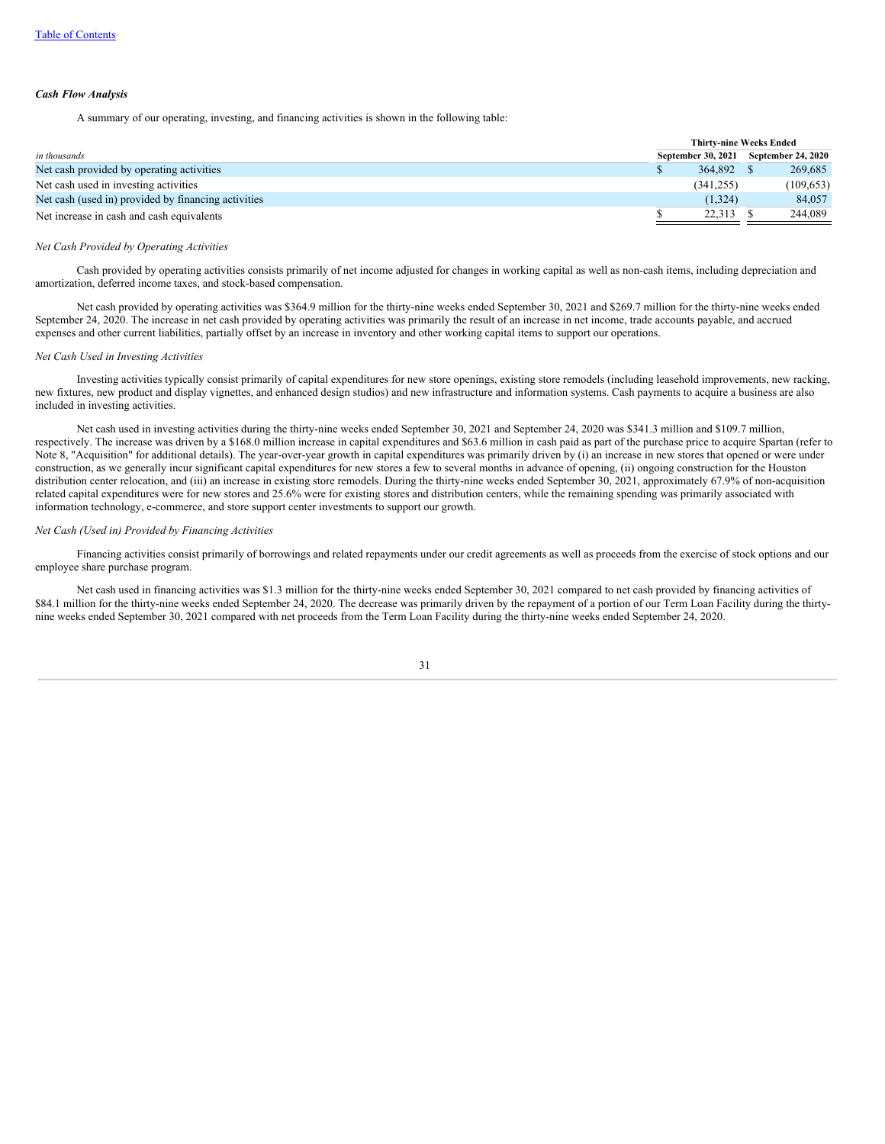# *Cash Flow Analysis*

A summary of our operating, investing, and financing activities is shown in the following table:

|                                                     | <b>Thirty-nine Weeks Ended</b> |                    |  |                           |  |  |  |
|-----------------------------------------------------|--------------------------------|--------------------|--|---------------------------|--|--|--|
| in thousands                                        |                                | September 30, 2021 |  | <b>September 24, 2020</b> |  |  |  |
| Net cash provided by operating activities           |                                | 364,892            |  | 269.685                   |  |  |  |
| Net cash used in investing activities               |                                | (341.255)          |  | (109, 653)                |  |  |  |
| Net cash (used in) provided by financing activities |                                | (1,324)            |  | 84,057                    |  |  |  |
| Net increase in cash and cash equivalents           |                                | 22.313             |  | 244,089                   |  |  |  |

## *Net Cash Provided by Operating Activities*

Cash provided by operating activities consists primarily of net income adjusted for changes in working capital as well as non-cash items, including depreciation and amortization, deferred income taxes, and stock-based compensation.

Net cash provided by operating activities was \$364.9 million for the thirty-nine weeks ended September 30, 2021 and \$269.7 million for the thirty-nine weeks ended September 24, 2020. The increase in net cash provided by operating activities was primarily the result of an increase in net income, trade accounts payable, and accrued expenses and other current liabilities, partially offset by an increase in inventory and other working capital items to support our operations.

## *Net Cash Used in Investing Activities*

Investing activities typically consist primarily of capital expenditures for new store openings, existing store remodels (including leasehold improvements, new racking, new fixtures, new product and display vignettes, and enhanced design studios) and new infrastructure and information systems. Cash payments to acquire a business are also included in investing activities.

Net cash used in investing activities during the thirty-nine weeks ended September 30, 2021 and September 24, 2020 was \$341.3 million and \$109.7 million, respectively. The increase was driven by a \$168.0 million increase in capital expenditures and \$63.6 million in cash paid as part of the purchase price to acquire Spartan (refer to Note 8, "Acquisition" for additional details). The year-over-year growth in capital expenditures was primarily driven by (i) an increase in new stores that opened or were under construction, as we generally incur significant capital expenditures for new stores a few to several months in advance of opening, (ii) ongoing construction for the Houston distribution center relocation, and (iii) an increase in existing store remodels. During the thirty-nine weeks ended September 30, 2021, approximately 67.9% of non-acquisition related capital expenditures were for new stores and 25.6% were for existing stores and distribution centers, while the remaining spending was primarily associated with information technology, e-commerce, and store support center investments to support our growth.

# *Net Cash (Used in) Provided by Financing Activities*

Financing activities consist primarily of borrowings and related repayments under our credit agreements as well as proceeds from the exercise of stock options and our employee share purchase program.

Net cash used in financing activities was \$1.3 million for the thirty-nine weeks ended September 30, 2021 compared to net cash provided by financing activities of \$84.1 million for the thirty-nine weeks ended September 24, 2020. The decrease was primarily driven by the repayment of a portion of our Term Loan Facility during the thirtynine weeks ended September 30, 2021 compared with net proceeds from the Term Loan Facility during the thirty-nine weeks ended September 24, 2020.

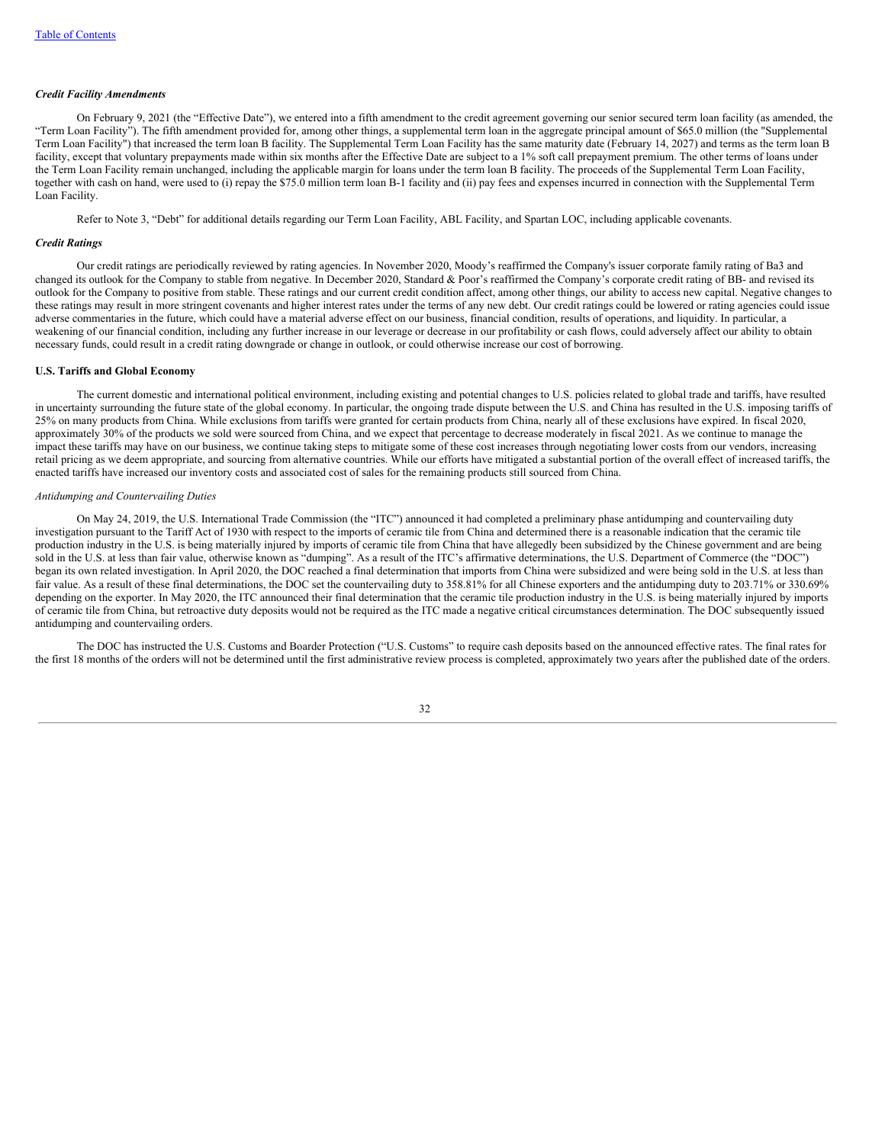## *Credit Facility Amendments*

On February 9, 2021 (the "Effective Date"), we entered into a fifth amendment to the credit agreement governing our senior secured term loan facility (as amended, the "Term Loan Facility"). The fifth amendment provided for, among other things, a supplemental term loan in the aggregate principal amount of \$65.0 million (the "Supplemental Term Loan Facility") that increased the term loan B facility. The Supplemental Term Loan Facility has the same maturity date (February 14, 2027) and terms as the term loan B facility, except that voluntary prepayments made within six months after the Effective Date are subject to a 1% soft call prepayment premium. The other terms of loans under the Term Loan Facility remain unchanged, including the applicable margin for loans under the term loan B facility. The proceeds of the Supplemental Term Loan Facility, together with cash on hand, were used to (i) repay the \$75.0 million term loan B-1 facility and (ii) pay fees and expenses incurred in connection with the Supplemental Term Loan Facility.

Refer to Note 3, "Debt" for additional details regarding our Term Loan Facility, ABL Facility, and Spartan LOC, including applicable covenants.

#### *Credit Ratings*

Our credit ratings are periodically reviewed by rating agencies. In November 2020, Moody's reaffirmed the Company's issuer corporate family rating of Ba3 and changed its outlook for the Company to stable from negative. In December 2020, Standard & Poor's reaffirmed the Company's corporate credit rating of BB- and revised its outlook for the Company to positive from stable. These ratings and our current credit condition affect, among other things, our ability to access new capital. Negative changes to these ratings may result in more stringent covenants and higher interest rates under the terms of any new debt. Our credit ratings could be lowered or rating agencies could issue adverse commentaries in the future, which could have a material adverse effect on our business, financial condition, results of operations, and liquidity. In particular, a weakening of our financial condition, including any further increase in our leverage or decrease in our profitability or cash flows, could adversely affect our ability to obtain necessary funds, could result in a credit rating downgrade or change in outlook, or could otherwise increase our cost of borrowing.

# **U.S. Tariffs and Global Economy**

The current domestic and international political environment, including existing and potential changes to U.S. policies related to global trade and tariffs, have resulted in uncertainty surrounding the future state of the global economy. In particular, the ongoing trade dispute between the U.S. and China has resulted in the U.S. imposing tariffs of 25% on many products from China. While exclusions from tariffs were granted for certain products from China, nearly all of these exclusions have expired. In fiscal 2020, approximately 30% of the products we sold were sourced from China, and we expect that percentage to decrease moderately in fiscal 2021. As we continue to manage the impact these tariffs may have on our business, we continue taking steps to mitigate some of these cost increases through negotiating lower costs from our vendors, increasing retail pricing as we deem appropriate, and sourcing from alternative countries. While our efforts have mitigated a substantial portion of the overall effect of increased tariffs, the enacted tariffs have increased our inventory costs and associated cost of sales for the remaining products still sourced from China.

#### *Antidumping and Countervailing Duties*

On May 24, 2019, the U.S. International Trade Commission (the "ITC") announced it had completed a preliminary phase antidumping and countervailing duty investigation pursuant to the Tariff Act of 1930 with respect to the imports of ceramic tile from China and determined there is a reasonable indication that the ceramic tile production industry in the U.S. is being materially injured by imports of ceramic tile from China that have allegedly been subsidized by the Chinese government and are being sold in the U.S. at less than fair value, otherwise known as "dumping". As a result of the ITC's affirmative determinations, the U.S. Department of Commerce (the "DOC") began its own related investigation. In April 2020, the DOC reached a final determination that imports from China were subsidized and were being sold in the U.S. at less than fair value. As a result of these final determinations, the DOC set the countervailing duty to 358.81% for all Chinese exporters and the antidumping duty to 203.71% or 330.69% depending on the exporter. In May 2020, the ITC announced their final determination that the ceramic tile production industry in the U.S. is being materially injured by imports of ceramic tile from China, but retroactive duty deposits would not be required as the ITC made a negative critical circumstances determination. The DOC subsequently issued antidumping and countervailing orders.

The DOC has instructed the U.S. Customs and Boarder Protection ("U.S. Customs" to require cash deposits based on the announced effective rates. The final rates for the first 18 months of the orders will not be determined until the first administrative review process is completed, approximately two years after the published date of the orders.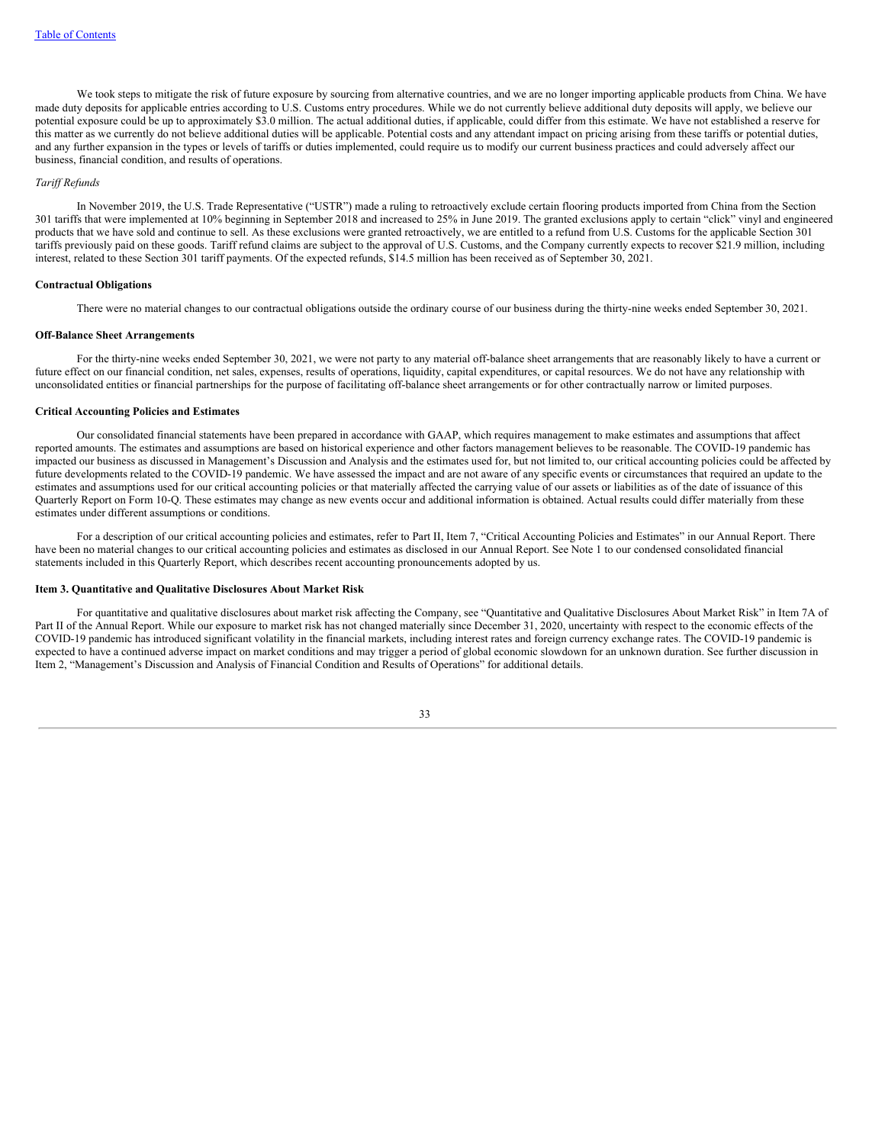We took steps to mitigate the risk of future exposure by sourcing from alternative countries, and we are no longer importing applicable products from China. We have made duty deposits for applicable entries according to U.S. Customs entry procedures. While we do not currently believe additional duty deposits will apply, we believe our potential exposure could be up to approximately \$3.0 million. The actual additional duties, if applicable, could differ from this estimate. We have not established a reserve for this matter as we currently do not believe additional duties will be applicable. Potential costs and any attendant impact on pricing arising from these tariffs or potential duties, and any further expansion in the types or levels of tariffs or duties implemented, could require us to modify our current business practices and could adversely affect our business, financial condition, and results of operations.

#### *Tarif Refunds*

In November 2019, the U.S. Trade Representative ("USTR") made a ruling to retroactively exclude certain flooring products imported from China from the Section 301 tariffs that were implemented at 10% beginning in September 2018 and increased to 25% in June 2019. The granted exclusions apply to certain "click" vinyl and engineered products that we have sold and continue to sell. As these exclusions were granted retroactively, we are entitled to a refund from U.S. Customs for the applicable Section 301 tariffs previously paid on these goods. Tariff refund claims are subject to the approval of U.S. Customs, and the Company currently expects to recover \$21.9 million, including interest, related to these Section 301 tariff payments. Of the expected refunds, \$14.5 million has been received as of September 30, 2021.

## **Contractual Obligations**

There were no material changes to our contractual obligations outside the ordinary course of our business during the thirty-nine weeks ended September 30, 2021.

# **Off-Balance Sheet Arrangements**

For the thirty-nine weeks ended September 30, 2021, we were not party to any material off-balance sheet arrangements that are reasonably likely to have a current or future effect on our financial condition, net sales, expenses, results of operations, liquidity, capital expenditures, or capital resources. We do not have any relationship with unconsolidated entities or financial partnerships for the purpose of facilitating off-balance sheet arrangements or for other contractually narrow or limited purposes.

## **Critical Accounting Policies and Estimates**

Our consolidated financial statements have been prepared in accordance with GAAP, which requires management to make estimates and assumptions that affect reported amounts. The estimates and assumptions are based on historical experience and other factors management believes to be reasonable. The COVID-19 pandemic has impacted our business as discussed in Management's Discussion and Analysis and the estimates used for, but not limited to, our critical accounting policies could be affected by future developments related to the COVID-19 pandemic. We have assessed the impact and are not aware of any specific events or circumstances that required an update to the estimates and assumptions used for our critical accounting policies or that materially affected the carrying value of our assets or liabilities as of the date of issuance of this Quarterly Report on Form 10-Q. These estimates may change as new events occur and additional information is obtained. Actual results could differ materially from these estimates under different assumptions or conditions.

For a description of our critical accounting policies and estimates, refer to Part II, Item 7, "Critical Accounting Policies and Estimates" in our Annual Report. There have been no material changes to our critical accounting policies and estimates as disclosed in our Annual Report. See Note 1 to our condensed consolidated financial statements included in this Quarterly Report, which describes recent accounting pronouncements adopted by us.

#### <span id="page-32-0"></span>**Item 3. Quantitative and Qualitative Disclosures About Market Risk**

For quantitative and qualitative disclosures about market risk affecting the Company, see "Quantitative and Qualitative Disclosures About Market Risk" in Item 7A of Part II of the Annual Report. While our exposure to market risk has not changed materially since December 31, 2020, uncertainty with respect to the economic effects of the COVID-19 pandemic has introduced significant volatility in the financial markets, including interest rates and foreign currency exchange rates. The COVID-19 pandemic is expected to have a continued adverse impact on market conditions and may trigger a period of global economic slowdown for an unknown duration. See further discussion in Item 2, "Management's Discussion and Analysis of Financial Condition and Results of Operations" for additional details.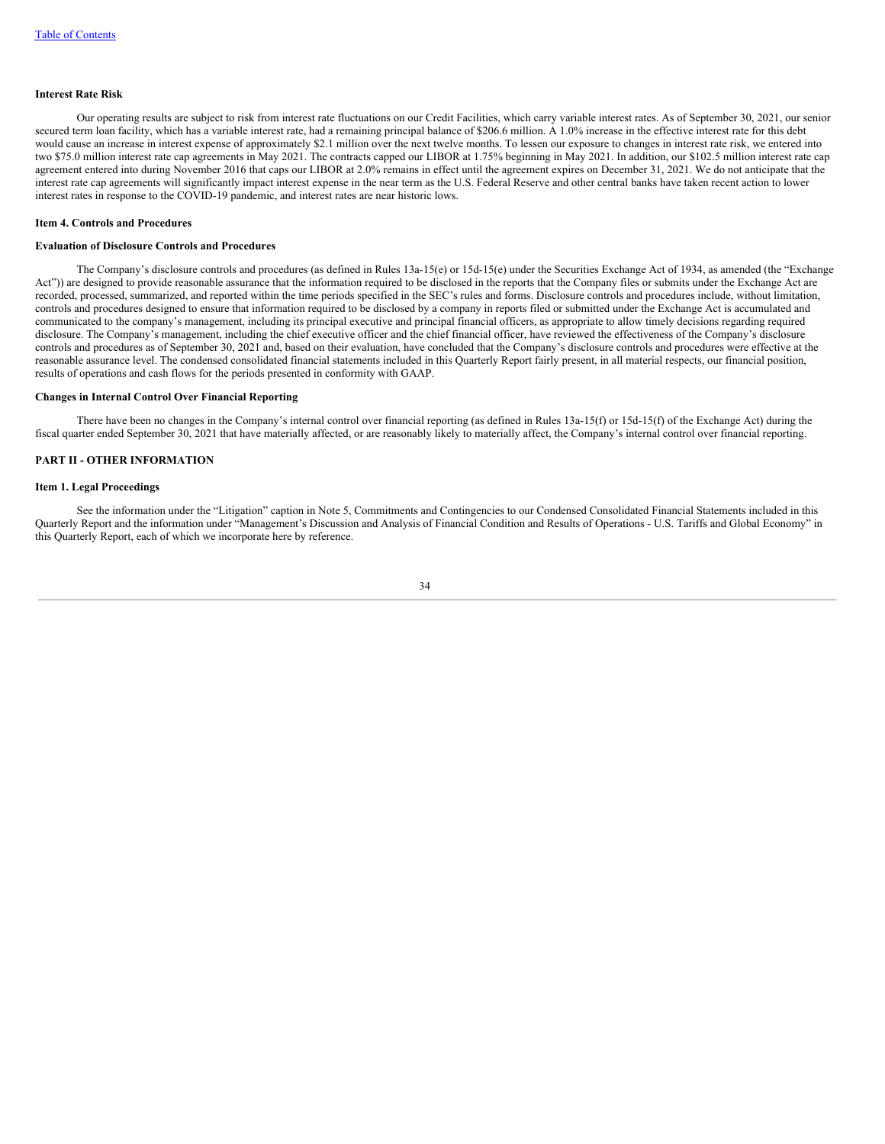#### **Interest Rate Risk**

Our operating results are subject to risk from interest rate fluctuations on our Credit Facilities, which carry variable interest rates. As of September 30, 2021, our senior secured term loan facility, which has a variable interest rate, had a remaining principal balance of \$206.6 million. A 1.0% increase in the effective interest rate for this debt would cause an increase in interest expense of approximately \$2.1 million over the next twelve months. To lessen our exposure to changes in interest rate risk, we entered into two \$75.0 million interest rate cap agreements in May 2021. The contracts capped our LIBOR at 1.75% beginning in May 2021. In addition, our \$102.5 million interest rate cap agreement entered into during November 2016 that caps our LIBOR at 2.0% remains in effect until the agreement expires on December 31, 2021. We do not anticipate that the interest rate cap agreements will significantly impact interest expense in the near term as the U.S. Federal Reserve and other central banks have taken recent action to lower interest rates in response to the COVID-19 pandemic, and interest rates are near historic lows.

#### <span id="page-33-0"></span>**Item 4. Controls and Procedures**

#### **Evaluation of Disclosure Controls and Procedures**

The Company's disclosure controls and procedures (as defined in Rules 13a-15(e) or 15d-15(e) under the Securities Exchange Act of 1934, as amended (the "Exchange Act")) are designed to provide reasonable assurance that the information required to be disclosed in the reports that the Company files or submits under the Exchange Act are recorded, processed, summarized, and reported within the time periods specified in the SEC's rules and forms. Disclosure controls and procedures include, without limitation, controls and procedures designed to ensure that information required to be disclosed by a company in reports filed or submitted under the Exchange Act is accumulated and communicated to the company's management, including its principal executive and principal financial officers, as appropriate to allow timely decisions regarding required disclosure. The Company's management, including the chief executive officer and the chief financial officer, have reviewed the effectiveness of the Company's disclosure controls and procedures as of September 30, 2021 and, based on their evaluation, have concluded that the Company's disclosure controls and procedures were effective at the reasonable assurance level. The condensed consolidated financial statements included in this Quarterly Report fairly present, in all material respects, our financial position, results of operations and cash flows for the periods presented in conformity with GAAP.

# **Changes in Internal Control Over Financial Reporting**

There have been no changes in the Company's internal control over financial reporting (as defined in Rules 13a-15(f) or 15d-15(f) of the Exchange Act) during the fiscal quarter ended September 30, 2021 that have materially affected, or are reasonably likely to materially affect, the Company's internal control over financial reporting.

## <span id="page-33-2"></span><span id="page-33-1"></span>**PART II - OTHER INFORMATION**

#### **Item 1. Legal Proceedings**

<span id="page-33-3"></span>See the information under the "Litigation" caption in Note 5, Commitments and Contingencies to our Condensed Consolidated Financial Statements included in this Quarterly Report and the information under "Management's Discussion and Analysis of Financial Condition and Results of Operations - U.S. Tariffs and Global Economy" in this Quarterly Report, each of which we incorporate here by reference.

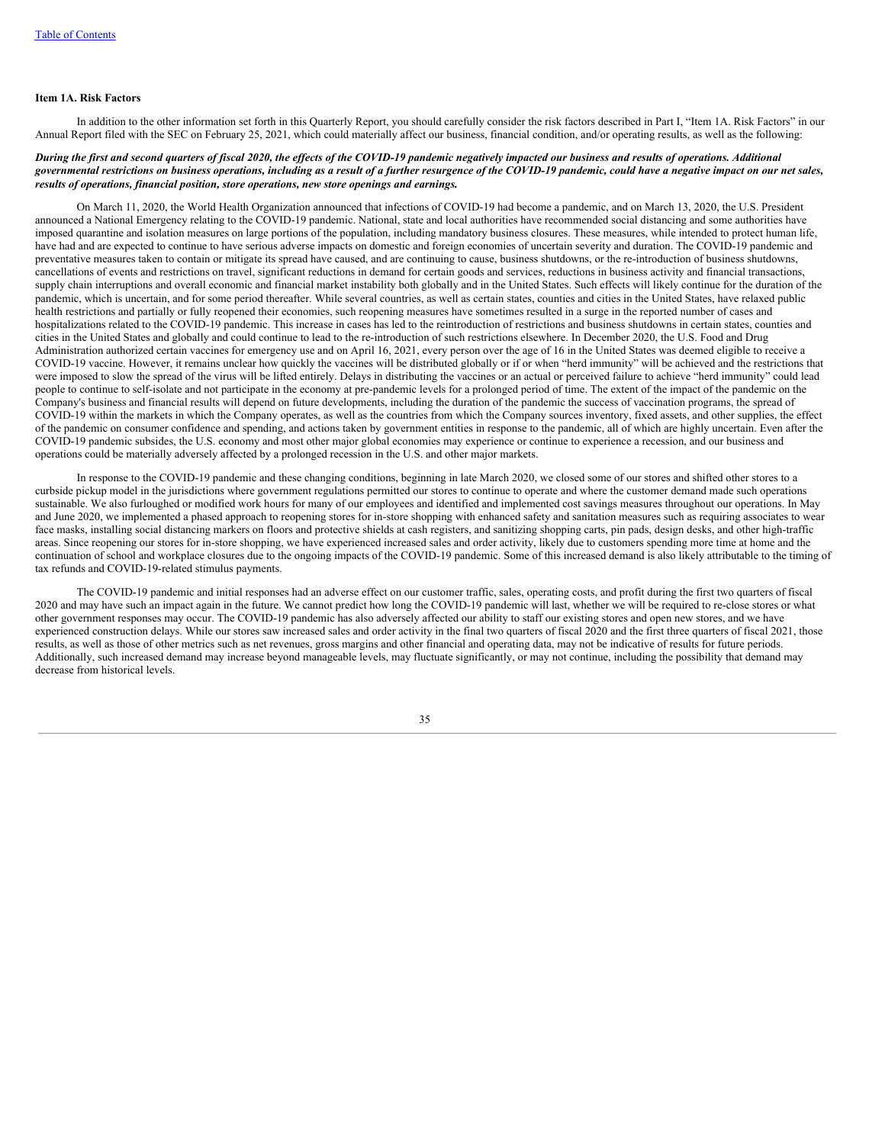#### **Item 1A. Risk Factors**

In addition to the other information set forth in this Quarterly Report, you should carefully consider the risk factors described in Part I, "Item 1A. Risk Factors" in our Annual Report filed with the SEC on February 25, 2021, which could materially affect our business, financial condition, and/or operating results, as well as the following:

# During the first and second quarters of fiscal 2020, the effects of the COVID-19 pandemic negatively impacted our business and results of operations. Additional governmental restrictions on business operations, including as a result of a further resurgence of the COVID-19 pandemic, could have a negative impact on our net sales, *results of operations, financial position, store operations, new store openings and earnings.*

On March 11, 2020, the World Health Organization announced that infections of COVID-19 had become a pandemic, and on March 13, 2020, the U.S. President announced a National Emergency relating to the COVID-19 pandemic. National, state and local authorities have recommended social distancing and some authorities have imposed quarantine and isolation measures on large portions of the population, including mandatory business closures. These measures, while intended to protect human life, have had and are expected to continue to have serious adverse impacts on domestic and foreign economies of uncertain severity and duration. The COVID-19 pandemic and preventative measures taken to contain or mitigate its spread have caused, and are continuing to cause, business shutdowns, or the re-introduction of business shutdowns, cancellations of events and restrictions on travel, significant reductions in demand for certain goods and services, reductions in business activity and financial transactions, supply chain interruptions and overall economic and financial market instability both globally and in the United States. Such effects will likely continue for the duration of the pandemic, which is uncertain, and for some period thereafter. While several countries, as well as certain states, counties and cities in the United States, have relaxed public health restrictions and partially or fully reopened their economies, such reopening measures have sometimes resulted in a surge in the reported number of cases and hospitalizations related to the COVID-19 pandemic. This increase in cases has led to the reintroduction of restrictions and business shutdowns in certain states, counties and cities in the United States and globally and could continue to lead to the re-introduction of such restrictions elsewhere. In December 2020, the U.S. Food and Drug Administration authorized certain vaccines for emergency use and on April 16, 2021, every person over the age of 16 in the United States was deemed eligible to receive a COVID-19 vaccine. However, it remains unclear how quickly the vaccines will be distributed globally or if or when "herd immunity" will be achieved and the restrictions that were imposed to slow the spread of the virus will be lifted entirely. Delays in distributing the vaccines or an actual or perceived failure to achieve "herd immunity" could lead people to continue to self-isolate and not participate in the economy at pre-pandemic levels for a prolonged period of time. The extent of the impact of the pandemic on the Company's business and financial results will depend on future developments, including the duration of the pandemic the success of vaccination programs, the spread of COVID-19 within the markets in which the Company operates, as well as the countries from which the Company sources inventory, fixed assets, and other supplies, the effect of the pandemic on consumer confidence and spending, and actions taken by government entities in response to the pandemic, all of which are highly uncertain. Even after the COVID-19 pandemic subsides, the U.S. economy and most other major global economies may experience or continue to experience a recession, and our business and operations could be materially adversely affected by a prolonged recession in the U.S. and other major markets.

In response to the COVID-19 pandemic and these changing conditions, beginning in late March 2020, we closed some of our stores and shifted other stores to a curbside pickup model in the jurisdictions where government regulations permitted our stores to continue to operate and where the customer demand made such operations sustainable. We also furloughed or modified work hours for many of our employees and identified and implemented cost savings measures throughout our operations. In May and June 2020, we implemented a phased approach to reopening stores for in-store shopping with enhanced safety and sanitation measures such as requiring associates to wear face masks, installing social distancing markers on floors and protective shields at cash registers, and sanitizing shopping carts, pin pads, design desks, and other high-traffic areas. Since reopening our stores for in-store shopping, we have experienced increased sales and order activity, likely due to customers spending more time at home and the continuation of school and workplace closures due to the ongoing impacts of the COVID-19 pandemic. Some of this increased demand is also likely attributable to the timing of tax refunds and COVID-19-related stimulus payments.

The COVID-19 pandemic and initial responses had an adverse effect on our customer traffic, sales, operating costs, and profit during the first two quarters of fiscal 2020 and may have such an impact again in the future. We cannot predict how long the COVID-19 pandemic will last, whether we will be required to re-close stores or what other government responses may occur. The COVID-19 pandemic has also adversely affected our ability to staff our existing stores and open new stores, and we have experienced construction delays. While our stores saw increased sales and order activity in the final two quarters of fiscal 2020 and the first three quarters of fiscal 2021, those results, as well as those of other metrics such as net revenues, gross margins and other financial and operating data, may not be indicative of results for future periods. Additionally, such increased demand may increase beyond manageable levels, may fluctuate significantly, or may not continue, including the possibility that demand may decrease from historical levels.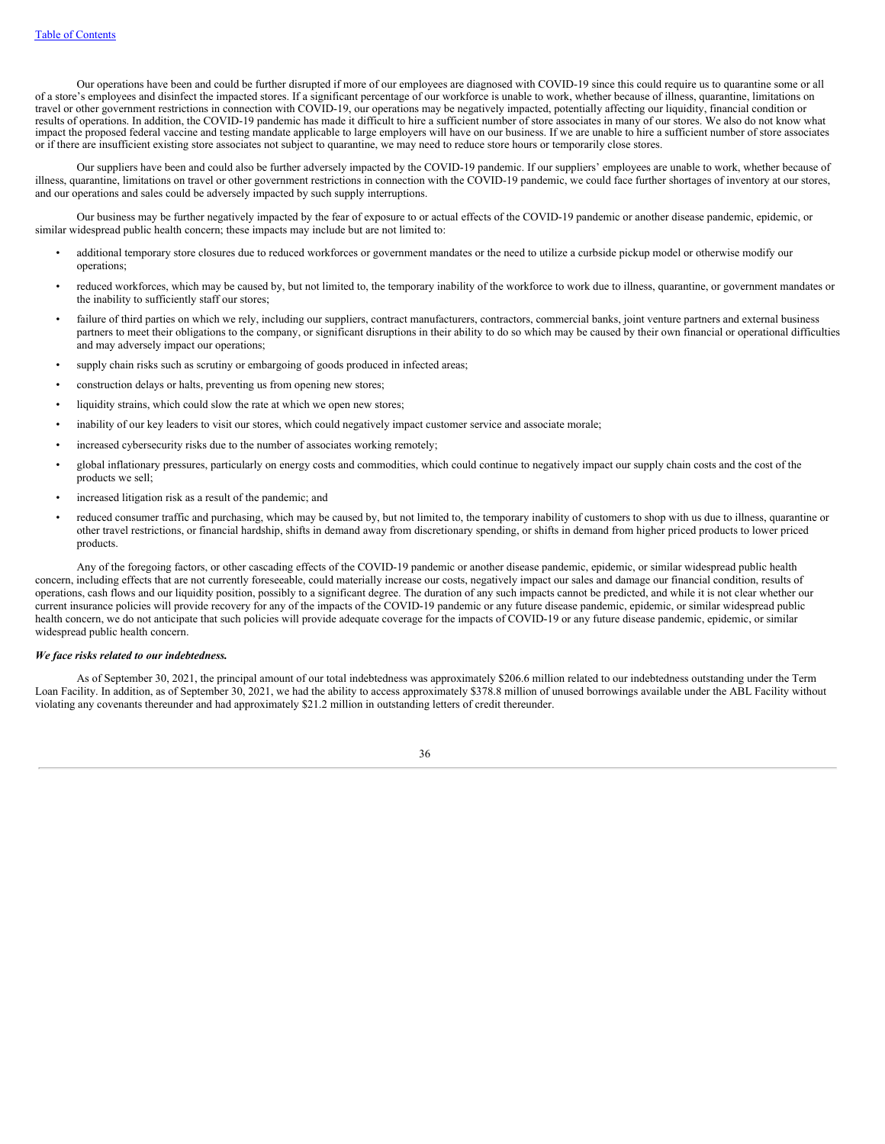Our operations have been and could be further disrupted if more of our employees are diagnosed with COVID-19 since this could require us to quarantine some or all of a store's employees and disinfect the impacted stores. If a significant percentage of our workforce is unable to work, whether because of illness, quarantine, limitations on travel or other government restrictions in connection with COVID-19, our operations may be negatively impacted, potentially affecting our liquidity, financial condition or results of operations. In addition, the COVID-19 pandemic has made it difficult to hire a sufficient number of store associates in many of our stores. We also do not know what impact the proposed federal vaccine and testing mandate applicable to large employers will have on our business. If we are unable to hire a sufficient number of store associates or if there are insufficient existing store associates not subject to quarantine, we may need to reduce store hours or temporarily close stores.

Our suppliers have been and could also be further adversely impacted by the COVID-19 pandemic. If our suppliers' employees are unable to work, whether because of illness, quarantine, limitations on travel or other government restrictions in connection with the COVID-19 pandemic, we could face further shortages of inventory at our stores, and our operations and sales could be adversely impacted by such supply interruptions.

Our business may be further negatively impacted by the fear of exposure to or actual effects of the COVID-19 pandemic or another disease pandemic, epidemic, or similar widespread public health concern; these impacts may include but are not limited to:

- additional temporary store closures due to reduced workforces or government mandates or the need to utilize a curbside pickup model or otherwise modify our operations;
- reduced workforces, which may be caused by, but not limited to, the temporary inability of the workforce to work due to illness, quarantine, or government mandates or the inability to sufficiently staff our stores;
- failure of third parties on which we rely, including our suppliers, contract manufacturers, contractors, commercial banks, joint venture partners and external business partners to meet their obligations to the company, or significant disruptions in their ability to do so which may be caused by their own financial or operational difficulties and may adversely impact our operations;
- supply chain risks such as scrutiny or embargoing of goods produced in infected areas;
- construction delays or halts, preventing us from opening new stores;
- liquidity strains, which could slow the rate at which we open new stores;
- inability of our key leaders to visit our stores, which could negatively impact customer service and associate morale;
- increased cybersecurity risks due to the number of associates working remotely;
- global inflationary pressures, particularly on energy costs and commodities, which could continue to negatively impact our supply chain costs and the cost of the products we sell;
- increased litigation risk as a result of the pandemic; and
- reduced consumer traffic and purchasing, which may be caused by, but not limited to, the temporary inability of customers to shop with us due to illness, quarantine or other travel restrictions, or financial hardship, shifts in demand away from discretionary spending, or shifts in demand from higher priced products to lower priced products.

Any of the foregoing factors, or other cascading effects of the COVID-19 pandemic or another disease pandemic, epidemic, or similar widespread public health concern, including effects that are not currently foreseeable, could materially increase our costs, negatively impact our sales and damage our financial condition, results of operations, cash flows and our liquidity position, possibly to a significant degree. The duration of any such impacts cannot be predicted, and while it is not clear whether our current insurance policies will provide recovery for any of the impacts of the COVID-19 pandemic or any future disease pandemic, epidemic, or similar widespread public health concern, we do not anticipate that such policies will provide adequate coverage for the impacts of COVID-19 or any future disease pandemic, epidemic, or similar widespread public health concern.

#### *We face risks related to our indebtedness.*

As of September 30, 2021, the principal amount of our total indebtedness was approximately \$206.6 million related to our indebtedness outstanding under the Term Loan Facility. In addition, as of September 30, 2021, we had the ability to access approximately \$378.8 million of unused borrowings available under the ABL Facility without violating any covenants thereunder and had approximately \$21.2 million in outstanding letters of credit thereunder.

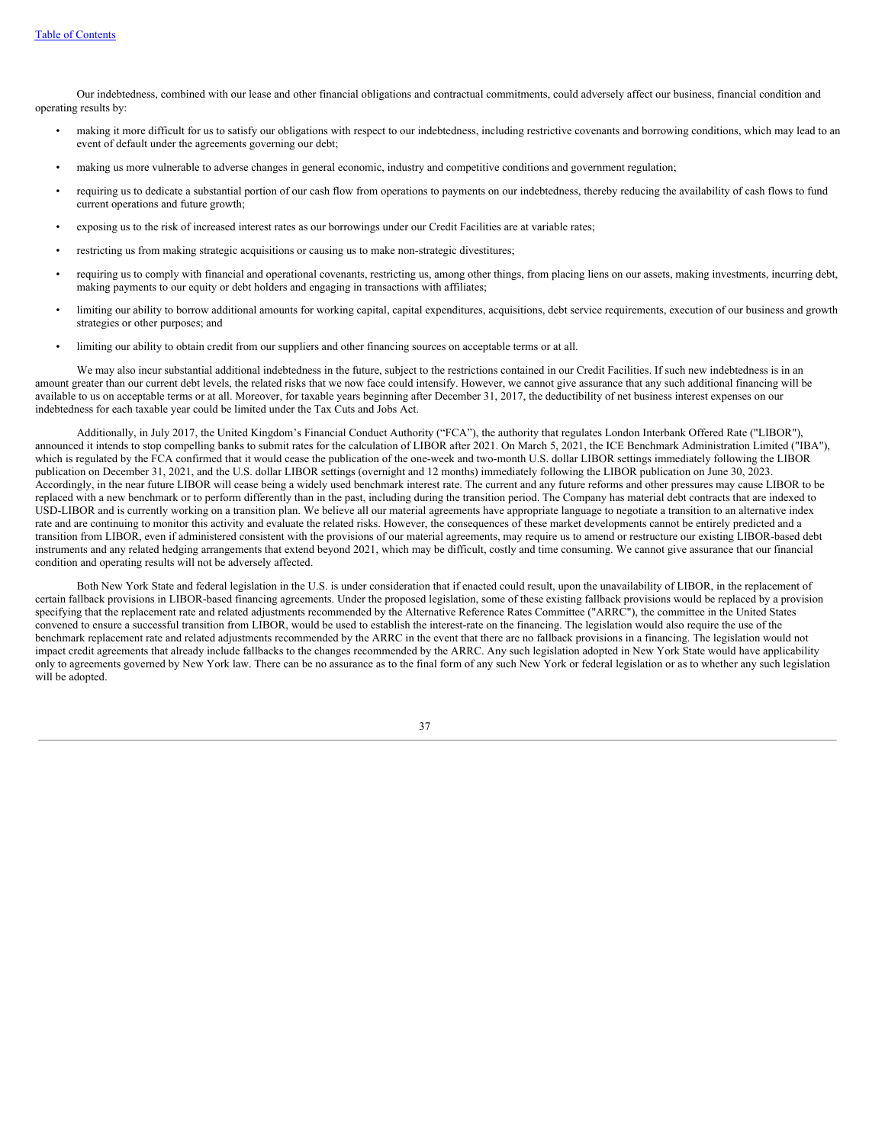Our indebtedness, combined with our lease and other financial obligations and contractual commitments, could adversely affect our business, financial condition and operating results by:

- making it more difficult for us to satisfy our obligations with respect to our indebtedness, including restrictive covenants and borrowing conditions, which may lead to an event of default under the agreements governing our debt;
- making us more vulnerable to adverse changes in general economic, industry and competitive conditions and government regulation;
- requiring us to dedicate a substantial portion of our cash flow from operations to payments on our indebtedness, thereby reducing the availability of cash flows to fund current operations and future growth;
- exposing us to the risk of increased interest rates as our borrowings under our Credit Facilities are at variable rates;
- restricting us from making strategic acquisitions or causing us to make non-strategic divestitures;
- requiring us to comply with financial and operational covenants, restricting us, among other things, from placing liens on our assets, making investments, incurring debt, making payments to our equity or debt holders and engaging in transactions with affiliates;
- limiting our ability to borrow additional amounts for working capital, capital expenditures, acquisitions, debt service requirements, execution of our business and growth strategies or other purposes; and
- limiting our ability to obtain credit from our suppliers and other financing sources on acceptable terms or at all.

We may also incur substantial additional indebtedness in the future, subject to the restrictions contained in our Credit Facilities. If such new indebtedness is in an amount greater than our current debt levels, the related risks that we now face could intensify. However, we cannot give assurance that any such additional financing will be available to us on acceptable terms or at all. Moreover, for taxable years beginning after December 31, 2017, the deductibility of net business interest expenses on our indebtedness for each taxable year could be limited under the Tax Cuts and Jobs Act.

Additionally, in July 2017, the United Kingdom's Financial Conduct Authority ("FCA"), the authority that regulates London Interbank Offered Rate ("LIBOR"), announced it intends to stop compelling banks to submit rates for the calculation of LIBOR after 2021. On March 5, 2021, the ICE Benchmark Administration Limited ("IBA"), which is regulated by the FCA confirmed that it would cease the publication of the one-week and two-month U.S. dollar LIBOR settings immediately following the LIBOR publication on December 31, 2021, and the U.S. dollar LIBOR settings (overnight and 12 months) immediately following the LIBOR publication on June 30, 2023. Accordingly, in the near future LIBOR will cease being a widely used benchmark interest rate. The current and any future reforms and other pressures may cause LIBOR to be replaced with a new benchmark or to perform differently than in the past, including during the transition period. The Company has material debt contracts that are indexed to USD-LIBOR and is currently working on a transition plan. We believe all our material agreements have appropriate language to negotiate a transition to an alternative index rate and are continuing to monitor this activity and evaluate the related risks. However, the consequences of these market developments cannot be entirely predicted and a transition from LIBOR, even if administered consistent with the provisions of our material agreements, may require us to amend or restructure our existing LIBOR-based debt instruments and any related hedging arrangements that extend beyond 2021, which may be difficult, costly and time consuming. We cannot give assurance that our financial condition and operating results will not be adversely affected.

Both New York State and federal legislation in the U.S. is under consideration that if enacted could result, upon the unavailability of LIBOR, in the replacement of certain fallback provisions in LIBOR-based financing agreements. Under the proposed legislation, some of these existing fallback provisions would be replaced by a provision specifying that the replacement rate and related adjustments recommended by the Alternative Reference Rates Committee ("ARRC"), the committee in the United States convened to ensure a successful transition from LIBOR, would be used to establish the interest-rate on the financing. The legislation would also require the use of the benchmark replacement rate and related adjustments recommended by the ARRC in the event that there are no fallback provisions in a financing. The legislation would not impact credit agreements that already include fallbacks to the changes recommended by the ARRC. Any such legislation adopted in New York State would have applicability only to agreements governed by New York law. There can be no assurance as to the final form of any such New York or federal legislation or as to whether any such legislation will be adopted.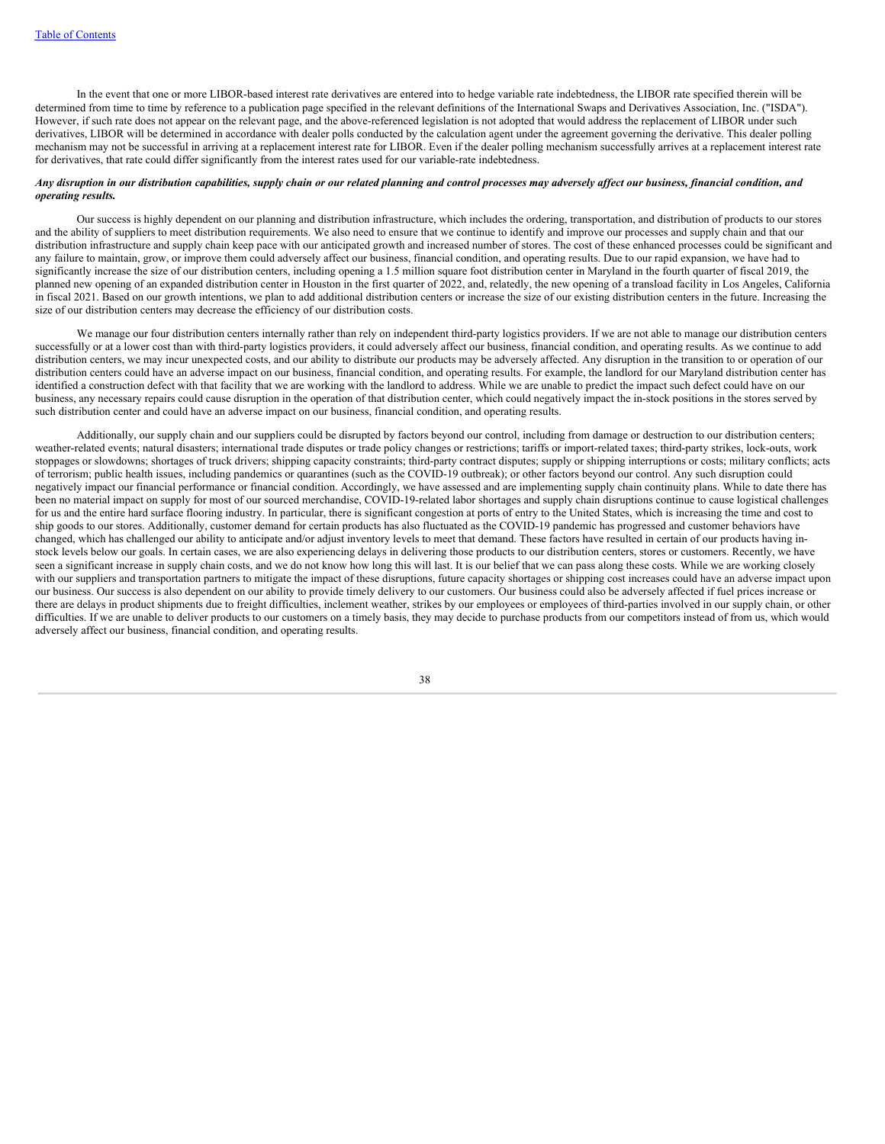In the event that one or more LIBOR-based interest rate derivatives are entered into to hedge variable rate indebtedness, the LIBOR rate specified therein will be determined from time to time by reference to a publication page specified in the relevant definitions of the International Swaps and Derivatives Association, Inc. ("ISDA"). However, if such rate does not appear on the relevant page, and the above-referenced legislation is not adopted that would address the replacement of LIBOR under such derivatives, LIBOR will be determined in accordance with dealer polls conducted by the calculation agent under the agreement governing the derivative. This dealer polling mechanism may not be successful in arriving at a replacement interest rate for LIBOR. Even if the dealer polling mechanism successfully arrives at a replacement interest rate for derivatives, that rate could differ significantly from the interest rates used for our variable-rate indebtedness.

## Any disruption in our distribution capabilities, supply chain or our related planning and control processes may adversely affect our business, financial condition, and *operating results.*

Our success is highly dependent on our planning and distribution infrastructure, which includes the ordering, transportation, and distribution of products to our stores and the ability of suppliers to meet distribution requirements. We also need to ensure that we continue to identify and improve our processes and supply chain and that our distribution infrastructure and supply chain keep pace with our anticipated growth and increased number of stores. The cost of these enhanced processes could be significant and any failure to maintain, grow, or improve them could adversely affect our business, financial condition, and operating results. Due to our rapid expansion, we have had to significantly increase the size of our distribution centers, including opening a 1.5 million square foot distribution center in Maryland in the fourth quarter of fiscal 2019, the planned new opening of an expanded distribution center in Houston in the first quarter of 2022, and, relatedly, the new opening of a transload facility in Los Angeles, California in fiscal 2021. Based on our growth intentions, we plan to add additional distribution centers or increase the size of our existing distribution centers in the future. Increasing the size of our distribution centers may decrease the efficiency of our distribution costs.

We manage our four distribution centers internally rather than rely on independent third-party logistics providers. If we are not able to manage our distribution centers successfully or at a lower cost than with third-party logistics providers, it could adversely affect our business, financial condition, and operating results. As we continue to add distribution centers, we may incur unexpected costs, and our ability to distribute our products may be adversely affected. Any disruption in the transition to or operation of our distribution centers could have an adverse impact on our business, financial condition, and operating results. For example, the landlord for our Maryland distribution center has identified a construction defect with that facility that we are working with the landlord to address. While we are unable to predict the impact such defect could have on our business, any necessary repairs could cause disruption in the operation of that distribution center, which could negatively impact the in-stock positions in the stores served by such distribution center and could have an adverse impact on our business, financial condition, and operating results.

Additionally, our supply chain and our suppliers could be disrupted by factors beyond our control, including from damage or destruction to our distribution centers; weather-related events; natural disasters; international trade disputes or trade policy changes or restrictions; tariffs or import-related taxes; third-party strikes, lock-outs, work stoppages or slowdowns; shortages of truck drivers; shipping capacity constraints; third-party contract disputes; supply or shipping interruptions or costs; military conflicts; acts of terrorism; public health issues, including pandemics or quarantines (such as the COVID-19 outbreak); or other factors beyond our control. Any such disruption could negatively impact our financial performance or financial condition. Accordingly, we have assessed and are implementing supply chain continuity plans. While to date there has been no material impact on supply for most of our sourced merchandise, COVID-19-related labor shortages and supply chain disruptions continue to cause logistical challenges for us and the entire hard surface flooring industry. In particular, there is significant congestion at ports of entry to the United States, which is increasing the time and cost to ship goods to our stores. Additionally, customer demand for certain products has also fluctuated as the COVID-19 pandemic has progressed and customer behaviors have changed, which has challenged our ability to anticipate and/or adjust inventory levels to meet that demand. These factors have resulted in certain of our products having instock levels below our goals. In certain cases, we are also experiencing delays in delivering those products to our distribution centers, stores or customers. Recently, we have seen a significant increase in supply chain costs, and we do not know how long this will last. It is our belief that we can pass along these costs. While we are working closely with our suppliers and transportation partners to mitigate the impact of these disruptions, future capacity shortages or shipping cost increases could have an adverse impact upon our business. Our success is also dependent on our ability to provide timely delivery to our customers. Our business could also be adversely affected if fuel prices increase or there are delays in product shipments due to freight difficulties, inclement weather, strikes by our employees or employees of third-parties involved in our supply chain, or other difficulties. If we are unable to deliver products to our customers on a timely basis, they may decide to purchase products from our competitors instead of from us, which would adversely affect our business, financial condition, and operating results.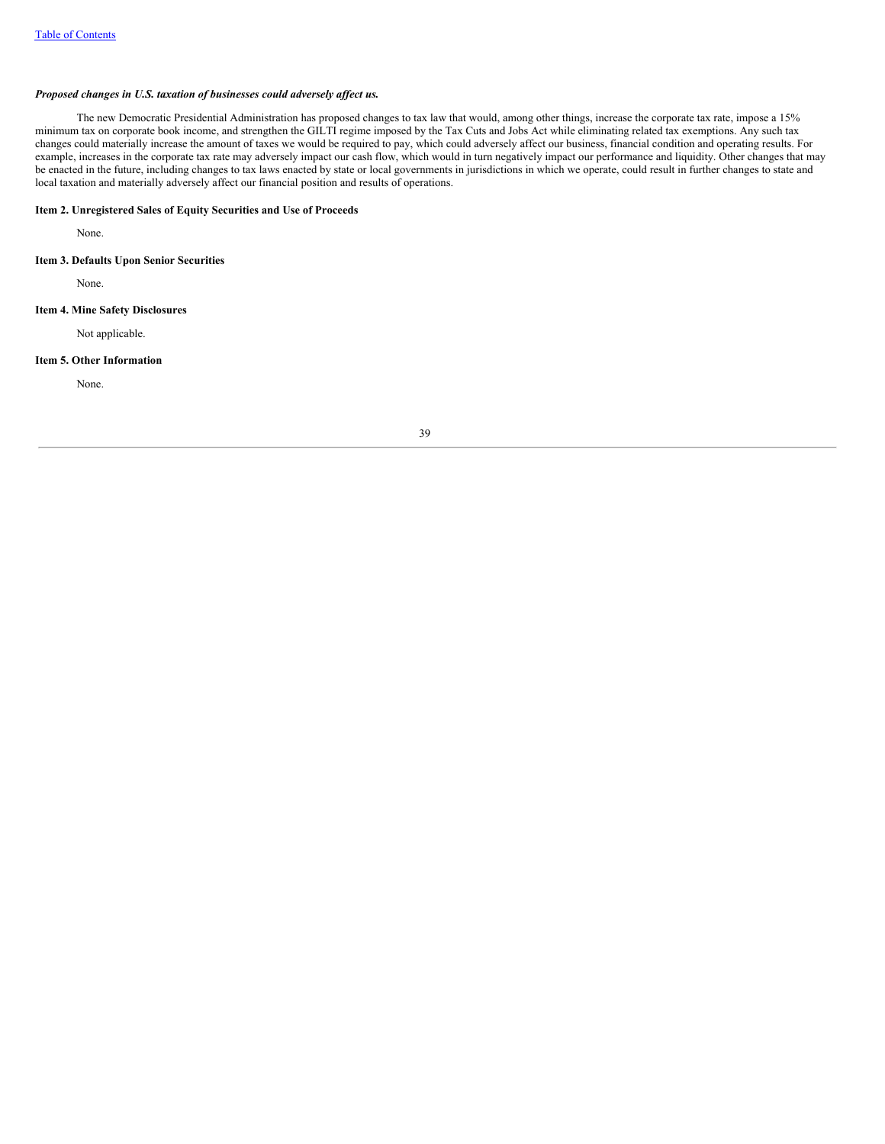## *Proposed changes in U.S. taxation of businesses could adversely af ect us.*

The new Democratic Presidential Administration has proposed changes to tax law that would, among other things, increase the corporate tax rate, impose a 15% minimum tax on corporate book income, and strengthen the GILTI regime imposed by the Tax Cuts and Jobs Act while eliminating related tax exemptions. Any such tax changes could materially increase the amount of taxes we would be required to pay, which could adversely affect our business, financial condition and operating results. For example, increases in the corporate tax rate may adversely impact our cash flow, which would in turn negatively impact our performance and liquidity. Other changes that may be enacted in the future, including changes to tax laws enacted by state or local governments in jurisdictions in which we operate, could result in further changes to state and local taxation and materially adversely affect our financial position and results of operations.

## <span id="page-38-0"></span>**Item 2. Unregistered Sales of Equity Securities and Use of Proceeds**

None.

# <span id="page-38-1"></span>**Item 3. Defaults Upon Senior Securities**

None.

# <span id="page-38-2"></span>**Item 4. Mine Safety Disclosures**

Not applicable.

# <span id="page-38-3"></span>**Item 5. Other Information**

<span id="page-38-4"></span>None.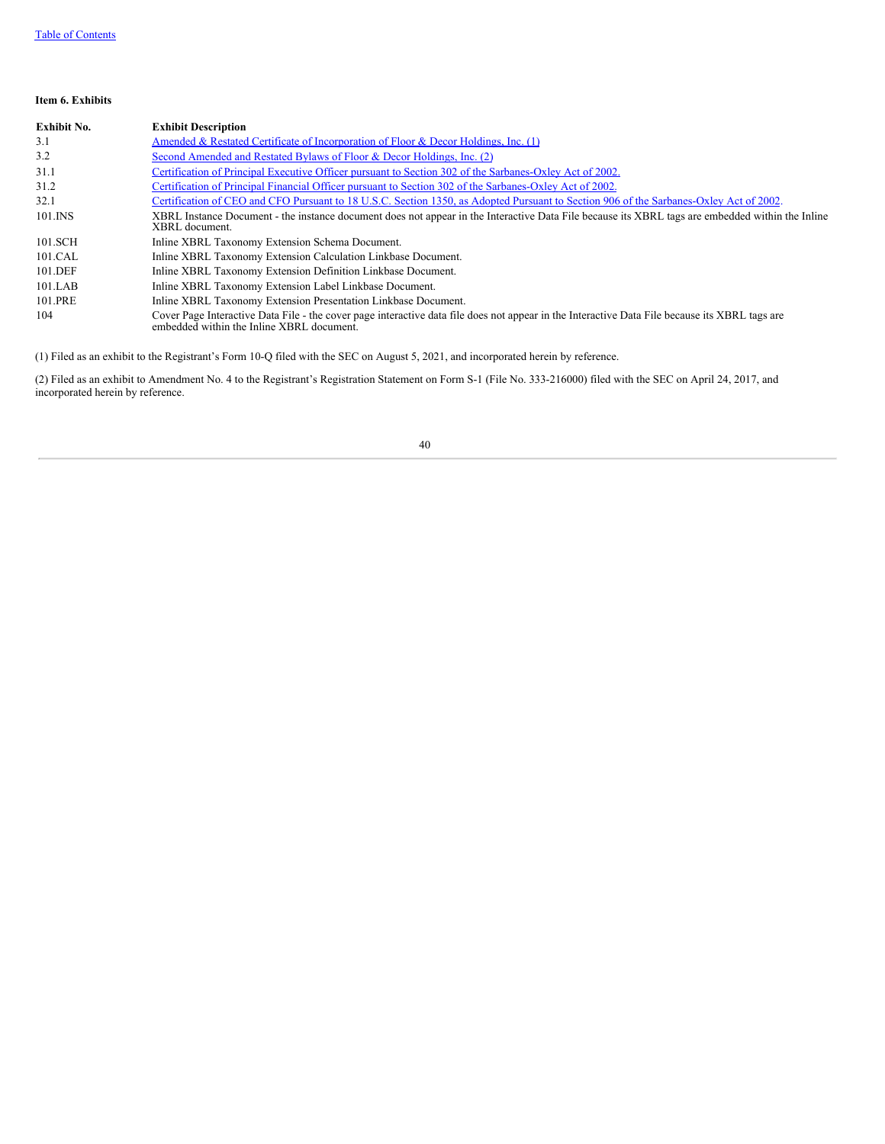## **Item 6. Exhibits**

| <b>Exhibit No.</b> | <b>Exhibit Description</b>                                                                                                                                                                  |
|--------------------|---------------------------------------------------------------------------------------------------------------------------------------------------------------------------------------------|
| 3.1                | Amended & Restated Certificate of Incorporation of Floor & Decor Holdings, Inc. (1)                                                                                                         |
| 3.2                | Second Amended and Restated Bylaws of Floor & Decor Holdings, Inc. (2)                                                                                                                      |
| 31.1               | Certification of Principal Executive Officer pursuant to Section 302 of the Sarbanes-Oxley Act of 2002.                                                                                     |
| 31.2               | Certification of Principal Financial Officer pursuant to Section 302 of the Sarbanes-Oxley Act of 2002.                                                                                     |
| 32.1               | Certification of CEO and CFO Pursuant to 18 U.S.C. Section 1350, as Adopted Pursuant to Section 906 of the Sarbanes-Oxley Act of 2002.                                                      |
| 101.INS            | XBRL Instance Document - the instance document does not appear in the Interactive Data File because its XBRL tags are embedded within the Inline<br>XBRL document.                          |
| 101.SCH            | Inline XBRL Taxonomy Extension Schema Document.                                                                                                                                             |
| 101.CAL            | Inline XBRL Taxonomy Extension Calculation Linkbase Document.                                                                                                                               |
| 101.DEF            | Inline XBRL Taxonomy Extension Definition Linkbase Document.                                                                                                                                |
| 101.LAB            | Inline XBRL Taxonomy Extension Label Linkbase Document.                                                                                                                                     |
| 101.PRE            | Inline XBRL Taxonomy Extension Presentation Linkbase Document.                                                                                                                              |
| 104                | Cover Page Interactive Data File - the cover page interactive data file does not appear in the Interactive Data File because its XBRL tags are<br>embedded within the Inline XBRL document. |

(1) Filed as an exhibit to the Registrant's Form 10-Q filed with the SEC on August 5, 2021, and incorporated herein by reference.

<span id="page-39-0"></span>(2) Filed as an exhibit to Amendment No. 4 to the Registrant's Registration Statement on Form S-1 (File No. 333-216000) filed with the SEC on April 24, 2017, and incorporated herein by reference.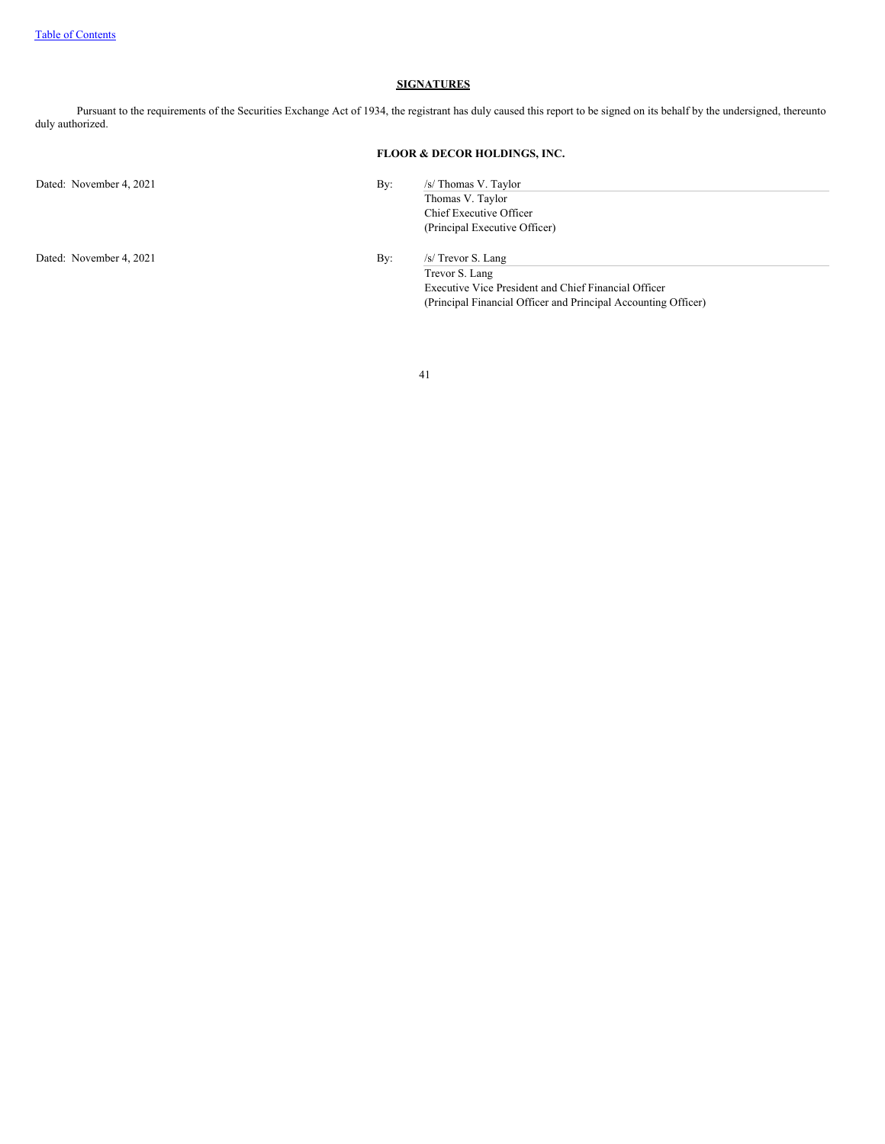# **SIGNATURES**

Pursuant to the requirements of the Securities Exchange Act of 1934, the registrant has duly caused this report to be signed on its behalf by the undersigned, thereunto duly authorized.

# **FLOOR & DECOR HOLDINGS, INC.**

| Dated: November 4, 2021 | By: | /s/ Thomas V. Taylor<br>Thomas V. Taylor<br>Chief Executive Officer<br>(Principal Executive Officer)                                                           |
|-------------------------|-----|----------------------------------------------------------------------------------------------------------------------------------------------------------------|
| Dated: November 4, 2021 | By: | /s/ Trevor S. Lang<br>Trevor S. Lang<br>Executive Vice President and Chief Financial Officer<br>(Principal Financial Officer and Principal Accounting Officer) |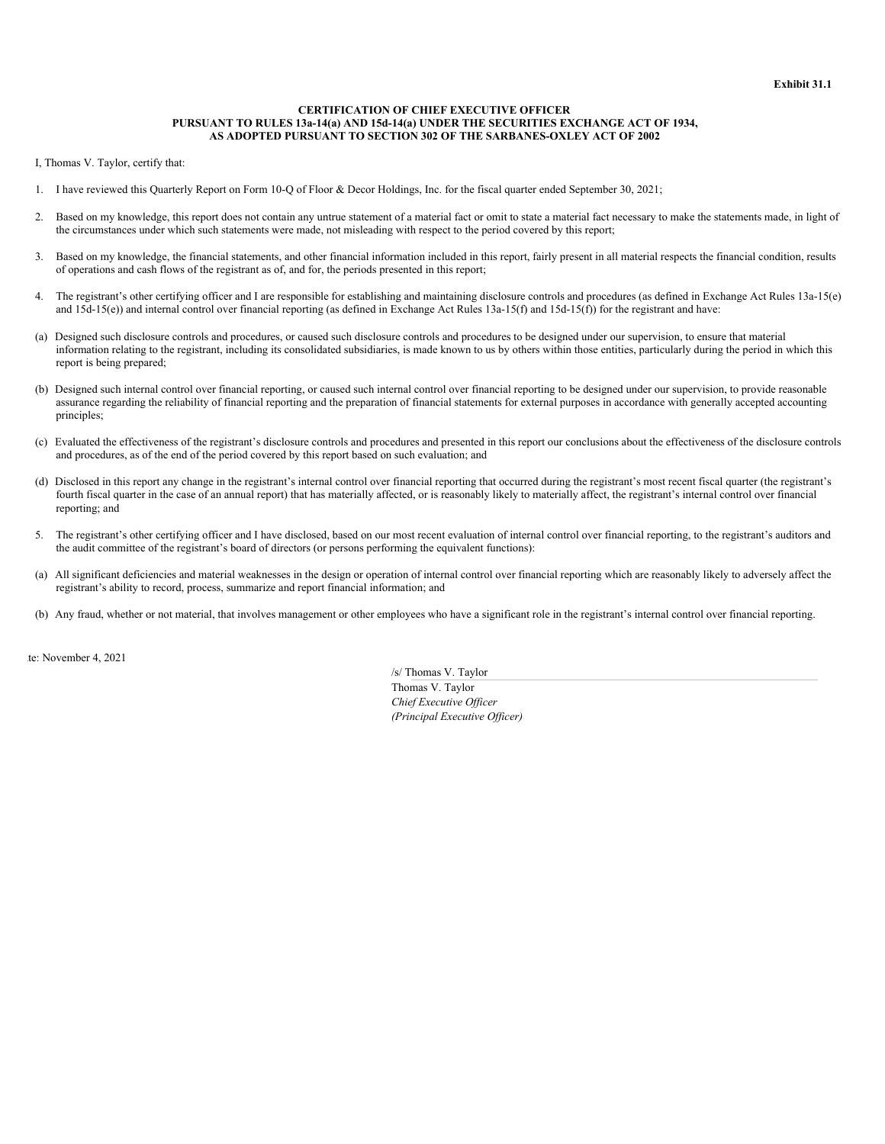# **CERTIFICATION OF CHIEF EXECUTIVE OFFICER PURSUANT TO RULES 13a-14(a) AND 15d-14(a) UNDER THE SECURITIES EXCHANGE ACT OF 1934, AS ADOPTED PURSUANT TO SECTION 302 OF THE SARBANES-OXLEY ACT OF 2002**

<span id="page-41-0"></span>I, Thomas V. Taylor, certify that:

- 1. I have reviewed this Quarterly Report on Form 10-Q of Floor & Decor Holdings, Inc. for the fiscal quarter ended September 30, 2021;
- Based on my knowledge, this report does not contain any untrue statement of a material fact or omit to state a material fact necessary to make the statements made, in light of the circumstances under which such statements were made, not misleading with respect to the period covered by this report;
- 3. Based on my knowledge, the financial statements, and other financial information included in this report, fairly present in all material respects the financial condition, results of operations and cash flows of the registrant as of, and for, the periods presented in this report;
- 4. The registrant's other certifying officer and I are responsible for establishing and maintaining disclosure controls and procedures (as defined in Exchange Act Rules 13a-15(e) and  $15d-15(e)$ ) and internal control over financial reporting (as defined in Exchange Act Rules  $13a-15(f)$ ) and  $15d-15(f)$ ) for the registrant and have:
- (a) Designed such disclosure controls and procedures, or caused such disclosure controls and procedures to be designed under our supervision, to ensure that material information relating to the registrant, including its consolidated subsidiaries, is made known to us by others within those entities, particularly during the period in which this report is being prepared;
- (b) Designed such internal control over financial reporting, or caused such internal control over financial reporting to be designed under our supervision, to provide reasonable assurance regarding the reliability of financial reporting and the preparation of financial statements for external purposes in accordance with generally accepted accounting principles;
- (c) Evaluated the effectiveness of the registrant's disclosure controls and procedures and presented in this report our conclusions about the effectiveness of the disclosure controls and procedures, as of the end of the period covered by this report based on such evaluation; and
- (d) Disclosed in this report any change in the registrant's internal control over financial reporting that occurred during the registrant's most recent fiscal quarter (the registrant's fourth fiscal quarter in the case of an annual report) that has materially affected, or is reasonably likely to materially affect, the registrant's internal control over financial reporting; and
- 5. The registrant's other certifying officer and I have disclosed, based on our most recent evaluation of internal control over financial reporting, to the registrant's auditors and the audit committee of the registrant's board of directors (or persons performing the equivalent functions):
- (a) All significant deficiencies and material weaknesses in the design or operation of internal control over financial reporting which are reasonably likely to adversely affect the registrant's ability to record, process, summarize and report financial information; and
- (b) Any fraud, whether or not material, that involves management or other employees who have a significant role in the registrant's internal control over financial reporting.

te: November 4, 2021

/s/ Thomas V. Taylor Thomas V. Taylor *Chief Executive Of icer (Principal Executive Of icer)*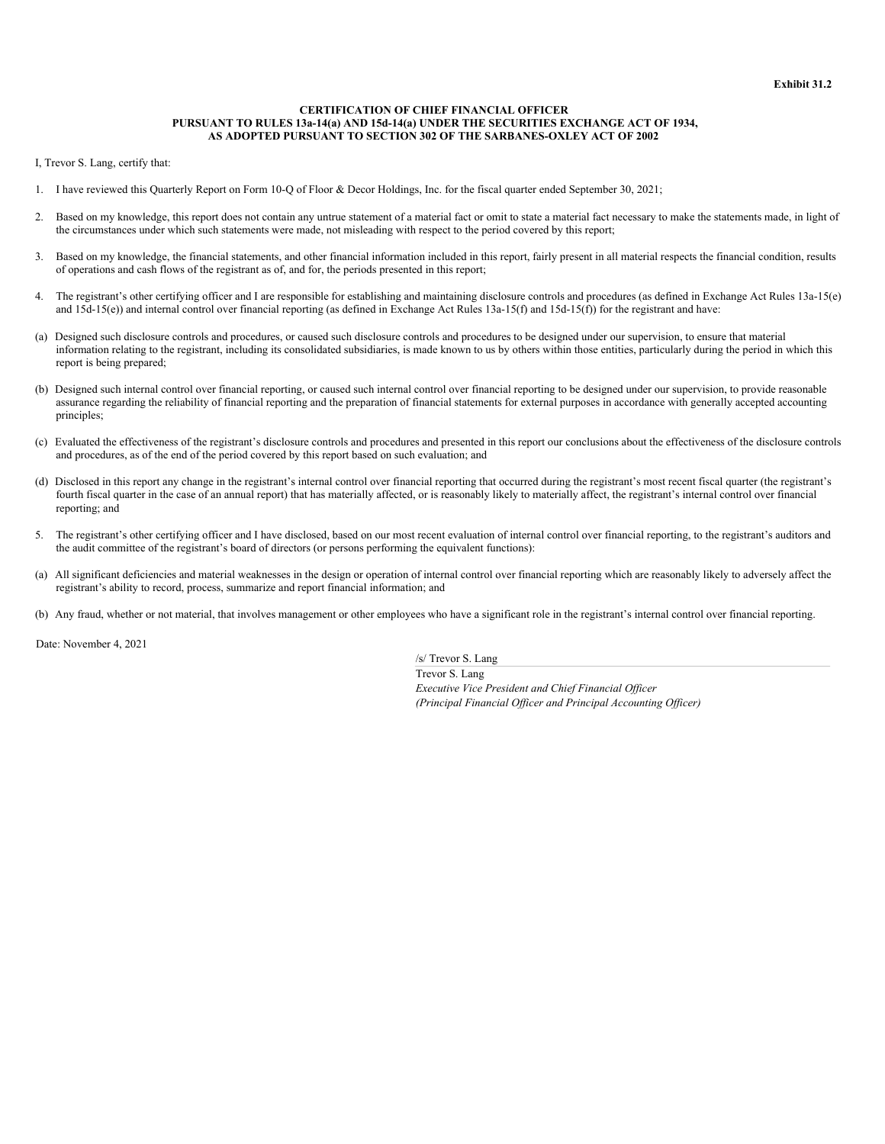# **CERTIFICATION OF CHIEF FINANCIAL OFFICER PURSUANT TO RULES 13a-14(a) AND 15d-14(a) UNDER THE SECURITIES EXCHANGE ACT OF 1934, AS ADOPTED PURSUANT TO SECTION 302 OF THE SARBANES-OXLEY ACT OF 2002**

<span id="page-42-0"></span>I, Trevor S. Lang, certify that:

- 1. I have reviewed this Quarterly Report on Form 10-Q of Floor & Decor Holdings, Inc. for the fiscal quarter ended September 30, 2021;
- Based on my knowledge, this report does not contain any untrue statement of a material fact or omit to state a material fact necessary to make the statements made, in light of the circumstances under which such statements were made, not misleading with respect to the period covered by this report;
- 3. Based on my knowledge, the financial statements, and other financial information included in this report, fairly present in all material respects the financial condition, results of operations and cash flows of the registrant as of, and for, the periods presented in this report;
- 4. The registrant's other certifying officer and I are responsible for establishing and maintaining disclosure controls and procedures (as defined in Exchange Act Rules 13a-15(e) and  $15d-15(e)$ ) and internal control over financial reporting (as defined in Exchange Act Rules  $13a-15(f)$  and  $15d-15(f)$ ) for the registrant and have:
- (a) Designed such disclosure controls and procedures, or caused such disclosure controls and procedures to be designed under our supervision, to ensure that material information relating to the registrant, including its consolidated subsidiaries, is made known to us by others within those entities, particularly during the period in which this report is being prepared;
- (b) Designed such internal control over financial reporting, or caused such internal control over financial reporting to be designed under our supervision, to provide reasonable assurance regarding the reliability of financial reporting and the preparation of financial statements for external purposes in accordance with generally accepted accounting principles;
- (c) Evaluated the effectiveness of the registrant's disclosure controls and procedures and presented in this report our conclusions about the effectiveness of the disclosure controls and procedures, as of the end of the period covered by this report based on such evaluation; and
- (d) Disclosed in this report any change in the registrant's internal control over financial reporting that occurred during the registrant's most recent fiscal quarter (the registrant's fourth fiscal quarter in the case of an annual report) that has materially affected, or is reasonably likely to materially affect, the registrant's internal control over financial reporting; and
- 5. The registrant's other certifying officer and I have disclosed, based on our most recent evaluation of internal control over financial reporting, to the registrant's auditors and the audit committee of the registrant's board of directors (or persons performing the equivalent functions):
- (a) All significant deficiencies and material weaknesses in the design or operation of internal control over financial reporting which are reasonably likely to adversely affect the registrant's ability to record, process, summarize and report financial information; and
- (b) Any fraud, whether or not material, that involves management or other employees who have a significant role in the registrant's internal control over financial reporting.

Date: November 4, 2021

/s/ Trevor S. Lang

Trevor S. Lang *Executive Vice President and Chief Financial Of icer (Principal Financial Of icer and Principal Accounting Of icer)*